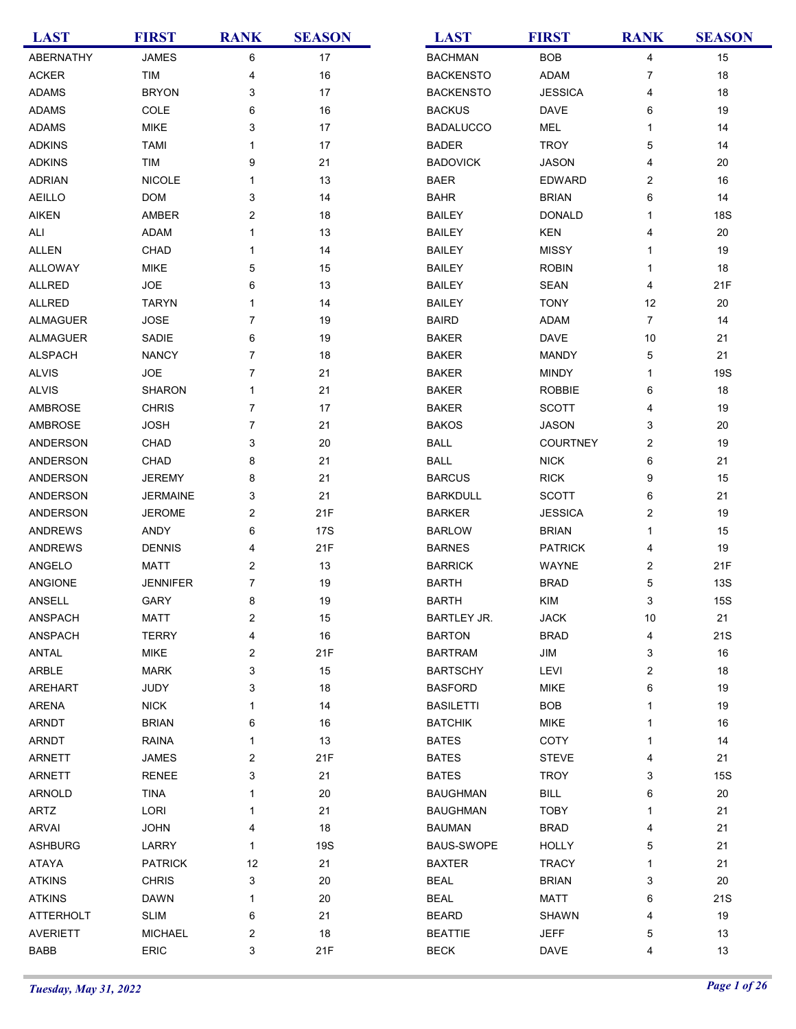| <b>LAST</b>       | <b>FIRST</b>         | <b>RANK</b>  | <b>SEASON</b> | <b>LAST</b>                        | <b>FIRST</b>    | <b>RANK</b>    | <b>SEASON</b>    |
|-------------------|----------------------|--------------|---------------|------------------------------------|-----------------|----------------|------------------|
| ABERNATHY         | <b>JAMES</b>         | 6            | 17            | <b>BACHMAN</b>                     | <b>BOB</b>      | 4              | 15               |
| <b>ACKER</b>      | TIM                  | 4            | $16\,$        | <b>BACKENSTO</b>                   | <b>ADAM</b>     | 7              | 18               |
| <b>ADAMS</b>      | <b>BRYON</b>         | 3            | 17            | <b>BACKENSTO</b>                   | <b>JESSICA</b>  | 4              | 18               |
| <b>ADAMS</b>      | COLE                 | 6            | $16\,$        | <b>BACKUS</b>                      | <b>DAVE</b>     | 6              | 19               |
| <b>ADAMS</b>      | <b>MIKE</b>          | 3            | 17            | <b>BADALUCCO</b>                   | <b>MEL</b>      | 1              | 14               |
| <b>ADKINS</b>     | <b>TAMI</b>          | 1            | 17            | <b>BADER</b>                       | <b>TROY</b>     | 5              | 14               |
| <b>ADKINS</b>     | TIM                  | 9            | 21            | <b>BADOVICK</b>                    | <b>JASON</b>    | 4              | 20               |
| <b>ADRIAN</b>     | <b>NICOLE</b>        | 1            | 13            | <b>BAER</b>                        | EDWARD          | 2              | 16               |
| <b>AEILLO</b>     | <b>DOM</b>           | 3            | 14            | <b>BAHR</b>                        | <b>BRIAN</b>    | 6              | 14               |
| AIKEN             | AMBER                | 2            | $18\,$        | <b>BAILEY</b>                      | <b>DONALD</b>   | 1              | <b>18S</b>       |
| ALI               | ADAM                 | 1            | 13            | <b>BAILEY</b>                      | KEN             | 4              | 20               |
| <b>ALLEN</b>      | CHAD                 | 1            | 14            | <b>BAILEY</b>                      | <b>MISSY</b>    | 1              | 19               |
| ALLOWAY           | <b>MIKE</b>          | 5            | 15            | <b>BAILEY</b>                      | <b>ROBIN</b>    | 1              | 18               |
| <b>ALLRED</b>     | <b>JOE</b>           | 6            | 13            | <b>BAILEY</b>                      | <b>SEAN</b>     | 4              | 21F              |
| ALLRED            | <b>TARYN</b>         | 1            | 14            | <b>BAILEY</b>                      | <b>TONY</b>     | 12             | 20               |
| <b>ALMAGUER</b>   | <b>JOSE</b>          | 7            | 19            | <b>BAIRD</b>                       | <b>ADAM</b>     | $\overline{7}$ | 14               |
| <b>ALMAGUER</b>   | SADIE                | 6            | 19            | <b>BAKER</b>                       | <b>DAVE</b>     | 10             | 21               |
| <b>ALSPACH</b>    | <b>NANCY</b>         | 7            | $18\,$        | <b>BAKER</b>                       | <b>MANDY</b>    | $\mathbf 5$    | 21               |
| <b>ALVIS</b>      | JOE                  | 7            | 21            | <b>BAKER</b>                       | <b>MINDY</b>    | 1              | 19S              |
| <b>ALVIS</b>      | <b>SHARON</b>        | $\mathbf{1}$ | 21            | <b>BAKER</b>                       | <b>ROBBIE</b>   | 6              | 18               |
| AMBROSE           | <b>CHRIS</b>         | 7            | 17            | <b>BAKER</b>                       | <b>SCOTT</b>    | 4              | 19               |
| AMBROSE           | <b>JOSH</b>          | 7            | 21            | <b>BAKOS</b>                       | <b>JASON</b>    | 3              | 20               |
| ANDERSON          | CHAD                 | 3            | 20            | <b>BALL</b>                        | <b>COURTNEY</b> | 2              | 19               |
| ANDERSON          | CHAD                 | 8            | 21            | <b>BALL</b>                        | <b>NICK</b>     | 6              | 21               |
| ANDERSON          | <b>JEREMY</b>        | 8            | 21            | <b>BARCUS</b>                      | <b>RICK</b>     | 9              | 15               |
| ANDERSON          | <b>JERMAINE</b>      | 3            | 21            | <b>BARKDULL</b>                    | <b>SCOTT</b>    | 6              | 21               |
| ANDERSON          | <b>JEROME</b>        | 2            | 21F           | <b>BARKER</b>                      | <b>JESSICA</b>  | $\overline{c}$ | 19               |
| <b>ANDREWS</b>    | ANDY                 | 6            | 17S           | <b>BARLOW</b>                      | <b>BRIAN</b>    | 1              | 15               |
| <b>ANDREWS</b>    | <b>DENNIS</b>        | 4            | 21F           | <b>BARNES</b>                      | <b>PATRICK</b>  | 4              | 19               |
| ANGELO            | <b>MATT</b>          | 2            | 13            | <b>BARRICK</b>                     | WAYNE           | 2              | 21F              |
|                   |                      |              |               |                                    |                 |                |                  |
| ANGIONE           | <b>JENNIFER</b>      | 7            | 19            | <b>BARTH</b>                       | <b>BRAD</b>     | 5              | <b>13S</b>       |
| ANSELL<br>ANSPACH | GARY                 | 8            | 19            | <b>BARTH</b><br><b>BARTLEY JR.</b> | KIM             | 3              | <b>15S</b><br>21 |
|                   | MATT<br><b>TERRY</b> | 2            | 15            |                                    | <b>JACK</b>     | 10             |                  |
| ANSPACH           |                      | 4            | $16\,$        | <b>BARTON</b>                      | <b>BRAD</b>     | 4              | 21S              |
| ANTAL             | MIKE                 | 2            | 21F           | <b>BARTRAM</b>                     | JIM             | 3              | 16               |
| ARBLE             | <b>MARK</b>          | 3            | 15            | <b>BARTSCHY</b>                    | LEVI            | 2              | 18               |
| AREHART           | JUDY                 | 3            | 18            | <b>BASFORD</b>                     | <b>MIKE</b>     | 6              | 19               |
| <b>ARENA</b>      | <b>NICK</b>          | 1            | 14            | <b>BASILETTI</b>                   | <b>BOB</b>      | 1              | 19               |
| ARNDT             | <b>BRIAN</b>         | 6            | 16            | <b>BATCHIK</b>                     | <b>MIKE</b>     | 1              | 16               |
| ARNDT             | RAINA                | 1            | 13            | <b>BATES</b>                       | COTY            | 1              | 14               |
| ARNETT            | <b>JAMES</b>         | 2            | 21F           | <b>BATES</b>                       | <b>STEVE</b>    | 4              | 21               |
| <b>ARNETT</b>     | <b>RENEE</b>         | 3            | 21            | <b>BATES</b>                       | <b>TROY</b>     | 3              | <b>15S</b>       |
| ARNOLD            | <b>TINA</b>          | 1            | 20            | <b>BAUGHMAN</b>                    | <b>BILL</b>     | 6              | 20               |
| ARTZ              | LORI                 | 1            | 21            | <b>BAUGHMAN</b>                    | <b>TOBY</b>     | 1              | 21               |
| ARVAI             | <b>JOHN</b>          | 4            | 18            | <b>BAUMAN</b>                      | <b>BRAD</b>     | 4              | 21               |
| <b>ASHBURG</b>    | LARRY                | $\mathbf{1}$ | 19S           | <b>BAUS-SWOPE</b>                  | <b>HOLLY</b>    | 5              | 21               |
| ATAYA             | <b>PATRICK</b>       | 12           | 21            | <b>BAXTER</b>                      | <b>TRACY</b>    | 1              | 21               |
| <b>ATKINS</b>     | <b>CHRIS</b>         | 3            | 20            | <b>BEAL</b>                        | <b>BRIAN</b>    | 3              | 20               |
| <b>ATKINS</b>     | <b>DAWN</b>          | $\mathbf{1}$ | 20            | <b>BEAL</b>                        | MATT            | 6              | 21S              |
| <b>ATTERHOLT</b>  | <b>SLIM</b>          | 6            | 21            | <b>BEARD</b>                       | <b>SHAWN</b>    | 4              | 19               |
| <b>AVERIETT</b>   | <b>MICHAEL</b>       | 2            | 18            | <b>BEATTIE</b>                     | JEFF            | 5              | 13               |
| BABB              | ERIC                 | 3            | 21F           | <b>BECK</b>                        | <b>DAVE</b>     | 4              | 13               |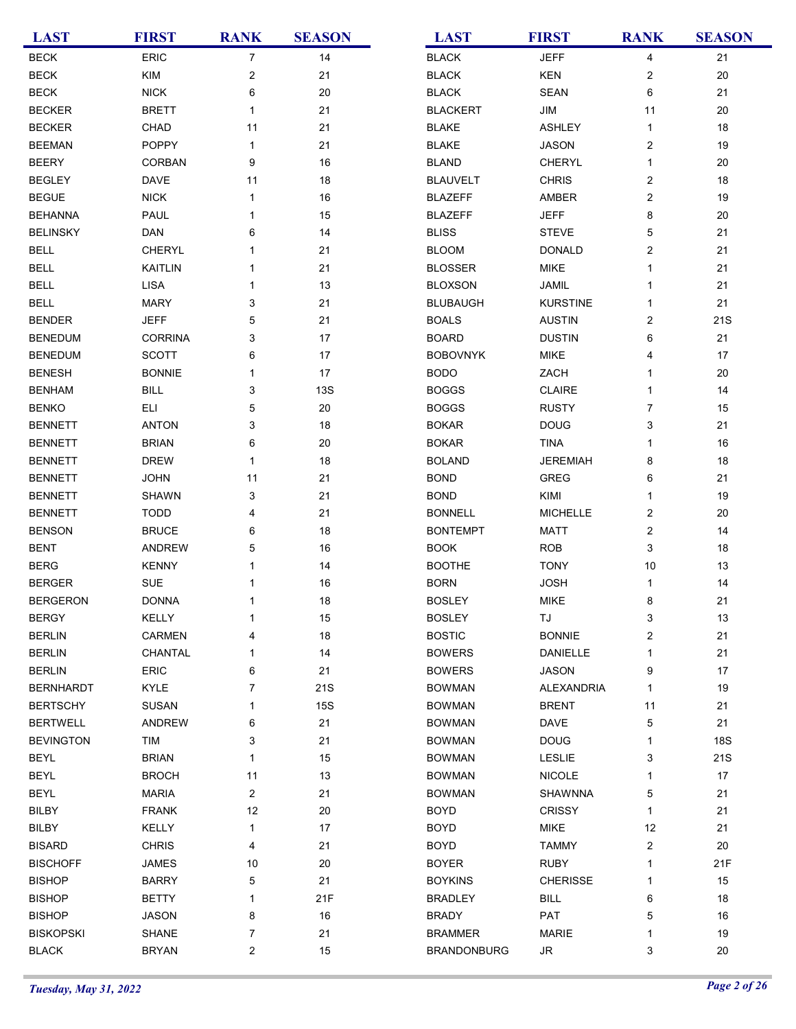| <b>LAST</b>      | <b>FIRST</b>   | <b>RANK</b>             | <b>SEASON</b> | <b>LAST</b>        | <b>FIRST</b>      | <b>RANK</b>             | <b>SEASON</b> |
|------------------|----------------|-------------------------|---------------|--------------------|-------------------|-------------------------|---------------|
| <b>BECK</b>      | ERIC           | $\overline{7}$          | 14            | <b>BLACK</b>       | <b>JEFF</b>       | 4                       | 21            |
| <b>BECK</b>      | <b>KIM</b>     | $\overline{\mathbf{c}}$ | 21            | <b>BLACK</b>       | KEN               | $\overline{c}$          | 20            |
| <b>BECK</b>      | <b>NICK</b>    | 6                       | 20            | <b>BLACK</b>       | <b>SEAN</b>       | 6                       | 21            |
| <b>BECKER</b>    | <b>BRETT</b>   | 1                       | 21            | <b>BLACKERT</b>    | JIM               | 11                      | 20            |
| <b>BECKER</b>    | CHAD           | 11                      | 21            | <b>BLAKE</b>       | <b>ASHLEY</b>     | $\mathbf{1}$            | 18            |
| <b>BEEMAN</b>    | <b>POPPY</b>   | 1                       | 21            | <b>BLAKE</b>       | <b>JASON</b>      | $\overline{c}$          | 19            |
| <b>BEERY</b>     | CORBAN         | 9                       | 16            | <b>BLAND</b>       | CHERYL            | $\mathbf{1}$            | 20            |
| <b>BEGLEY</b>    | <b>DAVE</b>    | 11                      | 18            | <b>BLAUVELT</b>    | <b>CHRIS</b>      | $\overline{c}$          | 18            |
| <b>BEGUE</b>     | <b>NICK</b>    | 1                       | 16            | <b>BLAZEFF</b>     | AMBER             | $\overline{\mathbf{c}}$ | 19            |
| <b>BEHANNA</b>   | PAUL           | 1                       | 15            | <b>BLAZEFF</b>     | <b>JEFF</b>       | 8                       | 20            |
| <b>BELINSKY</b>  | <b>DAN</b>     | 6                       | 14            | <b>BLISS</b>       | <b>STEVE</b>      | 5                       | 21            |
| <b>BELL</b>      | CHERYL         | 1                       | 21            | <b>BLOOM</b>       | <b>DONALD</b>     | $\overline{\mathbf{c}}$ | 21            |
| <b>BELL</b>      | <b>KAITLIN</b> | 1                       | 21            | <b>BLOSSER</b>     | <b>MIKE</b>       | $\mathbf 1$             | 21            |
| <b>BELL</b>      | LISA           | 1                       | 13            | <b>BLOXSON</b>     | <b>JAMIL</b>      | 1                       | 21            |
| <b>BELL</b>      | <b>MARY</b>    | 3                       | 21            | <b>BLUBAUGH</b>    | <b>KURSTINE</b>   | 1                       | 21            |
| <b>BENDER</b>    | <b>JEFF</b>    | 5                       | 21            | <b>BOALS</b>       | <b>AUSTIN</b>     | $\overline{c}$          | 21S           |
| <b>BENEDUM</b>   | <b>CORRINA</b> | 3                       | 17            | <b>BOARD</b>       | <b>DUSTIN</b>     | 6                       | 21            |
|                  |                |                         |               |                    |                   |                         |               |
| <b>BENEDUM</b>   | <b>SCOTT</b>   | 6                       | 17            | <b>BOBOVNYK</b>    | <b>MIKE</b>       | 4                       | 17            |
| <b>BENESH</b>    | <b>BONNIE</b>  | 1                       | 17            | <b>BODO</b>        | ZACH              | 1                       | 20            |
| <b>BENHAM</b>    | <b>BILL</b>    | 3                       | <b>13S</b>    | <b>BOGGS</b>       | <b>CLAIRE</b>     | $\mathbf{1}$            | 14            |
| <b>BENKO</b>     | <b>ELI</b>     | 5                       | 20            | <b>BOGGS</b>       | <b>RUSTY</b>      | 7                       | 15            |
| <b>BENNETT</b>   | <b>ANTON</b>   | 3                       | 18            | <b>BOKAR</b>       | <b>DOUG</b>       | 3                       | 21            |
| <b>BENNETT</b>   | <b>BRIAN</b>   | 6                       | 20            | <b>BOKAR</b>       | <b>TINA</b>       | 1                       | 16            |
| <b>BENNETT</b>   | <b>DREW</b>    | $\mathbf{1}$            | 18            | <b>BOLAND</b>      | <b>JEREMIAH</b>   | 8                       | 18            |
| <b>BENNETT</b>   | <b>JOHN</b>    | 11                      | 21            | <b>BOND</b>        | GREG              | 6                       | 21            |
| <b>BENNETT</b>   | <b>SHAWN</b>   | 3                       | 21            | <b>BOND</b>        | KIMI              | $\mathbf{1}$            | 19            |
| <b>BENNETT</b>   | <b>TODD</b>    | 4                       | 21            | <b>BONNELL</b>     | <b>MICHELLE</b>   | $\overline{c}$          | 20            |
| <b>BENSON</b>    | <b>BRUCE</b>   | 6                       | 18            | <b>BONTEMPT</b>    | <b>MATT</b>       | $\overline{\mathbf{c}}$ | 14            |
| <b>BENT</b>      | ANDREW         | 5                       | 16            | <b>BOOK</b>        | <b>ROB</b>        | 3                       | 18            |
| <b>BERG</b>      | <b>KENNY</b>   | 1                       | 14            | <b>BOOTHE</b>      | <b>TONY</b>       | 10                      | 13            |
| <b>BERGER</b>    | <b>SUE</b>     | 1                       | $16\,$        | <b>BORN</b>        | <b>JOSH</b>       | $\mathbf{1}$            | 14            |
| <b>BERGERON</b>  | <b>DONNA</b>   | 1                       | 18            | <b>BOSLEY</b>      | <b>MIKE</b>       | 8                       | 21            |
| <b>BERGY</b>     | KELLY          | 1                       | 15            | <b>BOSLEY</b>      | TJ                | 3                       | 13            |
| <b>BERLIN</b>    | CARMEN         | 4                       | $18\,$        | <b>BOSTIC</b>      | <b>BONNIE</b>     | $\boldsymbol{2}$        | 21            |
| <b>BERLIN</b>    | CHANTAL        | 1                       | 14            | <b>BOWERS</b>      | DANIELLE          | $\mathbf{1}$            | 21            |
| <b>BERLIN</b>    | ERIC           | 6                       | 21            | <b>BOWERS</b>      | <b>JASON</b>      | 9                       | 17            |
| <b>BERNHARDT</b> | KYLE           | 7                       | 21S           | <b>BOWMAN</b>      | <b>ALEXANDRIA</b> | 1                       | 19            |
| <b>BERTSCHY</b>  | <b>SUSAN</b>   | 1                       | <b>15S</b>    | <b>BOWMAN</b>      | <b>BRENT</b>      | 11                      | 21            |
| <b>BERTWELL</b>  | ANDREW         | 6                       | 21            | <b>BOWMAN</b>      | DAVE              | 5                       | 21            |
| <b>BEVINGTON</b> | TIM            | 3                       | 21            | <b>BOWMAN</b>      | <b>DOUG</b>       | 1                       | <b>18S</b>    |
| BEYL             | <b>BRIAN</b>   | $\mathbf{1}$            | 15            | <b>BOWMAN</b>      | <b>LESLIE</b>     | 3                       | 21S           |
| <b>BEYL</b>      | <b>BROCH</b>   | 11                      | 13            | <b>BOWMAN</b>      | <b>NICOLE</b>     | $\mathbf{1}$            | 17            |
| <b>BEYL</b>      | <b>MARIA</b>   | $\overline{2}$          | 21            | <b>BOWMAN</b>      | <b>SHAWNNA</b>    | 5                       | 21            |
| <b>BILBY</b>     | <b>FRANK</b>   | 12                      | 20            | <b>BOYD</b>        | <b>CRISSY</b>     | $\mathbf 1$             | 21            |
| BILBY            | KELLY          | $\mathbf{1}$            | 17            | <b>BOYD</b>        | <b>MIKE</b>       | 12                      | 21            |
| <b>BISARD</b>    | <b>CHRIS</b>   | 4                       | 21            | <b>BOYD</b>        | <b>TAMMY</b>      | $\boldsymbol{2}$        | 20            |
| <b>BISCHOFF</b>  | <b>JAMES</b>   | 10                      | 20            | <b>BOYER</b>       | <b>RUBY</b>       | 1                       | 21F           |
| <b>BISHOP</b>    | <b>BARRY</b>   | 5                       | 21            | <b>BOYKINS</b>     | <b>CHERISSE</b>   | 1                       | 15            |
| <b>BISHOP</b>    | <b>BETTY</b>   | 1                       | 21F           | <b>BRADLEY</b>     | <b>BILL</b>       | 6                       | 18            |
| <b>BISHOP</b>    | JASON          | 8                       | 16            | <b>BRADY</b>       | PAT               | 5                       | 16            |
| <b>BISKOPSKI</b> |                | $\overline{7}$          | 21            | <b>BRAMMER</b>     |                   | 1                       | 19            |
|                  | SHANE          |                         |               |                    | MARIE             |                         |               |
| <b>BLACK</b>     | <b>BRYAN</b>   | 2                       | 15            | <b>BRANDONBURG</b> | JR                | 3                       | 20            |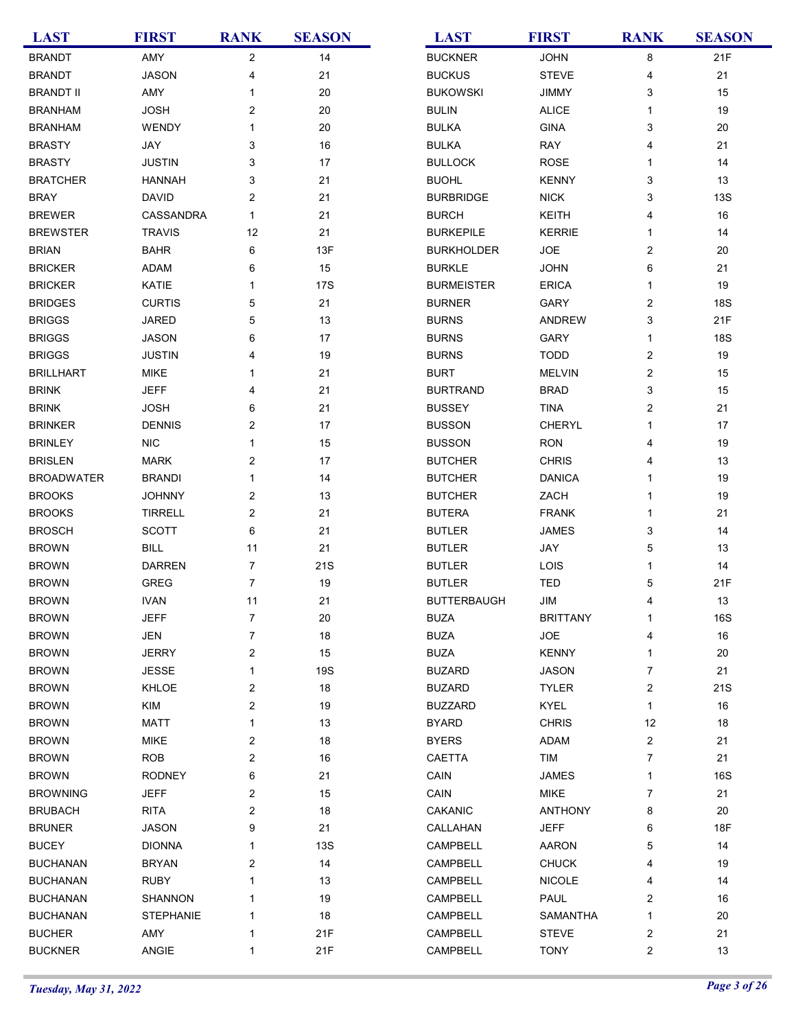| AMY<br>$\overline{2}$<br>14<br><b>BUCKNER</b><br><b>BRANDT</b><br><b>BUCKUS</b><br><b>JASON</b><br>4<br>21<br><b>BRANDT</b> | <b>JOHN</b><br>8<br><b>STEVE</b><br>4    | 21F<br>21  |
|-----------------------------------------------------------------------------------------------------------------------------|------------------------------------------|------------|
|                                                                                                                             |                                          |            |
|                                                                                                                             |                                          |            |
| <b>BRANDT II</b><br>AMY<br>20<br><b>BUKOWSKI</b><br>1                                                                       | <b>JIMMY</b><br>3                        | 15         |
| <b>JOSH</b><br>2<br>20<br><b>BULIN</b><br><b>BRANHAM</b>                                                                    | <b>ALICE</b><br>$\mathbf{1}$             | 19         |
| <b>BRANHAM</b><br>WENDY<br>$\mathbf{1}$<br>20<br><b>BULKA</b>                                                               | <b>GINA</b><br>3                         | 20         |
| <b>BRASTY</b><br>JAY<br>3<br>16<br><b>BULKA</b>                                                                             | <b>RAY</b><br>4                          | 21         |
| <b>BRASTY</b><br><b>JUSTIN</b><br>3<br>17<br><b>BULLOCK</b>                                                                 | <b>ROSE</b><br>$\mathbf{1}$              | 14         |
| <b>BRATCHER</b><br><b>HANNAH</b><br>3<br>21<br><b>BUOHL</b>                                                                 | <b>KENNY</b><br>3                        | 13         |
| <b>BRAY</b><br><b>DAVID</b><br>2<br>21<br><b>BURBRIDGE</b>                                                                  | <b>NICK</b><br>3                         | <b>13S</b> |
| CASSANDRA<br>21<br><b>BURCH</b><br><b>BREWER</b><br>$\mathbf{1}$                                                            | KEITH<br>4                               | 16         |
| <b>BREWSTER</b><br><b>TRAVIS</b><br>12<br>21<br><b>BURKEPILE</b>                                                            | <b>KERRIE</b><br>$\mathbf{1}$            | 14         |
| <b>BRIAN</b><br><b>BAHR</b><br>6<br>13F<br><b>BURKHOLDER</b>                                                                | <b>JOE</b><br>$\overline{c}$             | 20         |
| <b>BRICKER</b><br>ADAM<br>6<br>15<br><b>BURKLE</b>                                                                          | <b>JOHN</b><br>6                         | 21         |
| KATIE<br>17S<br><b>BURMEISTER</b><br><b>BRICKER</b><br>1                                                                    | <b>ERICA</b><br>$\mathbf{1}$             | 19         |
| <b>BRIDGES</b><br><b>CURTIS</b><br>5<br>21<br><b>BURNER</b>                                                                 | GARY<br>$\overline{c}$                   | <b>18S</b> |
| <b>BRIGGS</b><br><b>JARED</b><br>5<br>13<br><b>BURNS</b>                                                                    | 3<br>ANDREW                              | 21F        |
| <b>BRIGGS</b><br><b>JASON</b><br>6<br>17<br><b>BURNS</b>                                                                    | GARY<br>1                                | 18S        |
| <b>BRIGGS</b><br><b>JUSTIN</b><br>19<br><b>BURNS</b><br>4                                                                   | $\overline{\mathbf{c}}$<br><b>TODD</b>   | 19         |
| <b>BRILLHART</b><br><b>MIKE</b><br>21<br><b>BURT</b><br>1                                                                   | $\overline{\mathbf{c}}$<br><b>MELVIN</b> | 15         |
| <b>BRINK</b><br><b>JEFF</b><br>21<br><b>BURTRAND</b><br>4                                                                   | 3<br><b>BRAD</b>                         | 15         |
| <b>BRINK</b><br><b>JOSH</b><br>6<br>21<br><b>BUSSEY</b>                                                                     | <b>TINA</b><br>$\overline{c}$            | 21         |
| <b>DENNIS</b><br>2<br>17<br><b>BUSSON</b><br><b>BRINKER</b>                                                                 | <b>CHERYL</b><br>$\mathbf{1}$            | 17         |
| <b>NIC</b><br>15<br><b>BUSSON</b><br><b>BRINLEY</b><br>1                                                                    | <b>RON</b><br>4                          | 19         |
| 17<br><b>BRISLEN</b><br><b>MARK</b><br>2<br><b>BUTCHER</b>                                                                  | <b>CHRIS</b><br>4                        | 13         |
| <b>BROADWATER</b><br><b>BRANDI</b><br>14<br><b>BUTCHER</b><br>$\mathbf{1}$                                                  | <b>DANICA</b><br>$\mathbf{1}$            | 19         |
| <b>BROOKS</b><br><b>JOHNNY</b><br>2<br>13<br><b>BUTCHER</b>                                                                 | ZACH<br>$\mathbf{1}$                     | 19         |
| <b>BROOKS</b><br><b>TIRRELL</b><br>2<br>21<br><b>BUTERA</b>                                                                 | <b>FRANK</b><br>1                        | 21         |
| <b>BROSCH</b><br><b>SCOTT</b><br>6<br>21<br><b>BUTLER</b>                                                                   | <b>JAMES</b><br>3                        | 14         |
| <b>BROWN</b><br><b>BILL</b><br>21<br><b>BUTLER</b><br>11                                                                    | JAY<br>5                                 | 13         |
| <b>DARREN</b><br>$\overline{7}$<br>21S<br><b>BROWN</b><br><b>BUTLER</b>                                                     | LOIS<br>$\mathbf{1}$                     | 14         |
| <b>BROWN</b><br><b>GREG</b><br>$\overline{7}$<br>19<br><b>BUTLER</b>                                                        | <b>TED</b><br>5                          | 21F        |
| <b>IVAN</b><br>11<br>21<br><b>BUTTERBAUGH</b><br><b>BROWN</b>                                                               | JIM<br>4                                 | 13         |
| <b>BROWN</b><br><b>BUZA</b><br><b>JEFF</b><br>7<br>20                                                                       | <b>BRITTANY</b><br>1                     | 16S        |
| $\overline{7}$<br><b>BROWN</b><br>JEN<br>$18\,$<br><b>BUZA</b>                                                              | JOE<br>4                                 | 16         |
| $\overline{\mathbf{c}}$<br>15<br><b>BUZA</b>                                                                                | <b>KENNY</b><br>1                        | 20         |
| <b>BROWN</b><br><b>JERRY</b><br><b>BROWN</b>                                                                                |                                          | 21         |
| <b>JESSE</b><br>19S<br><b>BUZARD</b><br>1                                                                                   | <b>JASON</b><br>$\overline{7}$           |            |
| $\overline{\mathbf{c}}$<br><b>BROWN</b><br>KHLOE<br>18<br><b>BUZARD</b>                                                     | $\overline{\mathbf{c}}$<br><b>TYLER</b>  | 21S        |
| <b>KIM</b><br>2<br>19<br><b>BROWN</b><br><b>BUZZARD</b>                                                                     | $\mathbf{1}$<br>KYEL                     | 16         |
| <b>BROWN</b><br><b>MATT</b><br>$\mathbf{1}$<br>13<br><b>BYARD</b>                                                           | <b>CHRIS</b><br>12                       | 18         |
| <b>MIKE</b><br>$\overline{2}$<br><b>BYERS</b><br><b>BROWN</b><br>18                                                         | $\overline{c}$<br>ADAM                   | 21         |
| <b>ROB</b><br>2<br><b>BROWN</b><br>16<br>CAETTA                                                                             | $\overline{7}$<br>TIM                    | 21         |
| 6<br>21<br>CAIN<br><b>BROWN</b><br><b>RODNEY</b>                                                                            | $\mathbf{1}$<br><b>JAMES</b>             | <b>16S</b> |
| $\overline{\mathbf{c}}$<br>15<br>CAIN<br><b>BROWNING</b><br><b>JEFF</b>                                                     | $\overline{7}$<br><b>MIKE</b>            | 21         |
| <b>RITA</b><br>$\overline{2}$<br>18<br>CAKANIC<br><b>BRUBACH</b>                                                            | <b>ANTHONY</b><br>8                      | 20         |
| <b>JASON</b><br>9<br>21<br><b>BRUNER</b><br>CALLAHAN                                                                        | <b>JEFF</b><br>6                         | <b>18F</b> |
| CAMPBELL<br><b>BUCEY</b><br><b>DIONNA</b><br>1<br><b>13S</b>                                                                | 5<br><b>AARON</b>                        | 14         |
| $\overline{\mathbf{c}}$<br>14<br><b>BUCHANAN</b><br><b>BRYAN</b><br>CAMPBELL                                                | <b>CHUCK</b><br>4                        | 19         |
| <b>RUBY</b><br>CAMPBELL<br><b>BUCHANAN</b><br>1<br>13                                                                       | <b>NICOLE</b><br>4                       | 14         |
| CAMPBELL<br><b>BUCHANAN</b><br><b>SHANNON</b><br>19<br>1                                                                    | PAUL<br>$\overline{c}$                   | 16         |
| CAMPBELL<br><b>BUCHANAN</b><br><b>STEPHANIE</b><br>1<br>18                                                                  | $\mathbf{1}$<br><b>SAMANTHA</b>          | 20         |
| 21F<br><b>BUCHER</b><br>AMY<br>CAMPBELL<br>1                                                                                | 2<br><b>STEVE</b>                        | 21         |
| <b>BUCKNER</b><br>ANGIE<br>21F<br>CAMPBELL<br>1                                                                             | <b>TONY</b><br>2                         | 13         |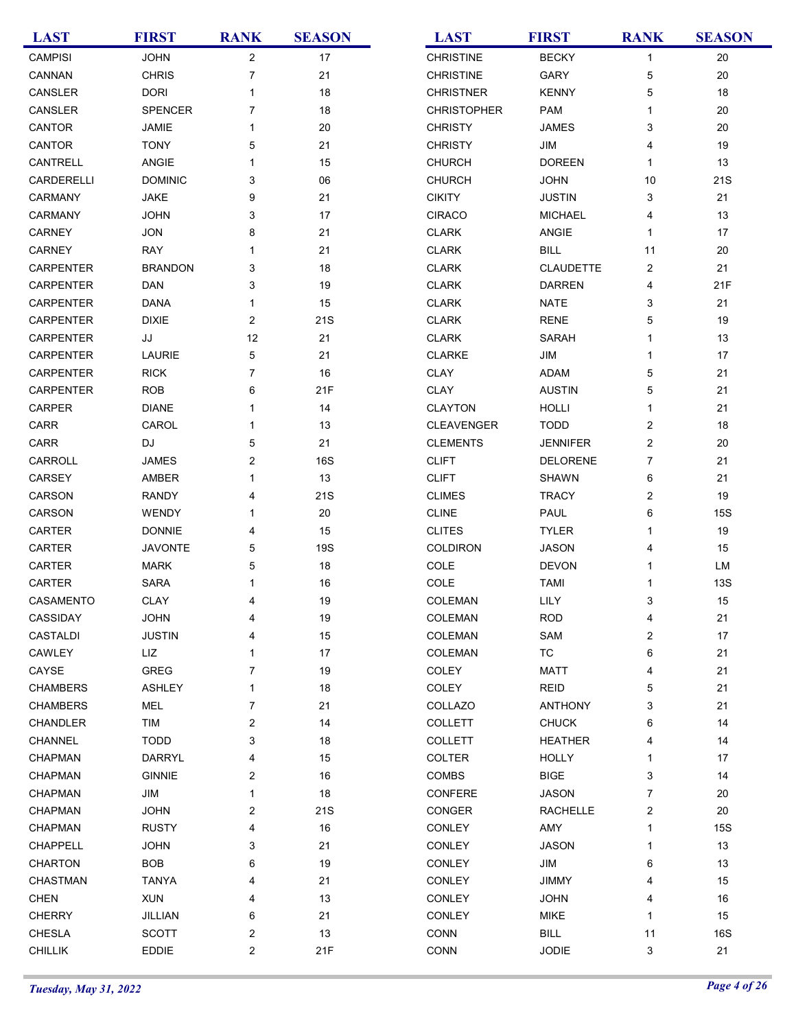| <b>LAST</b>      | <b>FIRST</b>   | <b>RANK</b>             | <b>SEASON</b> | <b>LAST</b>        | <b>FIRST</b>     | <b>RANK</b>             | <b>SEASON</b> |
|------------------|----------------|-------------------------|---------------|--------------------|------------------|-------------------------|---------------|
| <b>CAMPISI</b>   | <b>JOHN</b>    | $\overline{a}$          | 17            | <b>CHRISTINE</b>   | <b>BECKY</b>     | 1                       | 20            |
| CANNAN           | <b>CHRIS</b>   | $\overline{7}$          | 21            | <b>CHRISTINE</b>   | GARY             | 5                       | 20            |
| CANSLER          | <b>DORI</b>    | 1                       | 18            | <b>CHRISTNER</b>   | <b>KENNY</b>     | $\mathbf 5$             | 18            |
| CANSLER          | <b>SPENCER</b> | 7                       | 18            | <b>CHRISTOPHER</b> | <b>PAM</b>       | $\mathbf 1$             | 20            |
| CANTOR           | JAMIE          | 1                       | $20\,$        | <b>CHRISTY</b>     | <b>JAMES</b>     | 3                       | 20            |
| CANTOR           | <b>TONY</b>    | 5                       | 21            | <b>CHRISTY</b>     | JIM              | 4                       | 19            |
| CANTRELL         | ANGIE          | 1                       | 15            | CHURCH             | <b>DOREEN</b>    | $\mathbf{1}$            | 13            |
| CARDERELLI       | <b>DOMINIC</b> | 3                       | 06            | <b>CHURCH</b>      | <b>JOHN</b>      | 10                      | 21S           |
| CARMANY          | <b>JAKE</b>    | 9                       | 21            | <b>CIKITY</b>      | <b>JUSTIN</b>    | 3                       | 21            |
| CARMANY          | <b>JOHN</b>    | 3                       | 17            | <b>CIRACO</b>      | <b>MICHAEL</b>   | 4                       | 13            |
| CARNEY           | <b>JON</b>     | 8                       | 21            | <b>CLARK</b>       | ANGIE            | $\mathbf{1}$            | 17            |
| CARNEY           | <b>RAY</b>     | 1                       | 21            | <b>CLARK</b>       | <b>BILL</b>      | 11                      | 20            |
| CARPENTER        | <b>BRANDON</b> | 3                       | 18            | <b>CLARK</b>       | <b>CLAUDETTE</b> | $\overline{c}$          | 21            |
| CARPENTER        | <b>DAN</b>     | 3                       | $19$          | <b>CLARK</b>       | <b>DARREN</b>    | 4                       | 21F           |
| <b>CARPENTER</b> | <b>DANA</b>    | 1                       | 15            | <b>CLARK</b>       | <b>NATE</b>      | 3                       | 21            |
|                  |                |                         |               |                    |                  |                         |               |
| CARPENTER        | <b>DIXIE</b>   | $\overline{2}$          | 21S           | <b>CLARK</b>       | <b>RENE</b>      | 5                       | 19            |
| <b>CARPENTER</b> | JJ             | 12                      | 21            | <b>CLARK</b>       | SARAH            | 1                       | 13            |
| CARPENTER        | LAURIE         | 5                       | 21            | <b>CLARKE</b>      | JIM              | 1                       | 17            |
| CARPENTER        | <b>RICK</b>    | 7                       | 16            | CLAY               | <b>ADAM</b>      | 5                       | 21            |
| <b>CARPENTER</b> | <b>ROB</b>     | 6                       | 21F           | <b>CLAY</b>        | <b>AUSTIN</b>    | 5                       | 21            |
| CARPER           | <b>DIANE</b>   | 1                       | 14            | <b>CLAYTON</b>     | <b>HOLLI</b>     | 1                       | 21            |
| CARR             | CAROL          | 1                       | 13            | CLEAVENGER         | <b>TODD</b>      | $\overline{\mathbf{c}}$ | 18            |
| CARR             | DJ             | 5                       | 21            | <b>CLEMENTS</b>    | <b>JENNIFER</b>  | 2                       | 20            |
| CARROLL          | <b>JAMES</b>   | 2                       | <b>16S</b>    | <b>CLIFT</b>       | <b>DELORENE</b>  | $\overline{7}$          | 21            |
| CARSEY           | AMBER          | 1                       | 13            | <b>CLIFT</b>       | <b>SHAWN</b>     | 6                       | 21            |
| CARSON           | <b>RANDY</b>   | 4                       | 21S           | <b>CLIMES</b>      | <b>TRACY</b>     | $\overline{\mathbf{c}}$ | 19            |
| CARSON           | WENDY          | 1                       | $20\,$        | <b>CLINE</b>       | PAUL             | 6                       | <b>15S</b>    |
| CARTER           | <b>DONNIE</b>  | 4                       | 15            | <b>CLITES</b>      | <b>TYLER</b>     | 1                       | 19            |
| CARTER           | <b>JAVONTE</b> | 5                       | <b>19S</b>    | COLDIRON           | <b>JASON</b>     | 4                       | 15            |
| CARTER           | <b>MARK</b>    | 5                       | $18\,$        | COLE               | <b>DEVON</b>     | 1                       | LM            |
| CARTER           | SARA           | 1                       | $16\,$        | COLE               | <b>TAMI</b>      | 1                       | <b>13S</b>    |
| CASAMENTO        | <b>CLAY</b>    | 4                       | 19            | COLEMAN            | LILY             | 3                       | 15            |
| CASSIDAY         | <b>JOHN</b>    | 4                       | 19            | COLEMAN            | <b>ROD</b>       | 4                       | 21            |
| <b>CASTALDI</b>  | <b>JUSTIN</b>  | 4                       | 15            | COLEMAN            | SAM              | 2                       | 17            |
| CAWLEY           | LIZ            | 1                       | 17            | COLEMAN            | TC               | 6                       | 21            |
| CAYSE            | GREG           | 7                       | 19            | COLEY              | <b>MATT</b>      | 4                       | 21            |
| <b>CHAMBERS</b>  | <b>ASHLEY</b>  | 1                       | 18            | COLEY              | <b>REID</b>      | 5                       | 21            |
| <b>CHAMBERS</b>  | MEL            | 7                       | 21            | COLLAZO            | <b>ANTHONY</b>   | 3                       | 21            |
| <b>CHANDLER</b>  | <b>TIM</b>     | 2                       | 14            | <b>COLLETT</b>     | <b>CHUCK</b>     | 6                       | 14            |
| CHANNEL          | <b>TODD</b>    | 3                       | 18            | <b>COLLETT</b>     | <b>HEATHER</b>   | 4                       | 14            |
| CHAPMAN          | DARRYL         | 4                       | 15            | COLTER             | <b>HOLLY</b>     | 1                       | 17            |
| CHAPMAN          | <b>GINNIE</b>  | 2                       | 16            | COMBS              | <b>BIGE</b>      | 3                       | 14            |
| <b>CHAPMAN</b>   | JIM            | 1                       | 18            | CONFERE            | <b>JASON</b>     | $\overline{7}$          | 20            |
| <b>CHAPMAN</b>   | <b>JOHN</b>    | 2                       | 21S           | CONGER             | <b>RACHELLE</b>  | 2                       | 20            |
| <b>CHAPMAN</b>   | <b>RUSTY</b>   | 4                       | 16            | CONLEY             | AMY              | 1                       | <b>15S</b>    |
| CHAPPELL         | <b>JOHN</b>    | 3                       | 21            | CONLEY             | <b>JASON</b>     | 1                       | 13            |
| <b>CHARTON</b>   | <b>BOB</b>     | 6                       | $19$          | CONLEY             | JIM              | 6                       | 13            |
| CHASTMAN         | <b>TANYA</b>   | 4                       | 21            | CONLEY             | <b>JIMMY</b>     | 4                       | 15            |
| <b>CHEN</b>      | <b>XUN</b>     | 4                       | 13            | CONLEY             | <b>JOHN</b>      | 4                       | 16            |
| <b>CHERRY</b>    | JILLIAN        | 6                       | 21            | <b>CONLEY</b>      | <b>MIKE</b>      | 1                       | 15            |
| <b>CHESLA</b>    | <b>SCOTT</b>   | $\overline{\mathbf{c}}$ | 13            | CONN               | BILL             | 11                      | 16S           |
| CHILLIK          | <b>EDDIE</b>   | 2                       | 21F           | CONN               | JODIE            | 3                       | 21            |
|                  |                |                         |               |                    |                  |                         |               |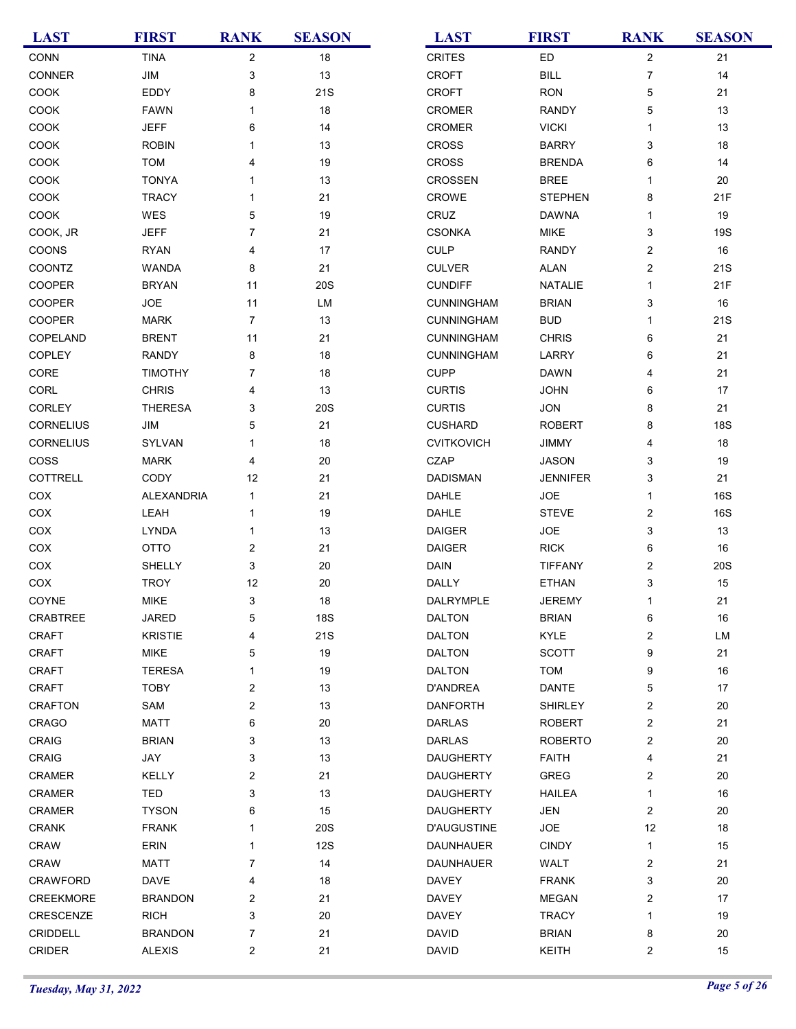| <b>LAST</b>      | <b>FIRST</b>      | <b>RANK</b>             | <b>SEASON</b> |              | <b>LAST</b>        | <b>FIRST</b>    | <b>RANK</b>             | <b>SEASON</b> |
|------------------|-------------------|-------------------------|---------------|--------------|--------------------|-----------------|-------------------------|---------------|
| CONN             | <b>TINA</b>       | $\overline{a}$          | 18            |              | <b>CRITES</b>      | ED              | $\overline{a}$          | 21            |
| CONNER           | JIM               | 3                       | 13            |              | <b>CROFT</b>       | <b>BILL</b>     | $\overline{7}$          | 14            |
| COOK             | EDDY              | 8                       | 21S           |              | <b>CROFT</b>       | <b>RON</b>      | $\mathbf 5$             | 21            |
| COOK             | <b>FAWN</b>       | 1                       | $18$          |              | CROMER             | <b>RANDY</b>    | $\mathbf 5$             | 13            |
| COOK             | <b>JEFF</b>       | 6                       | 14            |              | CROMER             | <b>VICKI</b>    | $\mathbf{1}$            | 13            |
| <b>COOK</b>      | <b>ROBIN</b>      | 1                       | 13            |              | <b>CROSS</b>       | <b>BARRY</b>    | 3                       | 18            |
| COOK             | <b>TOM</b>        | 4                       | $19$          |              | <b>CROSS</b>       | <b>BRENDA</b>   | 6                       | 14            |
| COOK             | <b>TONYA</b>      | 1                       | 13            |              | <b>CROSSEN</b>     | <b>BREE</b>     | $\mathbf 1$             | 20            |
| COOK             | <b>TRACY</b>      | 1                       | 21            |              | CROWE              | <b>STEPHEN</b>  | 8                       | 21F           |
| COOK             | WES               | 5                       | 19            | CRUZ         |                    | <b>DAWNA</b>    | 1                       | 19            |
| COOK, JR         | <b>JEFF</b>       | $\overline{7}$          | 21            |              | <b>CSONKA</b>      | <b>MIKE</b>     | 3                       | 19S           |
| COONS            | <b>RYAN</b>       | 4                       | 17            | <b>CULP</b>  |                    | <b>RANDY</b>    | $\overline{c}$          | 16            |
| COONTZ           | <b>WANDA</b>      | 8                       | 21            |              | <b>CULVER</b>      | <b>ALAN</b>     | $\overline{\mathbf{c}}$ | 21S           |
| COOPER           | <b>BRYAN</b>      | 11                      | <b>20S</b>    |              | <b>CUNDIFF</b>     | <b>NATALIE</b>  | 1                       | 21F           |
| COOPER           | JOE               | 11                      | LM            |              | <b>CUNNINGHAM</b>  | <b>BRIAN</b>    | 3                       | 16            |
| COOPER           | <b>MARK</b>       | $\overline{7}$          | 13            |              | <b>CUNNINGHAM</b>  | <b>BUD</b>      | 1                       | 21S           |
| COPELAND         | <b>BRENT</b>      | 11                      | 21            |              | <b>CUNNINGHAM</b>  | <b>CHRIS</b>    | 6                       | 21            |
| COPLEY           | <b>RANDY</b>      | 8                       | $18$          |              | <b>CUNNINGHAM</b>  | LARRY           | 6                       | 21            |
| CORE             | <b>TIMOTHY</b>    | 7                       | $18$          | <b>CUPP</b>  |                    | <b>DAWN</b>     | 4                       | 21            |
| CORL             | <b>CHRIS</b>      | 4                       | 13            |              | <b>CURTIS</b>      | <b>JOHN</b>     | 6                       | 17            |
| CORLEY           | <b>THERESA</b>    | 3                       | <b>20S</b>    |              | <b>CURTIS</b>      | <b>JON</b>      | 8                       | 21            |
| <b>CORNELIUS</b> | JIM               | 5                       | 21            |              | <b>CUSHARD</b>     | <b>ROBERT</b>   | 8                       | 18S           |
| <b>CORNELIUS</b> | SYLVAN            | 1                       | $18$          |              | <b>CVITKOVICH</b>  | <b>JIMMY</b>    | 4                       | 18            |
| COSS             | <b>MARK</b>       | 4                       | $20\,$        | <b>CZAP</b>  |                    | <b>JASON</b>    | 3                       | 19            |
| COTTRELL         | CODY              | 12                      | 21            |              | <b>DADISMAN</b>    | <b>JENNIFER</b> | 3                       | 21            |
| COX              | <b>ALEXANDRIA</b> | 1                       | 21            | DAHLE        |                    | JOE             | 1                       | 16S           |
| COX              | LEAH              | 1                       | $19$          | DAHLE        |                    | <b>STEVE</b>    | $\boldsymbol{2}$        | 16S           |
| COX              | LYNDA             | 1                       | 13            |              | <b>DAIGER</b>      | JOE             | 3                       | 13            |
| COX              | OTTO              | $\overline{\mathbf{c}}$ | 21            |              | <b>DAIGER</b>      | <b>RICK</b>     | 6                       | 16            |
| COX              | SHELLY            | 3                       | $20\,$        | <b>DAIN</b>  |                    | <b>TIFFANY</b>  | $\overline{\mathbf{c}}$ | 20S           |
| COX              | <b>TROY</b>       | 12                      | $20\,$        | DALLY        |                    | <b>ETHAN</b>    | 3                       | 15            |
| COYNE            | <b>MIKE</b>       | 3                       | 18            |              | DALRYMPLE          | <b>JEREMY</b>   | 1                       | 21            |
| CRABTREE         | <b>JARED</b>      | 5                       | 18S           |              | <b>DALTON</b>      | <b>BRIAN</b>    | 6                       | 16            |
| <b>CRAFT</b>     | <b>KRISTIE</b>    | 4                       | <b>21S</b>    |              | <b>DALTON</b>      | KYLE            | $\boldsymbol{2}$        | LM            |
| <b>CRAFT</b>     | <b>MIKE</b>       | 5                       | $19$          |              | <b>DALTON</b>      | <b>SCOTT</b>    | 9                       | 21            |
| <b>CRAFT</b>     | <b>TERESA</b>     | 1                       | 19            |              | <b>DALTON</b>      | <b>TOM</b>      | 9                       | 16            |
| CRAFT            | <b>TOBY</b>       | 2                       | 13            |              | D'ANDREA           | DANTE           | 5                       | 17            |
| <b>CRAFTON</b>   | SAM               | 2                       | 13            |              | <b>DANFORTH</b>    | <b>SHIRLEY</b>  | $\overline{c}$          | 20            |
| <b>CRAGO</b>     | <b>MATT</b>       | 6                       | 20            |              | <b>DARLAS</b>      | <b>ROBERT</b>   | $\overline{\mathbf{c}}$ | 21            |
| CRAIG            | <b>BRIAN</b>      | 3                       | 13            |              | <b>DARLAS</b>      | <b>ROBERTO</b>  | $\overline{\mathbf{c}}$ | 20            |
| CRAIG            | JAY               | 3                       | 13            |              | <b>DAUGHERTY</b>   | <b>FAITH</b>    | 4                       | 21            |
| <b>CRAMER</b>    | <b>KELLY</b>      | 2                       | 21            |              | <b>DAUGHERTY</b>   | GREG            | $\overline{c}$          | 20            |
| <b>CRAMER</b>    | <b>TED</b>        | 3                       | 13            |              | <b>DAUGHERTY</b>   | <b>HAILEA</b>   | 1                       | 16            |
| <b>CRAMER</b>    | <b>TYSON</b>      | 6                       | 15            |              | <b>DAUGHERTY</b>   | JEN             | $\overline{c}$          | 20            |
| <b>CRANK</b>     | <b>FRANK</b>      | 1                       | <b>20S</b>    |              | <b>D'AUGUSTINE</b> | JOE             | 12                      | 18            |
| CRAW             | ERIN              | 1                       | <b>12S</b>    |              | <b>DAUNHAUER</b>   | <b>CINDY</b>    | $\mathbf{1}$            | 15            |
| <b>CRAW</b>      | <b>MATT</b>       | 7                       | 14            |              | <b>DAUNHAUER</b>   | WALT            | $\overline{\mathbf{c}}$ | 21            |
| <b>CRAWFORD</b>  | DAVE              | 4                       | 18            |              | <b>DAVEY</b>       | <b>FRANK</b>    | 3                       | 20            |
| CREEKMORE        | <b>BRANDON</b>    | 2                       | 21            |              | <b>DAVEY</b>       | <b>MEGAN</b>    | 2                       | 17            |
| CRESCENZE        | <b>RICH</b>       | 3                       | 20            |              | <b>DAVEY</b>       | <b>TRACY</b>    | 1                       | 19            |
| <b>CRIDDELL</b>  | <b>BRANDON</b>    | $\overline{7}$          | 21            | <b>DAVID</b> |                    | <b>BRIAN</b>    | 8                       | 20            |
| CRIDER           | <b>ALEXIS</b>     | 2                       | 21            | <b>DAVID</b> |                    | KEITH           | 2                       | 15            |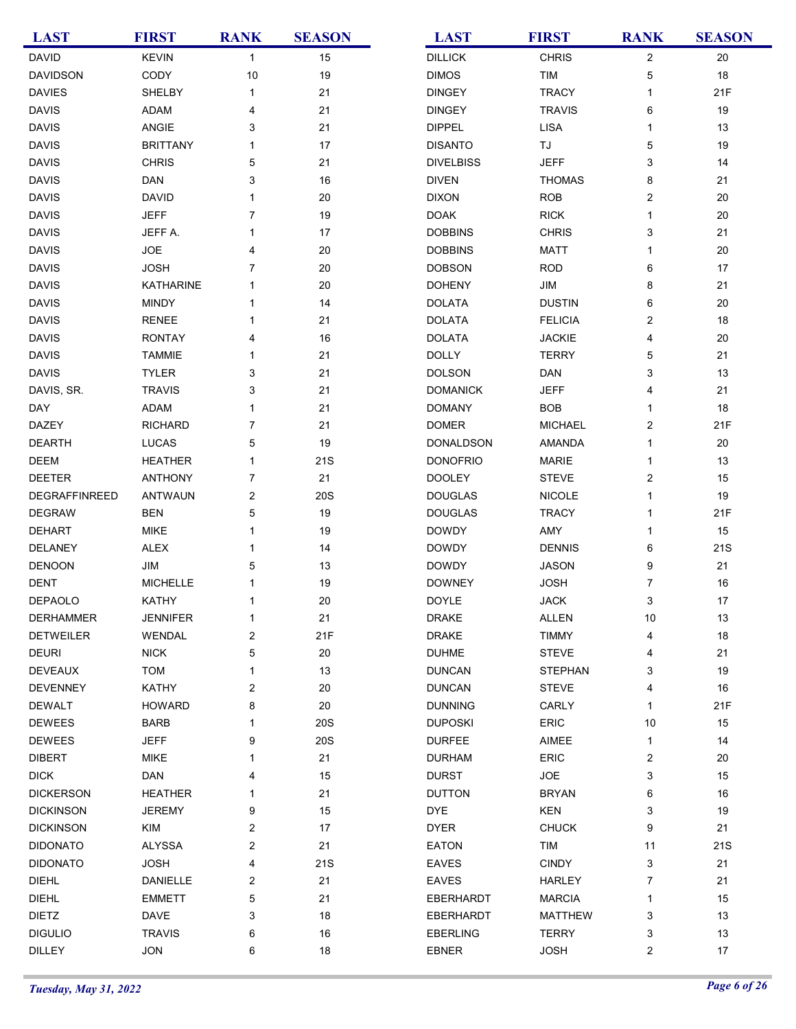| <b>LAST</b>          | <b>FIRST</b>    | <b>RANK</b>    | <b>SEASON</b> | <b>LAST</b>      | <b>FIRST</b>                  | <b>RANK</b>               | <b>SEASON</b> |
|----------------------|-----------------|----------------|---------------|------------------|-------------------------------|---------------------------|---------------|
| <b>DAVID</b>         | <b>KEVIN</b>    | $\mathbf{1}$   | 15            | <b>DILLICK</b>   | <b>CHRIS</b>                  | $\overline{c}$            | 20            |
| <b>DAVIDSON</b>      | CODY            | 10             | 19            | <b>DIMOS</b>     | TIM                           | $\mathbf 5$               | 18            |
| <b>DAVIES</b>        | SHELBY          | 1              | 21            | <b>DINGEY</b>    | <b>TRACY</b>                  | $\mathbf{1}$              | 21F           |
| <b>DAVIS</b>         | ADAM            | 4              | 21            | <b>DINGEY</b>    | <b>TRAVIS</b>                 | 6                         | 19            |
| <b>DAVIS</b>         | ANGIE           | 3              | 21            | <b>DIPPEL</b>    | <b>LISA</b>                   | 1                         | 13            |
| <b>DAVIS</b>         | <b>BRITTANY</b> | 1              | 17            | <b>DISANTO</b>   | TJ                            | 5                         | 19            |
| <b>DAVIS</b>         | <b>CHRIS</b>    | 5              | 21            | <b>DIVELBISS</b> | <b>JEFF</b>                   | 3                         | 14            |
| <b>DAVIS</b>         | <b>DAN</b>      | 3              | $16$          | <b>DIVEN</b>     | <b>THOMAS</b>                 | 8                         | 21            |
| <b>DAVIS</b>         | <b>DAVID</b>    | 1              | 20            | <b>DIXON</b>     | <b>ROB</b>                    | $\overline{c}$            | 20            |
| <b>DAVIS</b>         | <b>JEFF</b>     | 7              | 19            | <b>DOAK</b>      | <b>RICK</b>                   | 1                         | 20            |
| <b>DAVIS</b>         | JEFF A.         | 1              | 17            | <b>DOBBINS</b>   | <b>CHRIS</b>                  | 3                         | 21            |
| <b>DAVIS</b>         | <b>JOE</b>      | 4              | 20            | <b>DOBBINS</b>   | <b>MATT</b>                   | $\mathbf{1}$              | 20            |
| <b>DAVIS</b>         | <b>JOSH</b>     | 7              | 20            | <b>DOBSON</b>    | <b>ROD</b>                    | 6                         | 17            |
| <b>DAVIS</b>         | KATHARINE       | 1              | 20            | <b>DOHENY</b>    | JIM                           | 8                         | 21            |
| <b>DAVIS</b>         | <b>MINDY</b>    | 1              | 14            | <b>DOLATA</b>    | <b>DUSTIN</b>                 | 6                         | 20            |
| <b>DAVIS</b>         | <b>RENEE</b>    | 1              | 21            | <b>DOLATA</b>    | <b>FELICIA</b>                | $\overline{c}$            | 18            |
| <b>DAVIS</b>         | <b>RONTAY</b>   | 4              | 16            | <b>DOLATA</b>    | <b>JACKIE</b>                 | 4                         | 20            |
| <b>DAVIS</b>         | <b>TAMMIE</b>   | 1              | 21            | <b>DOLLY</b>     | <b>TERRY</b>                  | $\mathbf 5$               | 21            |
| <b>DAVIS</b>         | <b>TYLER</b>    | 3              | 21            | <b>DOLSON</b>    | <b>DAN</b>                    | 3                         | 13            |
| DAVIS, SR.           | <b>TRAVIS</b>   | 3              | 21            | <b>DOMANICK</b>  | <b>JEFF</b>                   | 4                         | 21            |
| DAY                  | ADAM            | $\mathbf{1}$   | 21            | <b>DOMANY</b>    | <b>BOB</b>                    | 1                         | 18            |
| <b>DAZEY</b>         | <b>RICHARD</b>  | $\overline{7}$ | 21            | <b>DOMER</b>     | <b>MICHAEL</b>                | $\overline{c}$            | 21F           |
|                      |                 |                |               |                  |                               |                           |               |
| <b>DEARTH</b>        | LUCAS           | 5              | 19            | DONALDSON        | <b>AMANDA</b><br><b>MARIE</b> | 1                         | 20            |
| DEEM                 | <b>HEATHER</b>  | 1              | 21S           | <b>DONOFRIO</b>  |                               | 1                         | 13            |
| <b>DEETER</b>        | <b>ANTHONY</b>  | 7              | 21            | <b>DOOLEY</b>    | <b>STEVE</b>                  | $\overline{c}$            | 15            |
| <b>DEGRAFFINREED</b> | <b>ANTWAUN</b>  | $\overline{2}$ | 20S           | <b>DOUGLAS</b>   | <b>NICOLE</b>                 | 1                         | 19            |
| <b>DEGRAW</b>        | <b>BEN</b>      | 5              | 19            | <b>DOUGLAS</b>   | <b>TRACY</b>                  | 1                         | 21F           |
| <b>DEHART</b>        | <b>MIKE</b>     | 1              | 19            | <b>DOWDY</b>     | AMY                           | 1                         | 15            |
| <b>DELANEY</b>       | <b>ALEX</b>     | 1              | 14            | <b>DOWDY</b>     | <b>DENNIS</b>                 | 6                         | <b>21S</b>    |
| <b>DENOON</b>        | JIM             | 5              | 13            | <b>DOWDY</b>     | <b>JASON</b>                  | 9                         | 21            |
| <b>DENT</b>          | <b>MICHELLE</b> | 1              | 19            | <b>DOWNEY</b>    | <b>JOSH</b>                   | 7                         | 16            |
| <b>DEPAOLO</b>       | KATHY           | 1              | 20            | <b>DOYLE</b>     | <b>JACK</b>                   | 3                         | 17            |
| <b>DERHAMMER</b>     | <b>JENNIFER</b> | $\mathbf{1}$   | 21            | <b>DRAKE</b>     | <b>ALLEN</b>                  | 10                        | 13            |
| <b>DETWEILER</b>     | WENDAL          | $\overline{2}$ | 21F           | <b>DRAKE</b>     | <b>TIMMY</b>                  | 4                         | 18            |
| <b>DEURI</b>         | <b>NICK</b>     | 5              | 20            | <b>DUHME</b>     | <b>STEVE</b>                  | 4                         | 21            |
| <b>DEVEAUX</b>       | <b>TOM</b>      | 1              | 13            | <b>DUNCAN</b>    | <b>STEPHAN</b>                | 3                         | 19            |
| <b>DEVENNEY</b>      | KATHY           | 2              | 20            | <b>DUNCAN</b>    | <b>STEVE</b>                  | 4                         | 16            |
| <b>DEWALT</b>        | <b>HOWARD</b>   | 8              | 20            | <b>DUNNING</b>   | CARLY                         | $\mathbf{1}$              | 21F           |
| <b>DEWEES</b>        | <b>BARB</b>     | 1              | <b>20S</b>    | <b>DUPOSKI</b>   | ERIC                          | 10                        | 15            |
| <b>DEWEES</b>        | <b>JEFF</b>     | 9              | 20S           | <b>DURFEE</b>    | AIMEE                         | $\mathbf{1}$              | 14            |
| <b>DIBERT</b>        | <b>MIKE</b>     | 1              | 21            | <b>DURHAM</b>    | ERIC                          | $\overline{c}$            | 20            |
| <b>DICK</b>          | <b>DAN</b>      | 4              | 15            | <b>DURST</b>     | <b>JOE</b>                    | 3                         | 15            |
| <b>DICKERSON</b>     | <b>HEATHER</b>  | 1              | 21            | <b>DUTTON</b>    | <b>BRYAN</b>                  | 6                         | 16            |
| <b>DICKINSON</b>     | JEREMY          | 9              | 15            | <b>DYE</b>       | <b>KEN</b>                    | 3                         | 19            |
| <b>DICKINSON</b>     | <b>KIM</b>      | 2              | 17            | <b>DYER</b>      | <b>CHUCK</b>                  | 9                         | 21            |
| <b>DIDONATO</b>      | ALYSSA          | 2              | 21            | <b>EATON</b>     | TIM                           | 11                        | <b>21S</b>    |
| <b>DIDONATO</b>      | <b>JOSH</b>     | 4              | 21S           | EAVES            | <b>CINDY</b>                  | 3                         | 21            |
| <b>DIEHL</b>         | <b>DANIELLE</b> | 2              | 21            | <b>EAVES</b>     | <b>HARLEY</b>                 | $\overline{7}$            | 21            |
| <b>DIEHL</b>         | <b>EMMETT</b>   | 5              | 21            | EBERHARDT        | <b>MARCIA</b>                 | $\mathbf{1}$              | 15            |
| <b>DIETZ</b>         | <b>DAVE</b>     | 3              | 18            | EBERHARDT        | <b>MATTHEW</b>                | 3                         | 13            |
| <b>DIGULIO</b>       | <b>TRAVIS</b>   | 6              | 16            | <b>EBERLING</b>  | <b>TERRY</b>                  | $\ensuremath{\mathsf{3}}$ | 13            |
| <b>DILLEY</b>        | JON             | 6              | $18$          | EBNER            | <b>JOSH</b>                   | $\boldsymbol{2}$          | 17            |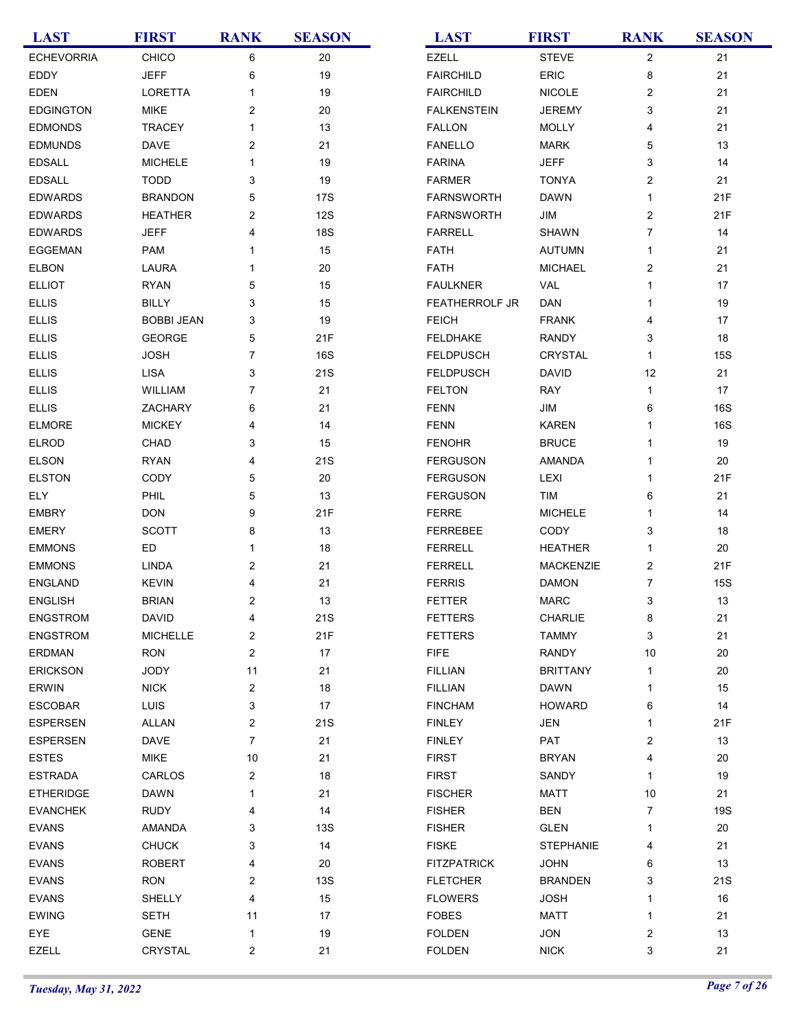| <b>LAST</b>       | <b>FIRST</b>      | <b>RANK</b>    | <b>SEASON</b> | <b>LAST</b>        | <b>FIRST</b>     | <b>RANK</b>               | <b>SEASON</b> |
|-------------------|-------------------|----------------|---------------|--------------------|------------------|---------------------------|---------------|
| <b>ECHEVORRIA</b> | CHICO             | 6              | $20\,$        | <b>EZELL</b>       | <b>STEVE</b>     | $\overline{c}$            | 21            |
| EDDY              | <b>JEFF</b>       | 6              | 19            | <b>FAIRCHILD</b>   | ERIC             | 8                         | 21            |
| <b>EDEN</b>       | LORETTA           | $\mathbf{1}$   | 19            | <b>FAIRCHILD</b>   | <b>NICOLE</b>    | $\overline{\mathbf{c}}$   | 21            |
| <b>EDGINGTON</b>  | <b>MIKE</b>       | 2              | 20            | <b>FALKENSTEIN</b> | <b>JEREMY</b>    | 3                         | 21            |
| <b>EDMONDS</b>    | <b>TRACEY</b>     | $\mathbf{1}$   | 13            | <b>FALLON</b>      | <b>MOLLY</b>     | 4                         | 21            |
| <b>EDMUNDS</b>    | <b>DAVE</b>       | 2              | 21            | <b>FANELLO</b>     | <b>MARK</b>      | 5                         | 13            |
| <b>EDSALL</b>     | <b>MICHELE</b>    | $\mathbf{1}$   | 19            | <b>FARINA</b>      | <b>JEFF</b>      | 3                         | 14            |
| <b>EDSALL</b>     | <b>TODD</b>       | 3              | 19            | <b>FARMER</b>      | <b>TONYA</b>     | $\overline{c}$            | 21            |
| <b>EDWARDS</b>    | <b>BRANDON</b>    | 5              | <b>17S</b>    | <b>FARNSWORTH</b>  | <b>DAWN</b>      | $\mathbf{1}$              | 21F           |
| <b>EDWARDS</b>    | <b>HEATHER</b>    | 2              | <b>12S</b>    | <b>FARNSWORTH</b>  | JIM              | $\overline{\mathbf{c}}$   | 21F           |
| <b>EDWARDS</b>    | <b>JEFF</b>       | 4              | 18S           | <b>FARRELL</b>     | <b>SHAWN</b>     | 7                         | 14            |
| <b>EGGEMAN</b>    | PAM               | 1              | 15            | <b>FATH</b>        | <b>AUTUMN</b>    | $\mathbf{1}$              | 21            |
| <b>ELBON</b>      | <b>LAURA</b>      | 1              | 20            | <b>FATH</b>        | <b>MICHAEL</b>   | $\overline{c}$            | 21            |
| <b>ELLIOT</b>     | <b>RYAN</b>       | 5              | 15            | <b>FAULKNER</b>    | VAL              | 1                         | 17            |
| <b>ELLIS</b>      | <b>BILLY</b>      | 3              | 15            | FEATHERROLF JR     | <b>DAN</b>       | 1                         | 19            |
| <b>ELLIS</b>      | <b>BOBBI JEAN</b> | 3              | 19            | <b>FEICH</b>       | <b>FRANK</b>     | 4                         | 17            |
| <b>ELLIS</b>      | GEORGE            | 5              | 21F           | <b>FELDHAKE</b>    | <b>RANDY</b>     | 3                         | 18            |
| <b>ELLIS</b>      | <b>JOSH</b>       | $\overline{7}$ | <b>16S</b>    | <b>FELDPUSCH</b>   | <b>CRYSTAL</b>   | $\mathbf{1}$              | <b>15S</b>    |
| <b>ELLIS</b>      | <b>LISA</b>       | 3              | 21S           | <b>FELDPUSCH</b>   | <b>DAVID</b>     | 12                        | 21            |
| <b>ELLIS</b>      | WILLIAM           | $\overline{7}$ | 21            | <b>FELTON</b>      | <b>RAY</b>       | $\mathbf{1}$              | 17            |
| <b>ELLIS</b>      | ZACHARY           | 6              | 21            | <b>FENN</b>        | JIM              | 6                         | <b>16S</b>    |
| <b>ELMORE</b>     | <b>MICKEY</b>     | 4              | 14            | <b>FENN</b>        | <b>KAREN</b>     | 1                         | 16S           |
| <b>ELROD</b>      | CHAD              | 3              | 15            | <b>FENOHR</b>      | <b>BRUCE</b>     | 1                         | 19            |
| <b>ELSON</b>      | <b>RYAN</b>       | 4              | 21S           | <b>FERGUSON</b>    | AMANDA           | 1                         | 20            |
| <b>ELSTON</b>     | CODY              | 5              | 20            | <b>FERGUSON</b>    | LEXI             | $\mathbf{1}$              | 21F           |
| <b>ELY</b>        | PHIL              | 5              | 13            | <b>FERGUSON</b>    | TIM              | 6                         | 21            |
| <b>EMBRY</b>      | <b>DON</b>        | 9              | 21F           | <b>FERRE</b>       | <b>MICHELE</b>   | 1                         | 14            |
| <b>EMERY</b>      | <b>SCOTT</b>      | 8              | 13            | <b>FERREBEE</b>    | CODY             | 3                         | 18            |
| <b>EMMONS</b>     | ED                | $\mathbf{1}$   | 18            | <b>FERRELL</b>     | <b>HEATHER</b>   | $\mathbf{1}$              | 20            |
| <b>EMMONS</b>     | <b>LINDA</b>      | 2              | 21            | <b>FERRELL</b>     | MACKENZIE        | $\overline{c}$            | 21F           |
| <b>ENGLAND</b>    | <b>KEVIN</b>      | 4              | 21            | <b>FERRIS</b>      | <b>DAMON</b>     | $\overline{7}$            | <b>15S</b>    |
| <b>ENGLISH</b>    | <b>BRIAN</b>      | 2              | 13            | <b>FETTER</b>      | <b>MARC</b>      | 3                         | 13            |
| ENGSTROM          | <b>DAVID</b>      | 4              | 21S           | <b>FETTERS</b>     | CHARLIE          | 8                         | 21            |
| <b>ENGSTROM</b>   | <b>MICHELLE</b>   | $\overline{2}$ | 21F           | <b>FETTERS</b>     | <b>TAMMY</b>     | 3                         | 21            |
| <b>ERDMAN</b>     | <b>RON</b>        | $\overline{2}$ | 17            | <b>FIFE</b>        | <b>RANDY</b>     | 10                        | 20            |
| <b>ERICKSON</b>   | <b>JODY</b>       | 11             | 21            | <b>FILLIAN</b>     | <b>BRITTANY</b>  | 1                         | 20            |
| <b>ERWIN</b>      | <b>NICK</b>       | $\overline{2}$ | 18            | <b>FILLIAN</b>     | <b>DAWN</b>      | $\mathbf 1$               | 15            |
| <b>ESCOBAR</b>    | <b>LUIS</b>       | 3              | 17            | <b>FINCHAM</b>     | <b>HOWARD</b>    | 6                         | 14            |
| <b>ESPERSEN</b>   | <b>ALLAN</b>      | $\overline{c}$ | 21S           | <b>FINLEY</b>      | JEN              | $\mathbf{1}$              | 21F           |
| <b>ESPERSEN</b>   | <b>DAVE</b>       | $\overline{7}$ | 21            | <b>FINLEY</b>      | PAT              | $\overline{c}$            | 13            |
| <b>ESTES</b>      | <b>MIKE</b>       | 10             | 21            | <b>FIRST</b>       | <b>BRYAN</b>     | 4                         | 20            |
| <b>ESTRADA</b>    | CARLOS            | $\overline{2}$ | 18            | <b>FIRST</b>       | SANDY            | $\mathbf{1}$              | 19            |
| <b>ETHERIDGE</b>  | <b>DAWN</b>       | 1              | 21            | <b>FISCHER</b>     | <b>MATT</b>      | 10                        | 21            |
| <b>EVANCHEK</b>   | <b>RUDY</b>       | 4              | 14            | <b>FISHER</b>      | <b>BEN</b>       | 7                         | <b>19S</b>    |
| <b>EVANS</b>      | AMANDA            | 3              | 13S           | <b>FISHER</b>      | <b>GLEN</b>      | $\mathbf 1$               | 20            |
| <b>EVANS</b>      | <b>CHUCK</b>      | 3              | 14            | <b>FISKE</b>       | <b>STEPHANIE</b> | 4                         | 21            |
| <b>EVANS</b>      | <b>ROBERT</b>     | 4              | 20            | <b>FITZPATRICK</b> | <b>JOHN</b>      | 6                         | 13            |
| <b>EVANS</b>      | <b>RON</b>        | $\overline{2}$ | 13S           | <b>FLETCHER</b>    | <b>BRANDEN</b>   | 3                         | 21S           |
| <b>EVANS</b>      | <b>SHELLY</b>     | 4              | 15            | <b>FLOWERS</b>     | <b>JOSH</b>      | $\mathbf{1}$              | 16            |
| <b>EWING</b>      | <b>SETH</b>       | 11             | 17            | <b>FOBES</b>       | <b>MATT</b>      | $\mathbf{1}$              | 21            |
| EYE               | <b>GENE</b>       | 1              | 19            | <b>FOLDEN</b>      | <b>JON</b>       | $\overline{c}$            | 13            |
| <b>EZELL</b>      | CRYSTAL           | 2              | 21            | <b>FOLDEN</b>      | <b>NICK</b>      | $\ensuremath{\mathsf{3}}$ | 21            |
|                   |                   |                |               |                    |                  |                           |               |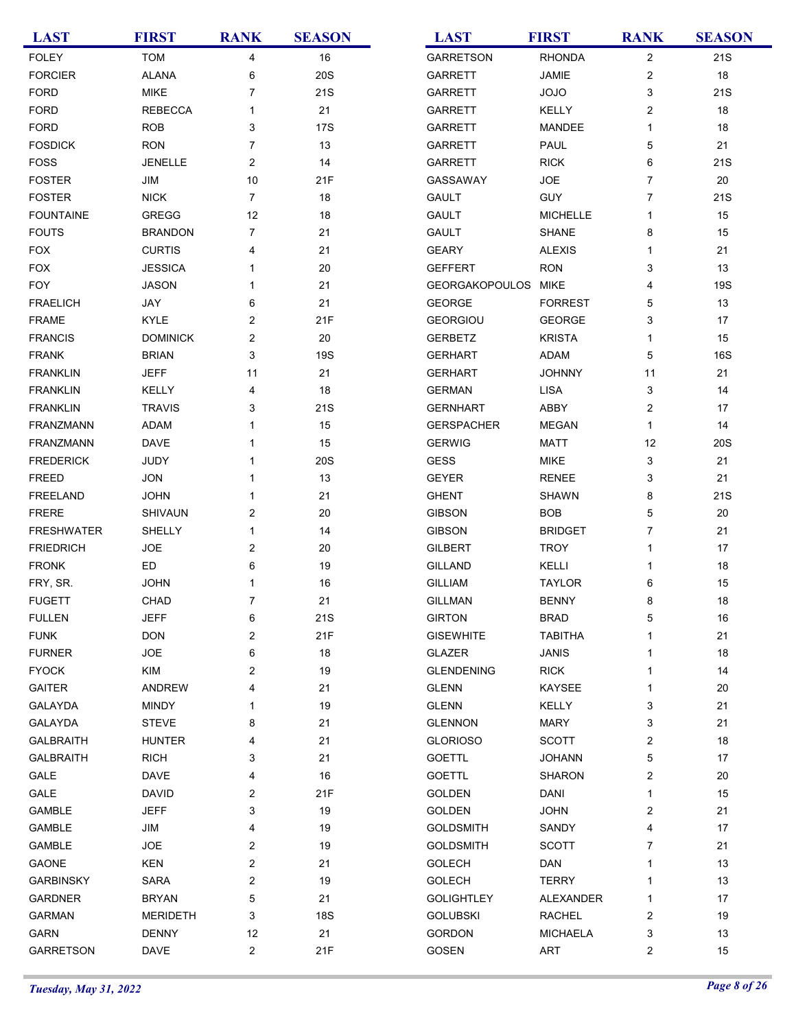| <b>LAST</b>       | <b>FIRST</b>    | <b>RANK</b>    | <b>SEASON</b> | <b>LAST</b>         | <b>FIRST</b>    | <b>RANK</b>      | <b>SEASON</b> |
|-------------------|-----------------|----------------|---------------|---------------------|-----------------|------------------|---------------|
| <b>FOLEY</b>      | <b>TOM</b>      | 4              | 16            | <b>GARRETSON</b>    | <b>RHONDA</b>   | $\overline{c}$   | <b>21S</b>    |
| <b>FORCIER</b>    | <b>ALANA</b>    | 6              | 20S           | <b>GARRETT</b>      | JAMIE           | $\overline{c}$   | 18            |
| <b>FORD</b>       | <b>MIKE</b>     | 7              | 21S           | <b>GARRETT</b>      | <b>JOJO</b>     | 3                | 21S           |
| <b>FORD</b>       | <b>REBECCA</b>  | $\mathbf{1}$   | 21            | <b>GARRETT</b>      | KELLY           | $\overline{c}$   | 18            |
| <b>FORD</b>       | <b>ROB</b>      | 3              | 17S           | <b>GARRETT</b>      | MANDEE          | $\mathbf{1}$     | 18            |
| <b>FOSDICK</b>    | <b>RON</b>      | $\overline{7}$ | 13            | <b>GARRETT</b>      | PAUL            | 5                | 21            |
| <b>FOSS</b>       | <b>JENELLE</b>  | $\overline{2}$ | 14            | <b>GARRETT</b>      | <b>RICK</b>     | 6                | 21S           |
| <b>FOSTER</b>     | JIM             | 10             | 21F           | GASSAWAY            | <b>JOE</b>      | 7                | 20            |
| <b>FOSTER</b>     | <b>NICK</b>     | $\overline{7}$ | 18            | <b>GAULT</b>        | <b>GUY</b>      | 7                | 21S           |
| <b>FOUNTAINE</b>  | <b>GREGG</b>    | 12             | 18            | <b>GAULT</b>        | <b>MICHELLE</b> | $\mathbf{1}$     | 15            |
| <b>FOUTS</b>      | <b>BRANDON</b>  | $\overline{7}$ | 21            | <b>GAULT</b>        | <b>SHANE</b>    | 8                | 15            |
| <b>FOX</b>        | <b>CURTIS</b>   | 4              | 21            | <b>GEARY</b>        | <b>ALEXIS</b>   | $\mathbf{1}$     | 21            |
| <b>FOX</b>        | <b>JESSICA</b>  | 1              | 20            | <b>GEFFERT</b>      | <b>RON</b>      | 3                | 13            |
| <b>FOY</b>        | <b>JASON</b>    | 1              | 21            | GEORGAKOPOULOS MIKE |                 | 4                | <b>19S</b>    |
| <b>FRAELICH</b>   | JAY             | 6              | 21            | <b>GEORGE</b>       | <b>FORREST</b>  | 5                | 13            |
| <b>FRAME</b>      | <b>KYLE</b>     | 2              | 21F           | <b>GEORGIOU</b>     | <b>GEORGE</b>   | 3                | 17            |
| <b>FRANCIS</b>    | <b>DOMINICK</b> | $\overline{2}$ | 20            | <b>GERBETZ</b>      | <b>KRISTA</b>   | $\mathbf{1}$     | 15            |
| <b>FRANK</b>      | <b>BRIAN</b>    | 3              | 19S           | <b>GERHART</b>      | ADAM            | $\mathbf 5$      | 16S           |
| <b>FRANKLIN</b>   | <b>JEFF</b>     | 11             | 21            | <b>GERHART</b>      | <b>JOHNNY</b>   | 11               | 21            |
| <b>FRANKLIN</b>   | KELLY           | 4              | 18            | <b>GERMAN</b>       | <b>LISA</b>     | 3                | 14            |
| <b>FRANKLIN</b>   | <b>TRAVIS</b>   | 3              | 21S           | <b>GERNHART</b>     | ABBY            | $\overline{2}$   | 17            |
| <b>FRANZMANN</b>  | ADAM            | 1              | 15            | <b>GERSPACHER</b>   | <b>MEGAN</b>    | $\mathbf{1}$     | 14            |
| <b>FRANZMANN</b>  | <b>DAVE</b>     | 1              | 15            | <b>GERWIG</b>       | <b>MATT</b>     | 12               | <b>20S</b>    |
| <b>FREDERICK</b>  | <b>JUDY</b>     | 1              | 20S           | <b>GESS</b>         | <b>MIKE</b>     | 3                | 21            |
| <b>FREED</b>      | <b>JON</b>      | 1              | 13            | <b>GEYER</b>        | <b>RENEE</b>    | 3                | 21            |
| <b>FREELAND</b>   | <b>JOHN</b>     | 1              | 21            | <b>GHENT</b>        | <b>SHAWN</b>    | 8                | 21S           |
| <b>FRERE</b>      | SHIVAUN         | 2              | 20            | <b>GIBSON</b>       | <b>BOB</b>      | 5                | 20            |
| <b>FRESHWATER</b> | SHELLY          | 1              | 14            | <b>GIBSON</b>       | <b>BRIDGET</b>  | 7                | 21            |
| <b>FRIEDRICH</b>  | <b>JOE</b>      | $\overline{2}$ | 20            | <b>GILBERT</b>      | <b>TROY</b>     | 1                | 17            |
| <b>FRONK</b>      | ED              | 6              | 19            | <b>GILLAND</b>      | KELLI           | 1                | 18            |
| FRY, SR.          | <b>JOHN</b>     | $\mathbf{1}$   | 16            | <b>GILLIAM</b>      | <b>TAYLOR</b>   | 6                | 15            |
| <b>FUGETT</b>     | CHAD            | 7              | 21            | <b>GILLMAN</b>      | <b>BENNY</b>    | 8                | 18            |
| <b>FULLEN</b>     | JEFF            | 6              | 21S           | <b>GIRTON</b>       | <b>BRAD</b>     | 5                | 16            |
| <b>FUNK</b>       | <b>DON</b>      | 2              | 21F           | <b>GISEWHITE</b>    | <b>TABITHA</b>  | 1                | 21            |
| <b>FURNER</b>     | <b>JOE</b>      | 6              | 18            | GLAZER              | JANIS           | 1                | 18            |
| <b>FYOCK</b>      | <b>KIM</b>      | 2              | 19            | <b>GLENDENING</b>   | <b>RICK</b>     | 1                | 14            |
| <b>GAITER</b>     | <b>ANDREW</b>   | 4              | 21            | <b>GLENN</b>        | KAYSEE          | 1                | 20            |
| GALAYDA           | <b>MINDY</b>    | 1              | 19            | <b>GLENN</b>        | <b>KELLY</b>    | 3                | 21            |
| GALAYDA           | <b>STEVE</b>    | 8              | 21            | <b>GLENNON</b>      | MARY            | 3                | 21            |
| <b>GALBRAITH</b>  | <b>HUNTER</b>   | 4              | 21            | <b>GLORIOSO</b>     | <b>SCOTT</b>    | $\overline{c}$   | 18            |
| <b>GALBRAITH</b>  | <b>RICH</b>     | 3              | 21            | <b>GOETTL</b>       | <b>JOHANN</b>   | 5                | 17            |
| GALE              | <b>DAVE</b>     | 4              | 16            | <b>GOETTL</b>       | <b>SHARON</b>   | $\boldsymbol{2}$ | 20            |
| GALE              | <b>DAVID</b>    | 2              | 21F           | <b>GOLDEN</b>       | <b>DANI</b>     | $\mathbf{1}$     | 15            |
| <b>GAMBLE</b>     | <b>JEFF</b>     | 3              | 19            | <b>GOLDEN</b>       | <b>JOHN</b>     | $\overline{c}$   | 21            |
| <b>GAMBLE</b>     | JIM             | 4              | 19            | <b>GOLDSMITH</b>    | SANDY           | 4                | 17            |
| <b>GAMBLE</b>     | <b>JOE</b>      | 2              | 19            | <b>GOLDSMITH</b>    | <b>SCOTT</b>    | $\overline{7}$   | 21            |
| <b>GAONE</b>      | KEN             | 2              | 21            | <b>GOLECH</b>       | DAN             | 1                | 13            |
| <b>GARBINSKY</b>  | <b>SARA</b>     | 2              | 19            | <b>GOLECH</b>       | <b>TERRY</b>    | $\mathbf{1}$     | 13            |
| <b>GARDNER</b>    | <b>BRYAN</b>    | 5              | 21            | <b>GOLIGHTLEY</b>   | ALEXANDER       | $\mathbf{1}$     | 17            |
|                   |                 |                |               |                     |                 |                  |               |
| <b>GARMAN</b>     | <b>MERIDETH</b> | 3              | <b>18S</b>    | <b>GOLUBSKI</b>     | <b>RACHEL</b>   | 2                | 19            |
| <b>GARN</b>       | <b>DENNY</b>    | 12             | 21            | GORDON              | <b>MICHAELA</b> | 3                | 13            |
| <b>GARRETSON</b>  | DAVE            | 2              | 21F           | GOSEN               | ART             | 2                | 15            |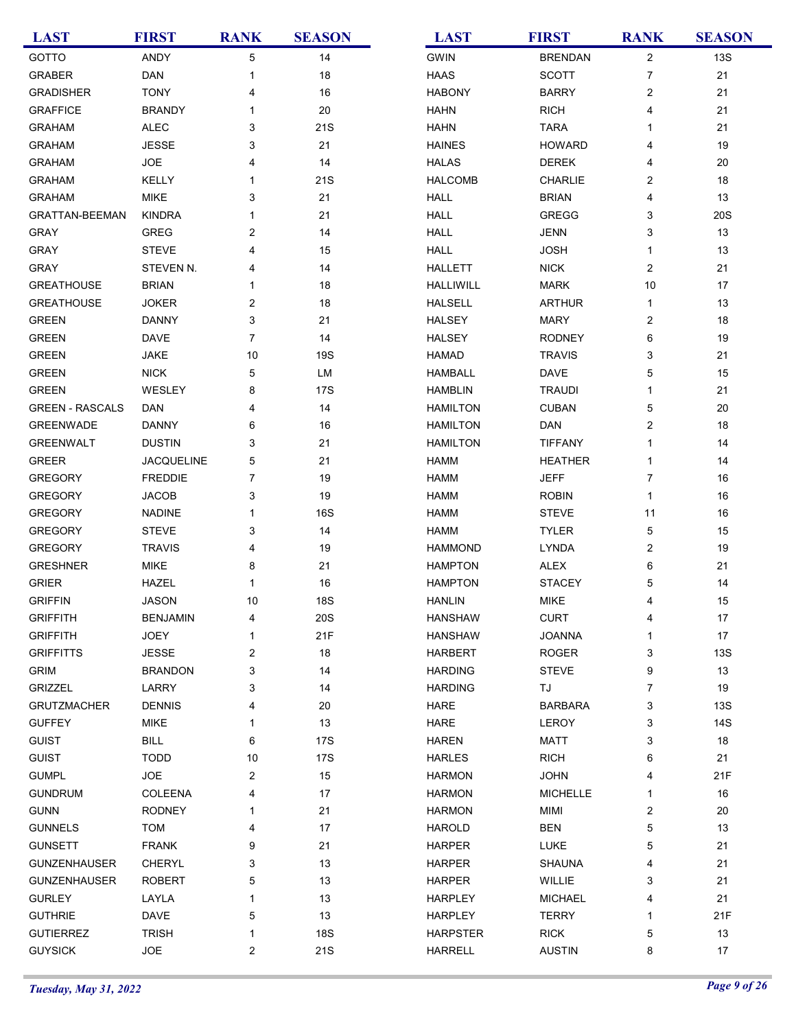| <b>LAST</b>            | <b>FIRST</b>      | <b>RANK</b>    | <b>SEASON</b> | <b>LAST</b>     | <b>FIRST</b>    | <b>RANK</b>    | <b>SEASON</b> |
|------------------------|-------------------|----------------|---------------|-----------------|-----------------|----------------|---------------|
| GOTTO                  | ANDY              | 5              | 14            | <b>GWIN</b>     | <b>BRENDAN</b>  | $\overline{2}$ | <b>13S</b>    |
| <b>GRABER</b>          | <b>DAN</b>        | 1              | 18            | <b>HAAS</b>     | <b>SCOTT</b>    | $\overline{7}$ | 21            |
| <b>GRADISHER</b>       | <b>TONY</b>       | 4              | 16            | <b>HABONY</b>   | <b>BARRY</b>    | $\overline{c}$ | 21            |
| <b>GRAFFICE</b>        | <b>BRANDY</b>     | 1              | 20            | <b>HAHN</b>     | <b>RICH</b>     | 4              | 21            |
| <b>GRAHAM</b>          | <b>ALEC</b>       | 3              | 21S           | <b>HAHN</b>     | <b>TARA</b>     | 1              | 21            |
| <b>GRAHAM</b>          | <b>JESSE</b>      | 3              | 21            | <b>HAINES</b>   | <b>HOWARD</b>   | 4              | 19            |
| <b>GRAHAM</b>          | <b>JOE</b>        | 4              | 14            | <b>HALAS</b>    | <b>DEREK</b>    | 4              | 20            |
| <b>GRAHAM</b>          | KELLY             | 1              | 21S           | <b>HALCOMB</b>  | <b>CHARLIE</b>  | $\overline{c}$ | 18            |
| <b>GRAHAM</b>          | <b>MIKE</b>       | 3              | 21            | <b>HALL</b>     | <b>BRIAN</b>    | 4              | 13            |
| <b>GRATTAN-BEEMAN</b>  | <b>KINDRA</b>     | 1              | 21            | <b>HALL</b>     | <b>GREGG</b>    | 3              | <b>20S</b>    |
| <b>GRAY</b>            | GREG              | 2              | 14            | <b>HALL</b>     | <b>JENN</b>     | 3              | 13            |
| <b>GRAY</b>            | <b>STEVE</b>      | 4              | 15            | <b>HALL</b>     | <b>JOSH</b>     | $\mathbf{1}$   | 13            |
| <b>GRAY</b>            | STEVEN N.         | 4              | 14            | <b>HALLETT</b>  | <b>NICK</b>     | $\overline{c}$ | 21            |
| <b>GREATHOUSE</b>      | <b>BRIAN</b>      | 1              | 18            | HALLIWILL       | <b>MARK</b>     | 10             | 17            |
| <b>GREATHOUSE</b>      | <b>JOKER</b>      | 2              | 18            | <b>HALSELL</b>  | <b>ARTHUR</b>   | $\mathbf{1}$   | 13            |
| <b>GREEN</b>           | <b>DANNY</b>      | 3              | 21            | <b>HALSEY</b>   | <b>MARY</b>     | $\overline{c}$ | 18            |
| <b>GREEN</b>           | <b>DAVE</b>       | $\overline{7}$ | 14            | <b>HALSEY</b>   | <b>RODNEY</b>   | 6              | 19            |
| <b>GREEN</b>           | <b>JAKE</b>       | 10             | 19S           | <b>HAMAD</b>    | <b>TRAVIS</b>   | 3              | 21            |
|                        | <b>NICK</b>       | 5              | LM            | <b>HAMBALL</b>  | <b>DAVE</b>     | 5              | 15            |
| <b>GREEN</b>           |                   |                |               |                 |                 |                |               |
| <b>GREEN</b>           | WESLEY            | 8              | 17S           | <b>HAMBLIN</b>  | <b>TRAUDI</b>   | $\mathbf{1}$   | 21            |
| <b>GREEN - RASCALS</b> | <b>DAN</b>        | 4              | 14            | <b>HAMILTON</b> | <b>CUBAN</b>    | 5              | 20            |
| <b>GREENWADE</b>       | <b>DANNY</b>      | 6              | 16            | <b>HAMILTON</b> | <b>DAN</b>      | $\overline{c}$ | 18            |
| <b>GREENWALT</b>       | <b>DUSTIN</b>     | 3              | 21            | <b>HAMILTON</b> | <b>TIFFANY</b>  | 1              | 14            |
| <b>GREER</b>           | <b>JACQUELINE</b> | 5              | 21            | <b>HAMM</b>     | <b>HEATHER</b>  | 1              | 14            |
| <b>GREGORY</b>         | <b>FREDDIE</b>    | 7              | 19            | <b>HAMM</b>     | <b>JEFF</b>     | 7              | 16            |
| <b>GREGORY</b>         | <b>JACOB</b>      | 3              | 19            | <b>HAMM</b>     | <b>ROBIN</b>    | $\mathbf{1}$   | 16            |
| <b>GREGORY</b>         | <b>NADINE</b>     | 1              | <b>16S</b>    | <b>HAMM</b>     | <b>STEVE</b>    | 11             | 16            |
| <b>GREGORY</b>         | <b>STEVE</b>      | 3              | 14            | <b>HAMM</b>     | <b>TYLER</b>    | 5              | 15            |
| <b>GREGORY</b>         | <b>TRAVIS</b>     | 4              | 19            | <b>HAMMOND</b>  | <b>LYNDA</b>    | $\overline{2}$ | 19            |
| <b>GRESHNER</b>        | <b>MIKE</b>       | 8              | 21            | <b>HAMPTON</b>  | ALEX            | 6              | 21            |
| <b>GRIER</b>           | <b>HAZEL</b>      | $\mathbf{1}$   | 16            | <b>HAMPTON</b>  | <b>STACEY</b>   | 5              | 14            |
| <b>GRIFFIN</b>         | <b>JASON</b>      | 10             | <b>18S</b>    | <b>HANLIN</b>   | <b>MIKE</b>     | 4              | 15            |
| <b>GRIFFITH</b>        | <b>BENJAMIN</b>   | 4              | 20S           | <b>HANSHAW</b>  | <b>CURT</b>     | 4              | 17            |
| <b>GRIFFITH</b>        | <b>JOEY</b>       | 1              | 21F           | <b>HANSHAW</b>  | <b>JOANNA</b>   | $\mathbf{1}$   | 17            |
| <b>GRIFFITTS</b>       | <b>JESSE</b>      | 2              | 18            | <b>HARBERT</b>  | <b>ROGER</b>    | 3              | <b>13S</b>    |
| <b>GRIM</b>            | <b>BRANDON</b>    | 3              | 14            | <b>HARDING</b>  | <b>STEVE</b>    | 9              | 13            |
| <b>GRIZZEL</b>         | LARRY             | 3              | 14            | <b>HARDING</b>  | TJ              | 7              | 19            |
| <b>GRUTZMACHER</b>     | <b>DENNIS</b>     | 4              | 20            | <b>HARE</b>     | <b>BARBARA</b>  | 3              | 13S           |
| <b>GUFFEY</b>          | <b>MIKE</b>       | 1              | 13            | <b>HARE</b>     | <b>LEROY</b>    | 3              | 14S           |
| <b>GUIST</b>           | <b>BILL</b>       | 6              | 17S           | <b>HAREN</b>    | <b>MATT</b>     | 3              | 18            |
| <b>GUIST</b>           | <b>TODD</b>       | 10             | 17S           | <b>HARLES</b>   | <b>RICH</b>     | 6              | 21            |
| <b>GUMPL</b>           | JOE               | $\overline{c}$ | 15            | <b>HARMON</b>   | <b>JOHN</b>     | 4              | 21F           |
| <b>GUNDRUM</b>         | <b>COLEENA</b>    | 4              | 17            | <b>HARMON</b>   | <b>MICHELLE</b> | $\mathbf{1}$   | 16            |
| <b>GUNN</b>            | <b>RODNEY</b>     | 1              | 21            | <b>HARMON</b>   | MIMI            | $\overline{c}$ | 20            |
| <b>GUNNELS</b>         | <b>TOM</b>        | 4              | 17            | <b>HAROLD</b>   | <b>BEN</b>      | 5              | 13            |
| <b>GUNSETT</b>         | <b>FRANK</b>      | 9              | 21            | <b>HARPER</b>   | <b>LUKE</b>     | $\mathbf 5$    | 21            |
| <b>GUNZENHAUSER</b>    | <b>CHERYL</b>     | 3              | 13            | <b>HARPER</b>   | <b>SHAUNA</b>   | 4              | 21            |
| <b>GUNZENHAUSER</b>    | <b>ROBERT</b>     | 5              | 13            | <b>HARPER</b>   | WILLIE          | 3              | 21            |
| <b>GURLEY</b>          | LAYLA             | 1              | 13            | <b>HARPLEY</b>  | <b>MICHAEL</b>  | 4              | 21            |
| <b>GUTHRIE</b>         | <b>DAVE</b>       | 5              | 13            | <b>HARPLEY</b>  | <b>TERRY</b>    | $\mathbf{1}$   | 21F           |
| <b>GUTIERREZ</b>       | <b>TRISH</b>      | 1              | <b>18S</b>    | <b>HARPSTER</b> | <b>RICK</b>     | $\mathbf 5$    | 13            |
| <b>GUYSICK</b>         | <b>JOE</b>        | 2              | 21S           | <b>HARRELL</b>  | <b>AUSTIN</b>   | 8              | 17            |
|                        |                   |                |               |                 |                 |                |               |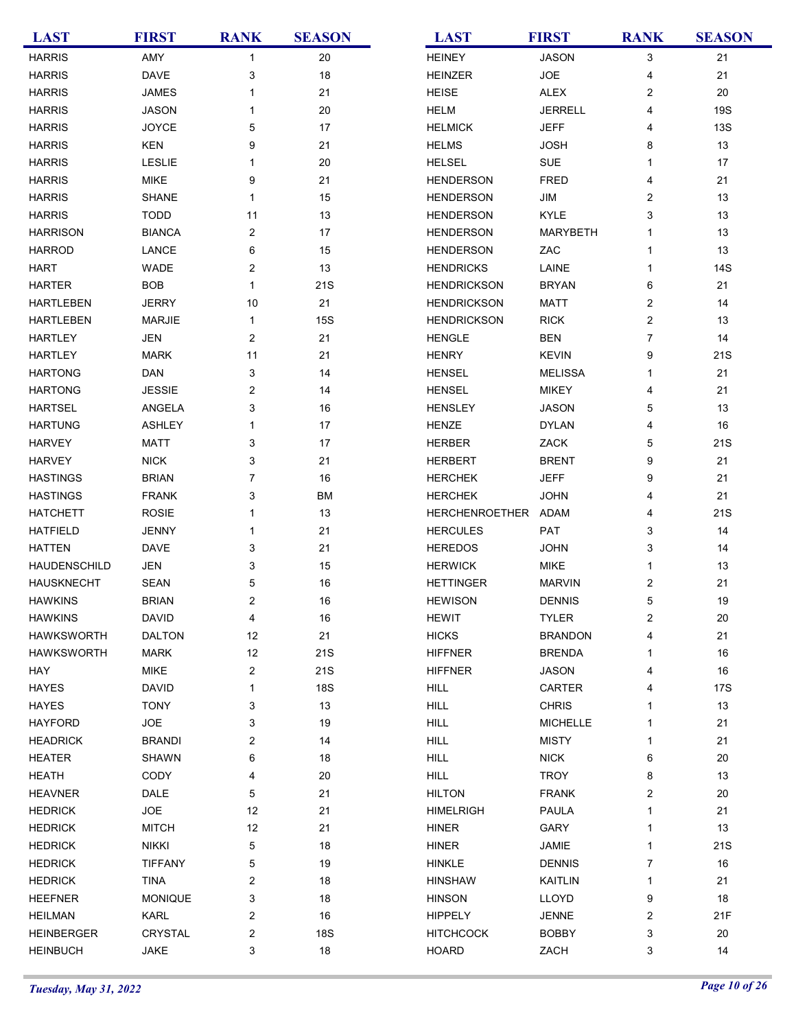| <b>LAST</b>       | <b>FIRST</b>   | <b>RANK</b>             | <b>SEASON</b> | <b>LAST</b>        | <b>FIRST</b>    | <b>RANK</b>             | <b>SEASON</b> |
|-------------------|----------------|-------------------------|---------------|--------------------|-----------------|-------------------------|---------------|
| <b>HARRIS</b>     | AMY            | 1                       | 20            | <b>HEINEY</b>      | <b>JASON</b>    | 3                       | 21            |
| <b>HARRIS</b>     | <b>DAVE</b>    | 3                       | 18            | <b>HEINZER</b>     | <b>JOE</b>      | 4                       | 21            |
| <b>HARRIS</b>     | <b>JAMES</b>   | 1                       | 21            | <b>HEISE</b>       | <b>ALEX</b>     | $\overline{2}$          | 20            |
| <b>HARRIS</b>     | <b>JASON</b>   | 1                       | 20            | <b>HELM</b>        | <b>JERRELL</b>  | 4                       | <b>19S</b>    |
| <b>HARRIS</b>     | <b>JOYCE</b>   | 5                       | 17            | <b>HELMICK</b>     | <b>JEFF</b>     | 4                       | <b>13S</b>    |
| <b>HARRIS</b>     | <b>KEN</b>     | 9                       | 21            | <b>HELMS</b>       | <b>JOSH</b>     | 8                       | 13            |
| <b>HARRIS</b>     | <b>LESLIE</b>  | 1                       | 20            | <b>HELSEL</b>      | <b>SUE</b>      | $\mathbf{1}$            | 17            |
| <b>HARRIS</b>     | <b>MIKE</b>    | 9                       | 21            | <b>HENDERSON</b>   | <b>FRED</b>     | 4                       | 21            |
| <b>HARRIS</b>     | SHANE          | $\mathbf{1}$            | 15            | <b>HENDERSON</b>   | JIM             | $\overline{2}$          | 13            |
| <b>HARRIS</b>     | <b>TODD</b>    | 11                      | 13            | <b>HENDERSON</b>   | <b>KYLE</b>     | 3                       | 13            |
| <b>HARRISON</b>   | <b>BIANCA</b>  | 2                       | 17            | <b>HENDERSON</b>   | <b>MARYBETH</b> | 1                       | 13            |
| <b>HARROD</b>     | LANCE          | 6                       | 15            | <b>HENDERSON</b>   | ZAC             | $\mathbf 1$             | 13            |
| <b>HART</b>       | WADE           | 2                       | 13            | <b>HENDRICKS</b>   | LAINE           | $\mathbf{1}$            | 14S           |
| <b>HARTER</b>     | <b>BOB</b>     | $\mathbf{1}$            | 21S           | <b>HENDRICKSON</b> | <b>BRYAN</b>    | 6                       | 21            |
| <b>HARTLEBEN</b>  | <b>JERRY</b>   | 10                      | 21            | <b>HENDRICKSON</b> | <b>MATT</b>     | $\overline{2}$          | 14            |
| <b>HARTLEBEN</b>  | <b>MARJIE</b>  |                         | <b>15S</b>    | <b>HENDRICKSON</b> | <b>RICK</b>     | $\overline{\mathbf{c}}$ | 13            |
| <b>HARTLEY</b>    | <b>JEN</b>     | 1<br>2                  | 21            | <b>HENGLE</b>      | <b>BEN</b>      | 7                       | 14            |
|                   |                |                         |               |                    |                 |                         |               |
| <b>HARTLEY</b>    | <b>MARK</b>    | 11                      | 21            | <b>HENRY</b>       | <b>KEVIN</b>    | 9                       | 21S           |
| <b>HARTONG</b>    | <b>DAN</b>     | 3                       | 14            | <b>HENSEL</b>      | <b>MELISSA</b>  | 1                       | 21            |
| <b>HARTONG</b>    | <b>JESSIE</b>  | 2                       | 14            | <b>HENSEL</b>      | <b>MIKEY</b>    | 4                       | 21            |
| <b>HARTSEL</b>    | ANGELA         | 3                       | 16            | <b>HENSLEY</b>     | <b>JASON</b>    | 5                       | 13            |
| <b>HARTUNG</b>    | <b>ASHLEY</b>  | 1                       | 17            | <b>HENZE</b>       | <b>DYLAN</b>    | 4                       | 16            |
| <b>HARVEY</b>     | <b>MATT</b>    | 3                       | 17            | <b>HERBER</b>      | ZACK            | 5                       | 21S           |
| <b>HARVEY</b>     | <b>NICK</b>    | 3                       | 21            | <b>HERBERT</b>     | <b>BRENT</b>    | 9                       | 21            |
| <b>HASTINGS</b>   | <b>BRIAN</b>   | 7                       | 16            | <b>HERCHEK</b>     | <b>JEFF</b>     | 9                       | 21            |
| <b>HASTINGS</b>   | <b>FRANK</b>   | 3                       | BM            | <b>HERCHEK</b>     | <b>JOHN</b>     | 4                       | 21            |
| <b>HATCHETT</b>   | <b>ROSIE</b>   | 1                       | 13            | HERCHENROETHER     | ADAM            | 4                       | 21S           |
| <b>HATFIELD</b>   | <b>JENNY</b>   | 1                       | 21            | <b>HERCULES</b>    | PAT             | 3                       | 14            |
| <b>HATTEN</b>     | <b>DAVE</b>    | 3                       | 21            | <b>HEREDOS</b>     | <b>JOHN</b>     | 3                       | 14            |
| HAUDENSCHILD      | <b>JEN</b>     | 3                       | 15            | <b>HERWICK</b>     | <b>MIKE</b>     | $\mathbf{1}$            | 13            |
| <b>HAUSKNECHT</b> | <b>SEAN</b>    | 5                       | 16            | <b>HETTINGER</b>   | <b>MARVIN</b>   | $\overline{c}$          | 21            |
| <b>HAWKINS</b>    | <b>BRIAN</b>   | 2                       | 16            | <b>HEWISON</b>     | <b>DENNIS</b>   | 5                       | 19            |
| <b>HAWKINS</b>    | <b>DAVID</b>   | 4                       | 16            | <b>HEWIT</b>       | <b>TYLER</b>    | 2                       | 20            |
| <b>HAWKSWORTH</b> | <b>DALTON</b>  | 12                      | 21            | <b>HICKS</b>       | <b>BRANDON</b>  | 4                       | 21            |
| <b>HAWKSWORTH</b> | <b>MARK</b>    | 12                      | 21S           | <b>HIFFNER</b>     | <b>BRENDA</b>   | 1                       | 16            |
| HAY               | <b>MIKE</b>    | 2                       | 21S           | <b>HIFFNER</b>     | <b>JASON</b>    | 4                       | 16            |
| <b>HAYES</b>      | <b>DAVID</b>   | $\mathbf{1}$            | 18S           | <b>HILL</b>        | CARTER          | 4                       | 17S           |
| <b>HAYES</b>      | <b>TONY</b>    | 3                       | 13            | <b>HILL</b>        | <b>CHRIS</b>    | 1                       | 13            |
| <b>HAYFORD</b>    | JOE            | 3                       | 19            | <b>HILL</b>        | <b>MICHELLE</b> | 1                       | 21            |
| <b>HEADRICK</b>   | <b>BRANDI</b>  | 2                       | 14            | <b>HILL</b>        | <b>MISTY</b>    | 1                       | 21            |
| <b>HEATER</b>     | <b>SHAWN</b>   | 6                       | 18            | <b>HILL</b>        | <b>NICK</b>     | 6                       | 20            |
| HEATH             | <b>CODY</b>    | 4                       | 20            | <b>HILL</b>        | <b>TROY</b>     | 8                       | 13            |
| <b>HEAVNER</b>    | DALE           | 5                       | 21            | <b>HILTON</b>      | <b>FRANK</b>    | $\overline{c}$          | 20            |
| <b>HEDRICK</b>    | JOE            | 12                      | 21            | <b>HIMELRIGH</b>   | <b>PAULA</b>    | 1                       | 21            |
| <b>HEDRICK</b>    | <b>MITCH</b>   | 12                      | 21            | <b>HINER</b>       | GARY            | 1                       | 13            |
| <b>HEDRICK</b>    | <b>NIKKI</b>   | 5                       | 18            | <b>HINER</b>       | JAMIE           | $\mathbf{1}$            | 21S           |
| <b>HEDRICK</b>    | <b>TIFFANY</b> | 5                       | 19            | <b>HINKLE</b>      | <b>DENNIS</b>   | $\overline{7}$          | 16            |
| <b>HEDRICK</b>    | <b>TINA</b>    | $\overline{\mathbf{c}}$ | 18            | <b>HINSHAW</b>     | KAITLIN         | 1                       | 21            |
| <b>HEEFNER</b>    | <b>MONIQUE</b> | 3                       | 18            | <b>HINSON</b>      | <b>LLOYD</b>    | 9                       | 18            |
|                   |                | 2                       |               |                    |                 |                         |               |
| <b>HEILMAN</b>    | <b>KARL</b>    |                         | 16            | <b>HIPPELY</b>     | <b>JENNE</b>    | $\overline{c}$          | 21F           |
| <b>HEINBERGER</b> | <b>CRYSTAL</b> | $\overline{\mathbf{c}}$ | 18S           | <b>HITCHCOCK</b>   | <b>BOBBY</b>    | 3                       | 20            |
| <b>HEINBUCH</b>   | JAKE           | 3                       | $18\,$        | <b>HOARD</b>       | ZACH            | 3                       | 14            |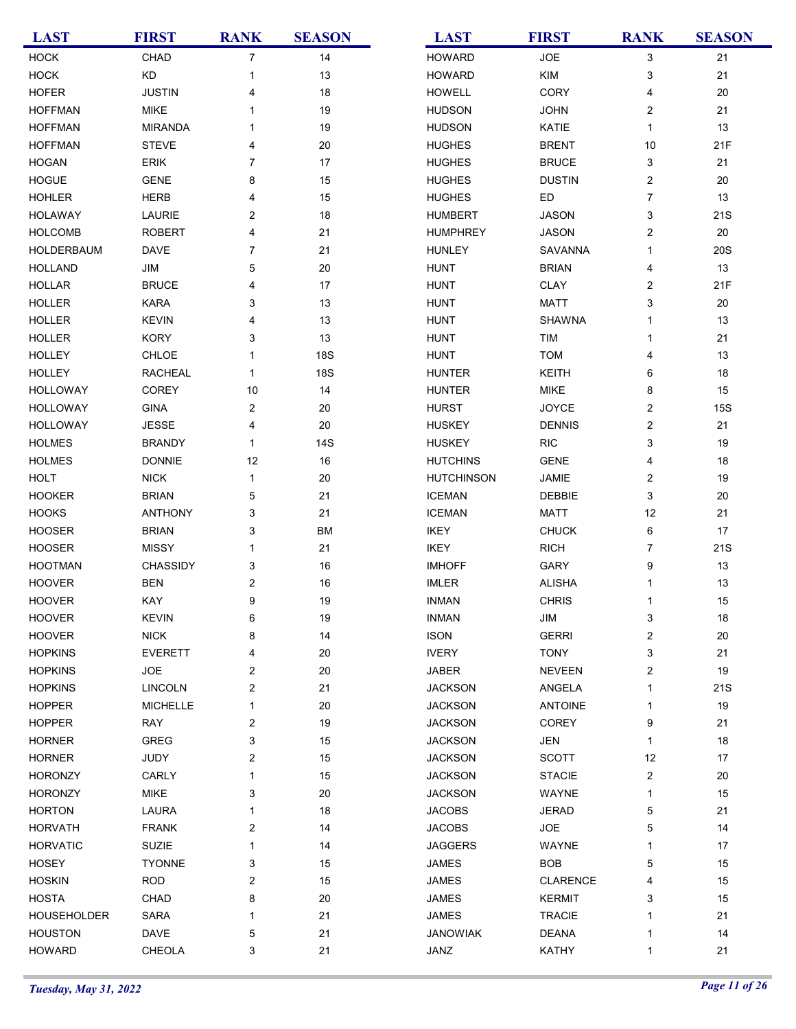| <b>LAST</b>        | <b>FIRST</b>    | <b>RANK</b>             | <b>SEASON</b> | <b>LAST</b>       | <b>FIRST</b>    | <b>RANK</b>             | <b>SEASON</b> |
|--------------------|-----------------|-------------------------|---------------|-------------------|-----------------|-------------------------|---------------|
| <b>HOCK</b>        | CHAD            | $\overline{7}$          | 14            | <b>HOWARD</b>     | <b>JOE</b>      | 3                       | 21            |
| <b>HOCK</b>        | KD              | 1                       | 13            | <b>HOWARD</b>     | KIM             | 3                       | 21            |
| <b>HOFER</b>       | <b>JUSTIN</b>   | 4                       | 18            | <b>HOWELL</b>     | <b>CORY</b>     | 4                       | 20            |
| <b>HOFFMAN</b>     | <b>MIKE</b>     | 1                       | 19            | <b>HUDSON</b>     | <b>JOHN</b>     | 2                       | 21            |
| <b>HOFFMAN</b>     | <b>MIRANDA</b>  | 1                       | 19            | <b>HUDSON</b>     | KATIE           | 1                       | 13            |
| <b>HOFFMAN</b>     | <b>STEVE</b>    | 4                       | 20            | <b>HUGHES</b>     | <b>BRENT</b>    | 10                      | 21F           |
| <b>HOGAN</b>       | ERIK            | $\overline{7}$          | 17            | <b>HUGHES</b>     | <b>BRUCE</b>    | 3                       | 21            |
| <b>HOGUE</b>       | <b>GENE</b>     | 8                       | 15            | <b>HUGHES</b>     | <b>DUSTIN</b>   | 2                       | 20            |
| <b>HOHLER</b>      | <b>HERB</b>     | 4                       | 15            | <b>HUGHES</b>     | ED              | 7                       | 13            |
| <b>HOLAWAY</b>     | LAURIE          | $\overline{\mathbf{c}}$ | 18            | <b>HUMBERT</b>    | <b>JASON</b>    | 3                       | 21S           |
| <b>HOLCOMB</b>     | <b>ROBERT</b>   | 4                       | 21            | <b>HUMPHREY</b>   | <b>JASON</b>    | $\overline{\mathbf{c}}$ | 20            |
| HOLDERBAUM         | <b>DAVE</b>     | 7                       | 21            | <b>HUNLEY</b>     | SAVANNA         | 1                       | 20S           |
| <b>HOLLAND</b>     | JIM             | 5                       | 20            | <b>HUNT</b>       | <b>BRIAN</b>    | 4                       | 13            |
| <b>HOLLAR</b>      | <b>BRUCE</b>    | 4                       | 17            | <b>HUNT</b>       | <b>CLAY</b>     | 2                       | 21F           |
| <b>HOLLER</b>      | KARA            | 3                       | 13            | <b>HUNT</b>       | <b>MATT</b>     | 3                       | 20            |
| <b>HOLLER</b>      | <b>KEVIN</b>    | 4                       | 13            | <b>HUNT</b>       | SHAWNA          | 1                       | 13            |
| <b>HOLLER</b>      | <b>KORY</b>     | 3                       | 13            | <b>HUNT</b>       | TIM             | 1                       | 21            |
|                    |                 |                         |               |                   |                 |                         |               |
| <b>HOLLEY</b>      | CHLOE           | 1                       | <b>18S</b>    | <b>HUNT</b>       | <b>TOM</b>      | 4                       | 13            |
| <b>HOLLEY</b>      | <b>RACHEAL</b>  | 1                       | <b>18S</b>    | <b>HUNTER</b>     | KEITH           | 6                       | 18            |
| <b>HOLLOWAY</b>    | COREY           | 10                      | 14            | <b>HUNTER</b>     | <b>MIKE</b>     | 8                       | 15            |
| <b>HOLLOWAY</b>    | <b>GINA</b>     | $\overline{\mathbf{c}}$ | 20            | <b>HURST</b>      | <b>JOYCE</b>    | 2                       | <b>15S</b>    |
| <b>HOLLOWAY</b>    | <b>JESSE</b>    | 4                       | 20            | <b>HUSKEY</b>     | <b>DENNIS</b>   | $\overline{\mathbf{c}}$ | 21            |
| <b>HOLMES</b>      | <b>BRANDY</b>   | 1                       | 14S           | <b>HUSKEY</b>     | <b>RIC</b>      | 3                       | 19            |
| <b>HOLMES</b>      | <b>DONNIE</b>   | 12                      | 16            | <b>HUTCHINS</b>   | <b>GENE</b>     | 4                       | 18            |
| <b>HOLT</b>        | NICK            | 1                       | 20            | <b>HUTCHINSON</b> | JAMIE           | 2                       | 19            |
| <b>HOOKER</b>      | <b>BRIAN</b>    | 5                       | 21            | <b>ICEMAN</b>     | <b>DEBBIE</b>   | 3                       | 20            |
| <b>HOOKS</b>       | <b>ANTHONY</b>  | 3                       | 21            | <b>ICEMAN</b>     | <b>MATT</b>     | 12                      | 21            |
| <b>HOOSER</b>      | <b>BRIAN</b>    | 3                       | <b>BM</b>     | <b>IKEY</b>       | <b>CHUCK</b>    | 6                       | 17            |
| <b>HOOSER</b>      | <b>MISSY</b>    | 1                       | 21            | <b>IKEY</b>       | <b>RICH</b>     | $\overline{7}$          | 21S           |
| <b>HOOTMAN</b>     | <b>CHASSIDY</b> | 3                       | 16            | <b>IMHOFF</b>     | GARY            | 9                       | 13            |
| <b>HOOVER</b>      | <b>BEN</b>      | $\overline{\mathbf{c}}$ | 16            | <b>IMLER</b>      | <b>ALISHA</b>   | 1                       | 13            |
| <b>HOOVER</b>      | KAY             | 9                       | 19            | <b>INMAN</b>      | <b>CHRIS</b>    | 1                       | 15            |
| <b>HOOVER</b>      | <b>KEVIN</b>    | 6                       | 19            | <b>INMAN</b>      | JIM             | 3                       | 18            |
| <b>HOOVER</b>      | NICK            | 8                       | 14            | <b>ISON</b>       | <b>GERRI</b>    | $\overline{\mathbf{c}}$ | 20            |
| <b>HOPKINS</b>     | <b>EVERETT</b>  | 4                       | 20            | <b>IVERY</b>      | <b>TONY</b>     | 3                       | 21            |
| <b>HOPKINS</b>     | <b>JOE</b>      | 2                       | 20            | <b>JABER</b>      | <b>NEVEEN</b>   | 2                       | 19            |
| <b>HOPKINS</b>     | <b>LINCOLN</b>  | 2                       | 21            | <b>JACKSON</b>    | ANGELA          | 1                       | 21S           |
| <b>HOPPER</b>      | <b>MICHELLE</b> | 1                       | 20            | <b>JACKSON</b>    | <b>ANTOINE</b>  | 1                       | 19            |
| <b>HOPPER</b>      | RAY             | $\overline{\mathbf{c}}$ | 19            | <b>JACKSON</b>    | <b>COREY</b>    | 9                       | 21            |
| <b>HORNER</b>      | GREG            | 3                       | 15            | <b>JACKSON</b>    | JEN             | 1                       | 18            |
| <b>HORNER</b>      | JUDY            | $\overline{c}$          | 15            | <b>JACKSON</b>    | <b>SCOTT</b>    | 12                      | 17            |
| <b>HORONZY</b>     | CARLY           | 1                       | 15            | <b>JACKSON</b>    | <b>STACIE</b>   | $\overline{\mathbf{c}}$ | 20            |
| <b>HORONZY</b>     | <b>MIKE</b>     | 3                       | 20            | <b>JACKSON</b>    | WAYNE           | 1                       | 15            |
| <b>HORTON</b>      | <b>LAURA</b>    | 1                       | 18            | <b>JACOBS</b>     | <b>JERAD</b>    | 5                       | 21            |
| <b>HORVATH</b>     | <b>FRANK</b>    | 2                       | 14            | <b>JACOBS</b>     | <b>JOE</b>      | 5                       | 14            |
| <b>HORVATIC</b>    | SUZIE           | 1                       | 14            | <b>JAGGERS</b>    | WAYNE           | 1                       | 17            |
| <b>HOSEY</b>       | <b>TYONNE</b>   | 3                       | 15            | JAMES             | <b>BOB</b>      | 5                       | 15            |
| <b>HOSKIN</b>      | <b>ROD</b>      | $\boldsymbol{2}$        | 15            | JAMES             | <b>CLARENCE</b> | 4                       | 15            |
| <b>HOSTA</b>       | CHAD            | 8                       | 20            | <b>JAMES</b>      | <b>KERMIT</b>   | 3                       | 15            |
| <b>HOUSEHOLDER</b> | <b>SARA</b>     | 1                       | 21            | <b>JAMES</b>      | <b>TRACIE</b>   | 1                       | 21            |
| <b>HOUSTON</b>     | DAVE            | 5                       | 21            | <b>JANOWIAK</b>   | <b>DEANA</b>    | 1                       | 14            |
| <b>HOWARD</b>      | CHEOLA          | 3                       | 21            | JANZ              | KATHY           | 1                       | 21            |
|                    |                 |                         |               |                   |                 |                         |               |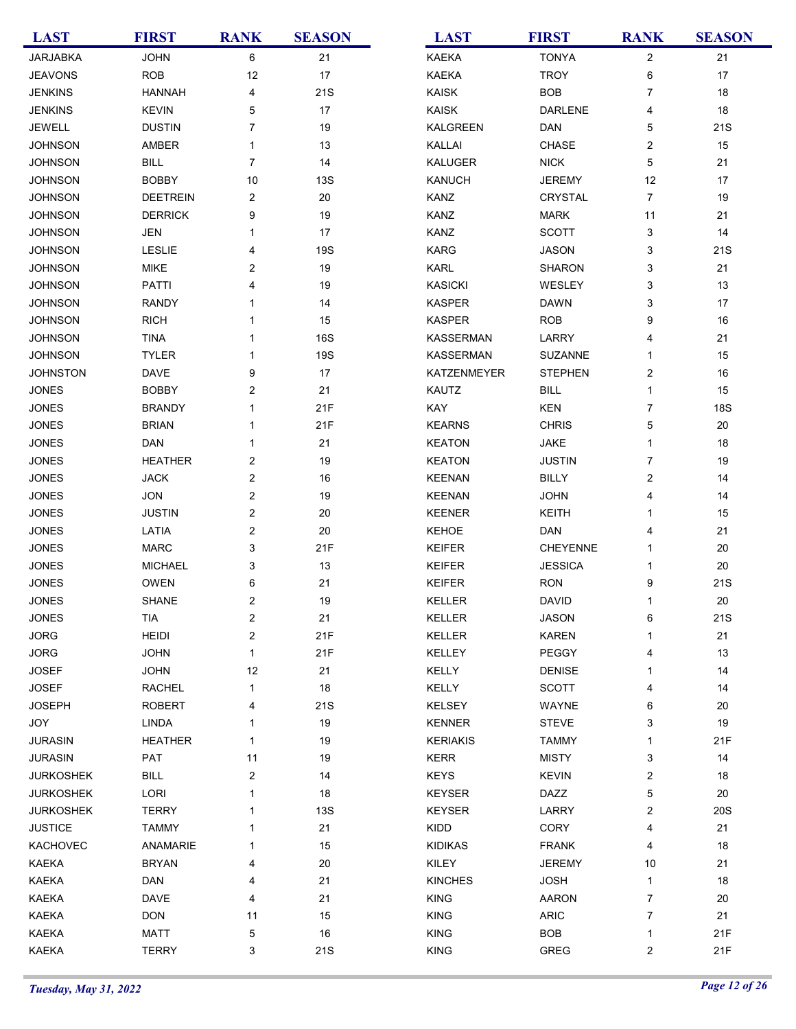| <b>LAST</b>      | <b>FIRST</b>    | <b>RANK</b>             | <b>SEASON</b> | <b>LAST</b>      | <b>FIRST</b>    | <b>RANK</b>             | <b>SEASON</b> |
|------------------|-----------------|-------------------------|---------------|------------------|-----------------|-------------------------|---------------|
| <b>JARJABKA</b>  | <b>JOHN</b>     | 6                       | 21            | <b>KAEKA</b>     | <b>TONYA</b>    | $\overline{a}$          | 21            |
| <b>JEAVONS</b>   | <b>ROB</b>      | 12                      | 17            | <b>KAEKA</b>     | <b>TROY</b>     | 6                       | 17            |
| <b>JENKINS</b>   | <b>HANNAH</b>   | 4                       | 21S           | <b>KAISK</b>     | <b>BOB</b>      | 7                       | 18            |
| <b>JENKINS</b>   | <b>KEVIN</b>    | 5                       | 17            | <b>KAISK</b>     | <b>DARLENE</b>  | 4                       | 18            |
| JEWELL           | <b>DUSTIN</b>   | 7                       | 19            | KALGREEN         | <b>DAN</b>      | 5                       | 21S           |
| <b>JOHNSON</b>   | AMBER           | 1                       | 13            | KALLAI           | CHASE           | $\overline{\mathbf{c}}$ | 15            |
| <b>JOHNSON</b>   | <b>BILL</b>     | 7                       | 14            | KALUGER          | <b>NICK</b>     | $\mathbf 5$             | 21            |
| <b>JOHNSON</b>   | <b>BOBBY</b>    | 10                      | <b>13S</b>    | KANUCH           | <b>JEREMY</b>   | 12                      | 17            |
| <b>JOHNSON</b>   | <b>DEETREIN</b> | 2                       | $20\,$        | KANZ             | <b>CRYSTAL</b>  | $\overline{7}$          | 19            |
| <b>JOHNSON</b>   | <b>DERRICK</b>  | 9                       | 19            | KANZ             | <b>MARK</b>     | 11                      | 21            |
| <b>JOHNSON</b>   | JEN             | 1                       | 17            | KANZ             | <b>SCOTT</b>    | 3                       | 14            |
| <b>JOHNSON</b>   | <b>LESLIE</b>   | 4                       | 19S           | <b>KARG</b>      | <b>JASON</b>    | 3                       | 21S           |
| <b>JOHNSON</b>   | <b>MIKE</b>     | 2                       | 19            | KARL             | <b>SHARON</b>   | 3                       | 21            |
| <b>JOHNSON</b>   | PATTI           | 4                       | 19            | KASICKI          | WESLEY          | 3                       | 13            |
| <b>JOHNSON</b>   | <b>RANDY</b>    | 1                       | 14            | <b>KASPER</b>    | <b>DAWN</b>     | 3                       | 17            |
| <b>JOHNSON</b>   | <b>RICH</b>     | 1                       | 15            | <b>KASPER</b>    | <b>ROB</b>      | 9                       | 16            |
| <b>JOHNSON</b>   | <b>TINA</b>     | 1                       | 16S           | KASSERMAN        | LARRY           | 4                       | 21            |
| <b>JOHNSON</b>   | <b>TYLER</b>    | 1                       | 19S           | <b>KASSERMAN</b> | <b>SUZANNE</b>  | 1                       | 15            |
| <b>JOHNSTON</b>  | DAVE            | 9                       | 17            | KATZENMEYER      | <b>STEPHEN</b>  | $\overline{c}$          | 16            |
| <b>JONES</b>     | <b>BOBBY</b>    | 2                       | 21            | KAUTZ            | <b>BILL</b>     | 1                       | 15            |
| <b>JONES</b>     | <b>BRANDY</b>   | 1                       | 21F           | KAY              | <b>KEN</b>      | $\overline{7}$          | <b>18S</b>    |
| <b>JONES</b>     | <b>BRIAN</b>    | $\mathbf{1}$            | 21F           | <b>KEARNS</b>    | <b>CHRIS</b>    | 5                       | 20            |
|                  |                 |                         |               |                  |                 |                         |               |
| <b>JONES</b>     | DAN             | 1                       | 21            | <b>KEATON</b>    | <b>JAKE</b>     | $\mathbf{1}$            | 18            |
| <b>JONES</b>     | <b>HEATHER</b>  | 2                       | 19            | <b>KEATON</b>    | <b>JUSTIN</b>   | 7                       | 19            |
| <b>JONES</b>     | <b>JACK</b>     | 2                       | 16            | <b>KEENAN</b>    | <b>BILLY</b>    | 2                       | 14            |
| <b>JONES</b>     | <b>JON</b>      | 2                       | 19            | <b>KEENAN</b>    | <b>JOHN</b>     | 4                       | 14            |
| <b>JONES</b>     | <b>JUSTIN</b>   | 2                       | 20            | KEENER           | KEITH           | 1                       | 15            |
| <b>JONES</b>     | LATIA           | 2                       | 20            | KEHOE            | <b>DAN</b>      | 4                       | 21            |
| <b>JONES</b>     | <b>MARC</b>     | 3                       | 21F           | KEIFER           | <b>CHEYENNE</b> | 1                       | 20            |
| <b>JONES</b>     | <b>MICHAEL</b>  | 3                       | 13            | <b>KEIFER</b>    | <b>JESSICA</b>  | 1                       | 20            |
| <b>JONES</b>     | OWEN            | 6                       | 21            | KEIFER           | <b>RON</b>      | 9                       | 21S           |
| <b>JONES</b>     | <b>SHANE</b>    | 2                       | 19            | <b>KELLER</b>    | <b>DAVID</b>    | 1                       | 20            |
| <b>JONES</b>     | TIA             | 2                       | 21            | KELLER           | <b>JASON</b>    | 6                       | 21S           |
| <b>JORG</b>      | <b>HEIDI</b>    | $\overline{\mathbf{c}}$ | 21F           | KELLER           | <b>KAREN</b>    | 1                       | 21            |
| <b>JORG</b>      | <b>JOHN</b>     | $\mathbf{1}$            | 21F           | KELLEY           | PEGGY           | 4                       | 13            |
| <b>JOSEF</b>     | <b>JOHN</b>     | 12                      | 21            | KELLY            | <b>DENISE</b>   | 1                       | 14            |
| <b>JOSEF</b>     | <b>RACHEL</b>   | $\mathbf{1}$            | 18            | KELLY            | <b>SCOTT</b>    | 4                       | 14            |
| <b>JOSEPH</b>    | <b>ROBERT</b>   | 4                       | 21S           | <b>KELSEY</b>    | WAYNE           | 6                       | 20            |
| JOY              | LINDA           | 1                       | 19            | <b>KENNER</b>    | <b>STEVE</b>    | 3                       | 19            |
| <b>JURASIN</b>   | <b>HEATHER</b>  | 1                       | 19            | <b>KERIAKIS</b>  | <b>TAMMY</b>    | 1                       | 21F           |
| <b>JURASIN</b>   | PAT             | 11                      | 19            | KERR             | <b>MISTY</b>    | 3                       | 14            |
| <b>JURKOSHEK</b> | <b>BILL</b>     | 2                       | 14            | <b>KEYS</b>      | <b>KEVIN</b>    | $\overline{\mathbf{c}}$ | 18            |
| <b>JURKOSHEK</b> | <b>LORI</b>     | 1                       | 18            | <b>KEYSER</b>    | DAZZ            | 5                       | 20            |
| <b>JURKOSHEK</b> | <b>TERRY</b>    | 1                       | <b>13S</b>    | <b>KEYSER</b>    | LARRY           | $\boldsymbol{2}$        | 20S           |
| <b>JUSTICE</b>   | <b>TAMMY</b>    | 1                       | 21            | KIDD             | CORY            | 4                       | 21            |
| <b>KACHOVEC</b>  | ANAMARIE        | 1                       | 15            | <b>KIDIKAS</b>   | <b>FRANK</b>    | 4                       | 18            |
| <b>KAEKA</b>     | <b>BRYAN</b>    | 4                       | 20            | KILEY            | <b>JEREMY</b>   | 10                      | 21            |
| <b>KAEKA</b>     | <b>DAN</b>      | 4                       | 21            | <b>KINCHES</b>   | <b>JOSH</b>     | $\mathbf 1$             | 18            |
| <b>KAEKA</b>     | <b>DAVE</b>     | 4                       | 21            | KING             | <b>AARON</b>    | $\overline{7}$          | 20            |
| KAEKA            | <b>DON</b>      | 11                      | 15            | <b>KING</b>      | ARIC            | $\overline{7}$          | 21            |
| KAEKA            | MATT            | 5                       | 16            | KING             | <b>BOB</b>      | 1                       | 21F           |
| KAEKA            | TERRY           | 3                       | 21S           | KING             | <b>GREG</b>     | 2                       | 21F           |
|                  |                 |                         |               |                  |                 |                         |               |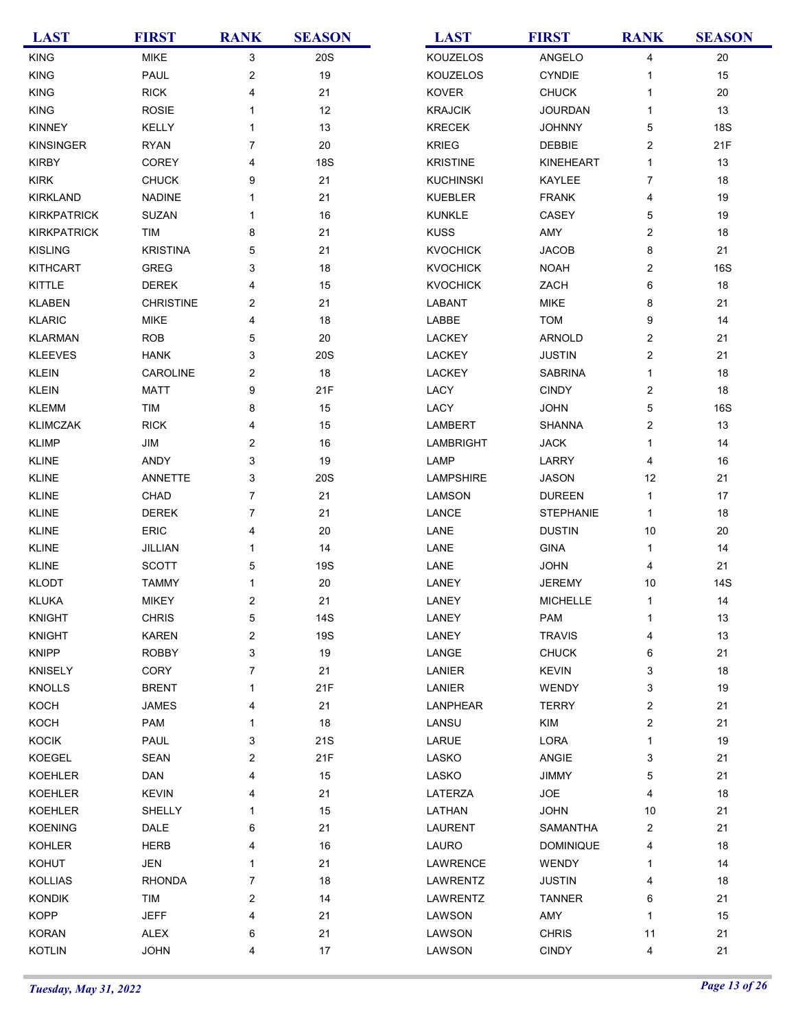| <b>LAST</b>        | <b>FIRST</b>     | <b>RANK</b>    | <b>SEASON</b> | <b>LAST</b>      | <b>FIRST</b>     | <b>RANK</b>             | <b>SEASON</b> |
|--------------------|------------------|----------------|---------------|------------------|------------------|-------------------------|---------------|
| <b>KING</b>        | <b>MIKE</b>      | 3              | <b>20S</b>    | <b>KOUZELOS</b>  | ANGELO           | 4                       | 20            |
| <b>KING</b>        | PAUL             | 2              | 19            | KOUZELOS         | <b>CYNDIE</b>    | 1                       | 15            |
| <b>KING</b>        | <b>RICK</b>      | 4              | 21            | <b>KOVER</b>     | <b>CHUCK</b>     | 1                       | 20            |
| <b>KING</b>        | <b>ROSIE</b>     | 1              | 12            | <b>KRAJCIK</b>   | <b>JOURDAN</b>   | $\mathbf{1}$            | 13            |
| <b>KINNEY</b>      | KELLY            | 1              | 13            | <b>KRECEK</b>    | <b>JOHNNY</b>    | 5                       | <b>18S</b>    |
| <b>KINSINGER</b>   | <b>RYAN</b>      | $\overline{7}$ | 20            | <b>KRIEG</b>     | DEBBIE           | $\overline{\mathbf{c}}$ | 21F           |
| <b>KIRBY</b>       | COREY            | 4              | <b>18S</b>    | <b>KRISTINE</b>  | KINEHEART        | $\mathbf{1}$            | 13            |
| <b>KIRK</b>        | <b>CHUCK</b>     | 9              | 21            | <b>KUCHINSKI</b> | KAYLEE           | 7                       | 18            |
| <b>KIRKLAND</b>    | <b>NADINE</b>    | 1              | 21            | <b>KUEBLER</b>   | <b>FRANK</b>     | 4                       | 19            |
| <b>KIRKPATRICK</b> | SUZAN            | 1              | 16            | <b>KUNKLE</b>    | <b>CASEY</b>     | $\mathbf 5$             | 19            |
| <b>KIRKPATRICK</b> | TIM              | 8              | 21            | <b>KUSS</b>      | AMY              | $\overline{\mathbf{c}}$ | 18            |
| <b>KISLING</b>     | <b>KRISTINA</b>  | 5              | 21            | <b>KVOCHICK</b>  | <b>JACOB</b>     | 8                       | 21            |
| <b>KITHCART</b>    | GREG             | 3              | 18            | <b>KVOCHICK</b>  | <b>NOAH</b>      | $\overline{c}$          | <b>16S</b>    |
| <b>KITTLE</b>      | <b>DEREK</b>     | 4              | 15            | <b>KVOCHICK</b>  | ZACH             | 6                       | 18            |
| <b>KLABEN</b>      | <b>CHRISTINE</b> | 2              | 21            | LABANT           | <b>MIKE</b>      | 8                       | 21            |
| <b>KLARIC</b>      | <b>MIKE</b>      | 4              | 18            | LABBE            | <b>TOM</b>       | 9                       | 14            |
| <b>KLARMAN</b>     | <b>ROB</b>       | 5              | 20            | LACKEY           | <b>ARNOLD</b>    | $\overline{c}$          | 21            |
| <b>KLEEVES</b>     | <b>HANK</b>      | 3              | 20S           | LACKEY           | <b>JUSTIN</b>    | $\overline{\mathbf{c}}$ | 21            |
| <b>KLEIN</b>       | CAROLINE         | 2              | 18            | LACKEY           | <b>SABRINA</b>   | $\mathbf{1}$            | 18            |
| <b>KLEIN</b>       | <b>MATT</b>      | 9              | 21F           | LACY             | <b>CINDY</b>     | $\overline{c}$          | 18            |
| <b>KLEMM</b>       | <b>TIM</b>       | 8              | 15            | LACY             | <b>JOHN</b>      | $\mathbf 5$             | <b>16S</b>    |
| <b>KLIMCZAK</b>    | <b>RICK</b>      | 4              | 15            | <b>LAMBERT</b>   | SHANNA           | $\overline{\mathbf{c}}$ | 13            |
| <b>KLIMP</b>       | JIM              | 2              | 16            | LAMBRIGHT        | <b>JACK</b>      | 1                       | 14            |
| <b>KLINE</b>       | ANDY             | 3              | 19            | LAMP             | LARRY            | 4                       | 16            |
| <b>KLINE</b>       | ANNETTE          | 3              | <b>20S</b>    | <b>LAMPSHIRE</b> | <b>JASON</b>     | 12                      | 21            |
| <b>KLINE</b>       | CHAD             | $\overline{7}$ | 21            | <b>LAMSON</b>    | <b>DUREEN</b>    | $\mathbf{1}$            | 17            |
| <b>KLINE</b>       | <b>DEREK</b>     | 7              | 21            | LANCE            | <b>STEPHANIE</b> | $\mathbf{1}$            | 18            |
| <b>KLINE</b>       | <b>ERIC</b>      | 4              | 20            | LANE             | <b>DUSTIN</b>    | 10                      | 20            |
| <b>KLINE</b>       | JILLIAN          | $\mathbf{1}$   | 14            | LANE             | <b>GINA</b>      | $\mathbf{1}$            | 14            |
| <b>KLINE</b>       | <b>SCOTT</b>     | 5              | <b>19S</b>    | LANE             | <b>JOHN</b>      | 4                       | 21            |
| <b>KLODT</b>       | <b>TAMMY</b>     | $\mathbf{1}$   | $20\,$        | LANEY            | <b>JEREMY</b>    | 10                      | 14S           |
| <b>KLUKA</b>       | <b>MIKEY</b>     | 2              | 21            | LANEY            | <b>MICHELLE</b>  | $\mathbf{1}$            | 14            |
| <b>KNIGHT</b>      | <b>CHRIS</b>     | 5              | 14S           | LANEY            | PAM              | 1                       | 13            |
| <b>KNIGHT</b>      | <b>KAREN</b>     | $\overline{c}$ | <b>19S</b>    | LANEY            | <b>TRAVIS</b>    | 4                       | 13            |
| <b>KNIPP</b>       | <b>ROBBY</b>     | 3              | 19            | LANGE            | <b>CHUCK</b>     | 6                       | 21            |
| <b>KNISELY</b>     | CORY             | 7              | 21            | LANIER           | <b>KEVIN</b>     | 3                       | 18            |
| <b>KNOLLS</b>      | <b>BRENT</b>     | 1              | 21F           | LANIER           | WENDY            | 3                       | 19            |
| <b>KOCH</b>        | <b>JAMES</b>     | 4              | 21            | LANPHEAR         | <b>TERRY</b>     | 2                       | 21            |
| <b>KOCH</b>        | PAM              | 1              | 18            | LANSU            | KIM              | $\overline{\mathbf{c}}$ | 21            |
| <b>KOCIK</b>       | <b>PAUL</b>      | 3              | 21S           | LARUE            | LORA             | $\mathbf{1}$            | 19            |
| <b>KOEGEL</b>      | <b>SEAN</b>      | 2              | 21F           | LASKO            | ANGIE            | 3                       | 21            |
| <b>KOEHLER</b>     | DAN              | 4              | 15            | LASKO            | <b>JIMMY</b>     | 5                       | 21            |
| <b>KOEHLER</b>     | <b>KEVIN</b>     | 4              | 21            | LATERZA          | <b>JOE</b>       | 4                       | 18            |
| <b>KOEHLER</b>     | <b>SHELLY</b>    | 1              | 15            | LATHAN           | <b>JOHN</b>      | 10                      | 21            |
| <b>KOENING</b>     | DALE             | 6              | 21            | LAURENT          | SAMANTHA         | 2                       | 21            |
| <b>KOHLER</b>      | <b>HERB</b>      | 4              | 16            | LAURO            | <b>DOMINIQUE</b> | 4                       | 18            |
| <b>KOHUT</b>       | JEN              | 1              | 21            | LAWRENCE         | WENDY            | 1                       | 14            |
| <b>KOLLIAS</b>     | <b>RHONDA</b>    | 7              | 18            | LAWRENTZ         | <b>JUSTIN</b>    | 4                       | 18            |
| <b>KONDIK</b>      | TIM              | 2              | 14            | LAWRENTZ         | <b>TANNER</b>    | 6                       | 21            |
| <b>KOPP</b>        | <b>JEFF</b>      | 4              | 21            | LAWSON           | AMY              | 1                       | 15            |
| <b>KORAN</b>       | <b>ALEX</b>      | 6              | 21            | LAWSON           | <b>CHRIS</b>     | 11                      | 21            |
| <b>KOTLIN</b>      | <b>JOHN</b>      | 4              | $17$          | LAWSON           | <b>CINDY</b>     | 4                       | 21            |
|                    |                  |                |               |                  |                  |                         |               |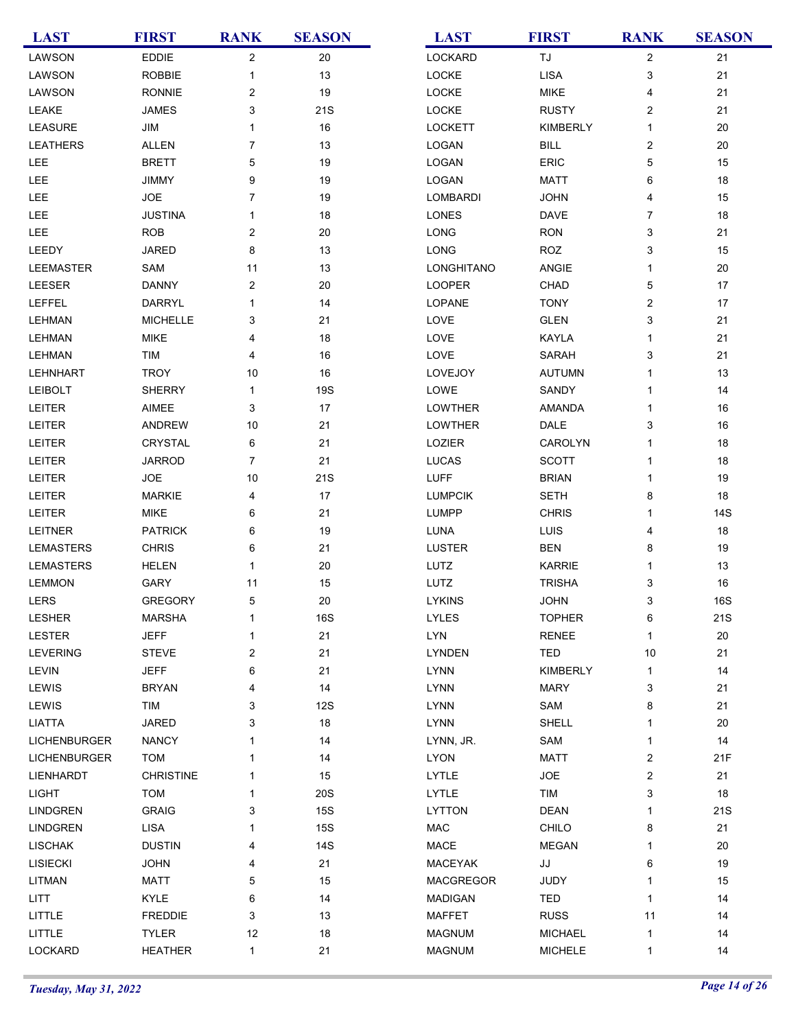| <b>LAST</b>         | <b>FIRST</b>     | <b>RANK</b>    | <b>SEASON</b> | <b>LAST</b>     | <b>FIRST</b>    | <b>RANK</b>               | <b>SEASON</b> |
|---------------------|------------------|----------------|---------------|-----------------|-----------------|---------------------------|---------------|
| LAWSON              | EDDIE            | $\overline{2}$ | $20\,$        | LOCKARD         | IJ              | $\overline{a}$            | 21            |
| LAWSON              | <b>ROBBIE</b>    | 1              | 13            | LOCKE           | <b>LISA</b>     | $\ensuremath{\mathsf{3}}$ | 21            |
| LAWSON              | <b>RONNIE</b>    | $\overline{2}$ | 19            | LOCKE           | <b>MIKE</b>     | 4                         | 21            |
| LEAKE               | JAMES            | 3              | 21S           | LOCKE           | <b>RUSTY</b>    | $\overline{c}$            | 21            |
| <b>LEASURE</b>      | JIM              | $\mathbf{1}$   | $16$          | <b>LOCKETT</b>  | <b>KIMBERLY</b> | $\mathbf{1}$              | 20            |
| <b>LEATHERS</b>     | <b>ALLEN</b>     | $\overline{7}$ | 13            | LOGAN           | <b>BILL</b>     | $\overline{\mathbf{c}}$   | 20            |
| LEE                 | <b>BRETT</b>     | 5              | 19            | LOGAN           | <b>ERIC</b>     | 5                         | 15            |
| <b>LEE</b>          | JIMMY            | 9              | 19            | LOGAN           | <b>MATT</b>     | 6                         | 18            |
| LEE                 | <b>JOE</b>       | 7              | 19            | <b>LOMBARDI</b> | <b>JOHN</b>     | 4                         | 15            |
| LEE                 | <b>JUSTINA</b>   | 1              | 18            | <b>LONES</b>    | <b>DAVE</b>     | $\overline{7}$            | 18            |
| LEE                 | <b>ROB</b>       | $\overline{2}$ | 20            | LONG            | <b>RON</b>      | 3                         | 21            |
| LEEDY               | <b>JARED</b>     | 8              | 13            | LONG            | <b>ROZ</b>      | 3                         | 15            |
| LEEMASTER           | SAM              | 11             | 13            | LONGHITANO      | ANGIE           | $\mathbf{1}$              | 20            |
| LEESER              | <b>DANNY</b>     | $\overline{2}$ | 20            | <b>LOOPER</b>   | CHAD            | 5                         | 17            |
| LEFFEL              | DARRYL           | 1              | 14            | LOPANE          | <b>TONY</b>     | $\overline{\mathbf{c}}$   | 17            |
| <b>LEHMAN</b>       | <b>MICHELLE</b>  | 3              | 21            | LOVE            | <b>GLEN</b>     | 3                         | 21            |
| <b>LEHMAN</b>       | <b>MIKE</b>      | 4              | 18            | LOVE            | <b>KAYLA</b>    | 1                         | 21            |
| <b>LEHMAN</b>       | TIM              | 4              | 16            | LOVE            | <b>SARAH</b>    | 3                         | 21            |
| <b>LEHNHART</b>     | <b>TROY</b>      | 10             | 16            | LOVEJOY         | <b>AUTUMN</b>   | 1                         | 13            |
| <b>LEIBOLT</b>      | <b>SHERRY</b>    | 1              | 19S           | LOWE            | SANDY           | 1                         | 14            |
| LEITER              | AIMEE            | 3              | 17            | LOWTHER         | <b>AMANDA</b>   | $\mathbf{1}$              | 16            |
| <b>LEITER</b>       | ANDREW           | 10             | 21            | LOWTHER         | DALE            | 3                         | 16            |
| LEITER              | CRYSTAL          | 6              | 21            | LOZIER          | CAROLYN         | 1                         | 18            |
| LEITER              | <b>JARROD</b>    | $\overline{7}$ | 21            | <b>LUCAS</b>    | <b>SCOTT</b>    | 1                         | 18            |
| LEITER              | <b>JOE</b>       | 10             | 21S           | LUFF            | <b>BRIAN</b>    | 1                         | 19            |
| LEITER              | <b>MARKIE</b>    | 4              | 17            | <b>LUMPCIK</b>  | <b>SETH</b>     | 8                         | 18            |
| LEITER              | <b>MIKE</b>      | 6              | 21            | <b>LUMPP</b>    | <b>CHRIS</b>    | $\mathbf{1}$              | 14S           |
| <b>LEITNER</b>      | <b>PATRICK</b>   | 6              | 19            | LUNA            | <b>LUIS</b>     | 4                         | 18            |
| <b>LEMASTERS</b>    | <b>CHRIS</b>     | 6              | 21            | <b>LUSTER</b>   | <b>BEN</b>      | 8                         | 19            |
| <b>LEMASTERS</b>    | <b>HELEN</b>     | 1              | $20\,$        | LUTZ            | KARRIE          | 1                         | 13            |
| <b>LEMMON</b>       | GARY             | 11             | 15            | LUTZ            | <b>TRISHA</b>   | 3                         | 16            |
| LERS                | <b>GREGORY</b>   | 5              | 20            | <b>LYKINS</b>   | <b>JOHN</b>     | 3                         | 16S           |
| LESHER              | <b>MARSHA</b>    | 1              | 16S           | <b>LYLES</b>    | <b>TOPHER</b>   | 6                         | 21S           |
| <b>LESTER</b>       | <b>JEFF</b>      | 1              | 21            | <b>LYN</b>      | <b>RENEE</b>    | $\mathbf{1}$              | 20            |
| <b>LEVERING</b>     | <b>STEVE</b>     | 2              | 21            | LYNDEN          | TED             | 10                        | 21            |
| LEVIN               | <b>JEFF</b>      | 6              | 21            | <b>LYNN</b>     | <b>KIMBERLY</b> | $\mathbf{1}$              | 14            |
| LEWIS               | <b>BRYAN</b>     | 4              | 14            | <b>LYNN</b>     | <b>MARY</b>     | 3                         | 21            |
| LEWIS               | TIM              | 3              | <b>12S</b>    | <b>LYNN</b>     | SAM             | 8                         | 21            |
| <b>LIATTA</b>       | <b>JARED</b>     | 3              | 18            | <b>LYNN</b>     | SHELL           | $\mathbf{1}$              | 20            |
| <b>LICHENBURGER</b> | <b>NANCY</b>     | 1              | 14            | LYNN, JR.       | SAM             | $\mathbf{1}$              | 14            |
| <b>LICHENBURGER</b> | <b>TOM</b>       | 1              | 14            | <b>LYON</b>     | <b>MATT</b>     | $\overline{c}$            | 21F           |
| LIENHARDT           | <b>CHRISTINE</b> | 1              | 15            | LYTLE           | <b>JOE</b>      | $\overline{c}$            | 21            |
| LIGHT               | <b>TOM</b>       | 1              | 20S           | LYTLE           | TIM             | 3                         | 18            |
| <b>LINDGREN</b>     | <b>GRAIG</b>     | 3              | <b>15S</b>    | <b>LYTTON</b>   | <b>DEAN</b>     | 1                         | 21S           |
| <b>LINDGREN</b>     | <b>LISA</b>      | 1              | 15S           | MAC             | CHILO           | 8                         | 21            |
| <b>LISCHAK</b>      | <b>DUSTIN</b>    | 4              | 14S           | MACE            | <b>MEGAN</b>    | $\mathbf{1}$              | 20            |
| <b>LISIECKI</b>     | <b>JOHN</b>      | 4              | 21            | <b>MACEYAK</b>  | JJ              | 6                         | 19            |
| <b>LITMAN</b>       | <b>MATT</b>      | 5              | 15            | MACGREGOR       | <b>JUDY</b>     | $\mathbf{1}$              | 15            |
| <b>LITT</b>         | <b>KYLE</b>      | 6              | 14            | <b>MADIGAN</b>  | TED             | $\mathbf{1}$              | 14            |
| <b>LITTLE</b>       | <b>FREDDIE</b>   | 3              | 13            | <b>MAFFET</b>   | <b>RUSS</b>     | 11                        | 14            |
| <b>LITTLE</b>       | <b>TYLER</b>     | 12             | 18            | <b>MAGNUM</b>   | <b>MICHAEL</b>  | $\mathbf{1}$              | 14            |
| LOCKARD             | <b>HEATHER</b>   | $\mathbf{1}$   | 21            | <b>MAGNUM</b>   | <b>MICHELE</b>  | $\mathbf{1}$              | 14            |
|                     |                  |                |               |                 |                 |                           |               |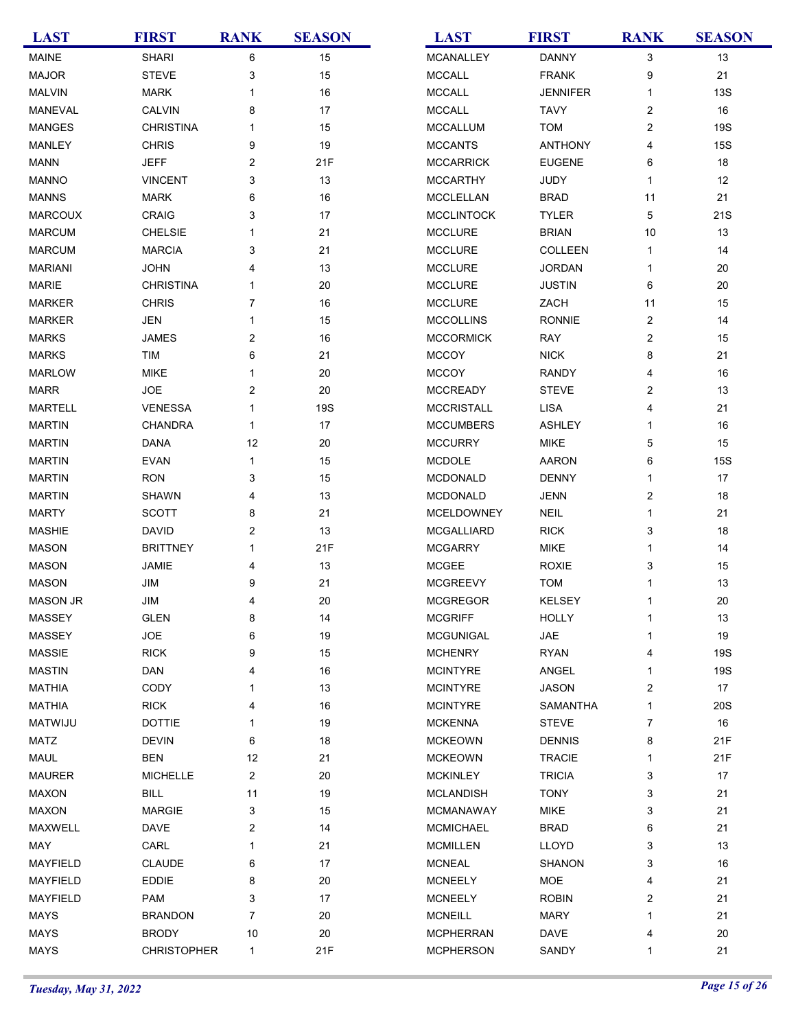| <b>LAST</b>     | <b>FIRST</b>       | <b>RANK</b>    | <b>SEASON</b> | <b>LAST</b>       | <b>FIRST</b>    | <b>RANK</b>             | <b>SEASON</b> |
|-----------------|--------------------|----------------|---------------|-------------------|-----------------|-------------------------|---------------|
| <b>MAINE</b>    | <b>SHARI</b>       | 6              | 15            | MCANALLEY         | <b>DANNY</b>    | 3                       | 13            |
| <b>MAJOR</b>    | <b>STEVE</b>       | 3              | 15            | <b>MCCALL</b>     | <b>FRANK</b>    | 9                       | 21            |
| <b>MALVIN</b>   | <b>MARK</b>        | 1              | $16\,$        | <b>MCCALL</b>     | <b>JENNIFER</b> | 1                       | <b>13S</b>    |
| MANEVAL         | CALVIN             | 8              | 17            | <b>MCCALL</b>     | <b>TAVY</b>     | 2                       | 16            |
| <b>MANGES</b>   | <b>CHRISTINA</b>   | 1              | 15            | <b>MCCALLUM</b>   | <b>TOM</b>      | $\overline{\mathbf{c}}$ | <b>19S</b>    |
| <b>MANLEY</b>   | <b>CHRIS</b>       | 9              | 19            | <b>MCCANTS</b>    | <b>ANTHONY</b>  | 4                       | <b>15S</b>    |
| <b>MANN</b>     | <b>JEFF</b>        | $\overline{c}$ | 21F           | <b>MCCARRICK</b>  | <b>EUGENE</b>   | 6                       | 18            |
| <b>MANNO</b>    | <b>VINCENT</b>     | 3              | 13            | <b>MCCARTHY</b>   | JUDY            | 1                       | 12            |
| <b>MANNS</b>    | <b>MARK</b>        | 6              | 16            | <b>MCCLELLAN</b>  | <b>BRAD</b>     | 11                      | 21            |
| <b>MARCOUX</b>  | <b>CRAIG</b>       | 3              | 17            | <b>MCCLINTOCK</b> | <b>TYLER</b>    | 5                       | 21S           |
| <b>MARCUM</b>   | <b>CHELSIE</b>     | 1              | 21            | <b>MCCLURE</b>    | <b>BRIAN</b>    | 10                      | 13            |
| <b>MARCUM</b>   | <b>MARCIA</b>      | 3              | 21            | <b>MCCLURE</b>    | <b>COLLEEN</b>  | 1                       | 14            |
| <b>MARIANI</b>  | <b>JOHN</b>        | 4              | 13            | <b>MCCLURE</b>    | <b>JORDAN</b>   | 1                       | 20            |
| <b>MARIE</b>    | <b>CHRISTINA</b>   | 1              | $20\,$        | <b>MCCLURE</b>    | <b>JUSTIN</b>   | 6                       | 20            |
| <b>MARKER</b>   | <b>CHRIS</b>       | 7              | $16\,$        | <b>MCCLURE</b>    | ZACH            | 11                      | 15            |
| <b>MARKER</b>   | <b>JEN</b>         | 1              | 15            | <b>MCCOLLINS</b>  | <b>RONNIE</b>   | $\overline{c}$          | 14            |
| <b>MARKS</b>    | <b>JAMES</b>       | 2              | 16            | <b>MCCORMICK</b>  | <b>RAY</b>      | 2                       | 15            |
| <b>MARKS</b>    | TIM                | 6              | 21            | <b>MCCOY</b>      | <b>NICK</b>     | 8                       | 21            |
| <b>MARLOW</b>   | <b>MIKE</b>        | 1              | 20            | <b>MCCOY</b>      | <b>RANDY</b>    | 4                       | 16            |
| <b>MARR</b>     | <b>JOE</b>         | 2              | 20            | <b>MCCREADY</b>   | <b>STEVE</b>    | 2                       | 13            |
| <b>MARTELL</b>  | <b>VENESSA</b>     | 1              | <b>19S</b>    | <b>MCCRISTALL</b> | <b>LISA</b>     | 4                       | 21            |
| <b>MARTIN</b>   | <b>CHANDRA</b>     | 1              | 17            | <b>MCCUMBERS</b>  | <b>ASHLEY</b>   | 1                       | 16            |
| <b>MARTIN</b>   | <b>DANA</b>        | 12             | $20\,$        | <b>MCCURRY</b>    | <b>MIKE</b>     | 5                       | 15            |
| <b>MARTIN</b>   | <b>EVAN</b>        | 1              | 15            | <b>MCDOLE</b>     | <b>AARON</b>    | 6                       | <b>15S</b>    |
| <b>MARTIN</b>   | <b>RON</b>         | 3              | 15            | <b>MCDONALD</b>   | <b>DENNY</b>    | 1                       | 17            |
| <b>MARTIN</b>   | <b>SHAWN</b>       | 4              | 13            | MCDONALD          | <b>JENN</b>     | 2                       | 18            |
| <b>MARTY</b>    | <b>SCOTT</b>       | 8              | 21            | MCELDOWNEY        | <b>NEIL</b>     | 1                       | 21            |
| <b>MASHIE</b>   | <b>DAVID</b>       | 2              | 13            | <b>MCGALLIARD</b> | <b>RICK</b>     | 3                       | 18            |
| <b>MASON</b>    | <b>BRITTNEY</b>    | 1              | 21F           | <b>MCGARRY</b>    | <b>MIKE</b>     | 1                       | 14            |
| <b>MASON</b>    | JAMIE              | 4              | 13            | <b>MCGEE</b>      | <b>ROXIE</b>    | 3                       | 15            |
| <b>MASON</b>    | JIM                | 9              | 21            | <b>MCGREEVY</b>   | <b>TOM</b>      | 1                       | 13            |
| <b>MASON JR</b> | JIM                | 4              | 20            | <b>MCGREGOR</b>   | <b>KELSEY</b>   | 1                       | 20            |
| MASSEY          | <b>GLEN</b>        | 8              | 14            | <b>MCGRIFF</b>    | <b>HOLLY</b>    | 1                       | 13            |
| MASSEY          | <b>JOE</b>         | 6              | $19$          | <b>MCGUNIGAL</b>  | JAE             | 1                       | 19            |
| <b>MASSIE</b>   | <b>RICK</b>        | 9              | 15            | <b>MCHENRY</b>    | <b>RYAN</b>     | 4                       | 19S           |
| <b>MASTIN</b>   | DAN                | 4              | 16            | <b>MCINTYRE</b>   | ANGEL           | 1                       | 19S           |
| <b>MATHIA</b>   | <b>CODY</b>        | 1              | 13            | <b>MCINTYRE</b>   | <b>JASON</b>    | 2                       | 17            |
| <b>MATHIA</b>   | <b>RICK</b>        | 4              | 16            | <b>MCINTYRE</b>   | <b>SAMANTHA</b> | 1                       | 20S           |
| MATWIJU         | <b>DOTTIE</b>      | 1              | $19$          | <b>MCKENNA</b>    | <b>STEVE</b>    | 7                       | 16            |
| MATZ            | <b>DEVIN</b>       | 6              | 18            | <b>MCKEOWN</b>    | <b>DENNIS</b>   | 8                       | 21F           |
| <b>MAUL</b>     | <b>BEN</b>         | 12             | 21            | <b>MCKEOWN</b>    | <b>TRACIE</b>   | 1                       | 21F           |
| <b>MAURER</b>   | <b>MICHELLE</b>    | $\overline{c}$ | 20            | <b>MCKINLEY</b>   | <b>TRICIA</b>   | 3                       | 17            |
| <b>MAXON</b>    | <b>BILL</b>        | 11             | 19            | <b>MCLANDISH</b>  | <b>TONY</b>     | 3                       | 21            |
| <b>MAXON</b>    | <b>MARGIE</b>      | 3              | 15            | <b>MCMANAWAY</b>  | <b>MIKE</b>     | 3                       | 21            |
| MAXWELL         | DAVE               | 2              | 14            | <b>MCMICHAEL</b>  | <b>BRAD</b>     | 6                       | 21            |
| MAY             | CARL               | 1              | 21            | <b>MCMILLEN</b>   | LLOYD           | 3                       | 13            |
| <b>MAYFIELD</b> | <b>CLAUDE</b>      | 6              | 17            | <b>MCNEAL</b>     | <b>SHANON</b>   | 3                       | 16            |
| MAYFIELD        | <b>EDDIE</b>       | 8              | 20            | <b>MCNEELY</b>    | MOE             | 4                       | 21            |
| MAYFIELD        | PAM                | 3              | 17            | <b>MCNEELY</b>    | <b>ROBIN</b>    | 2                       | 21            |
| <b>MAYS</b>     | <b>BRANDON</b>     | $\overline{7}$ | 20            | <b>MCNEILL</b>    | <b>MARY</b>     | 1                       | 21            |
| <b>MAYS</b>     | <b>BRODY</b>       | 10             | 20            | <b>MCPHERRAN</b>  | DAVE            | 4                       | 20            |
| MAYS            | <b>CHRISTOPHER</b> | $\mathbf{1}$   | 21F           | <b>MCPHERSON</b>  | SANDY           | 1                       | 21            |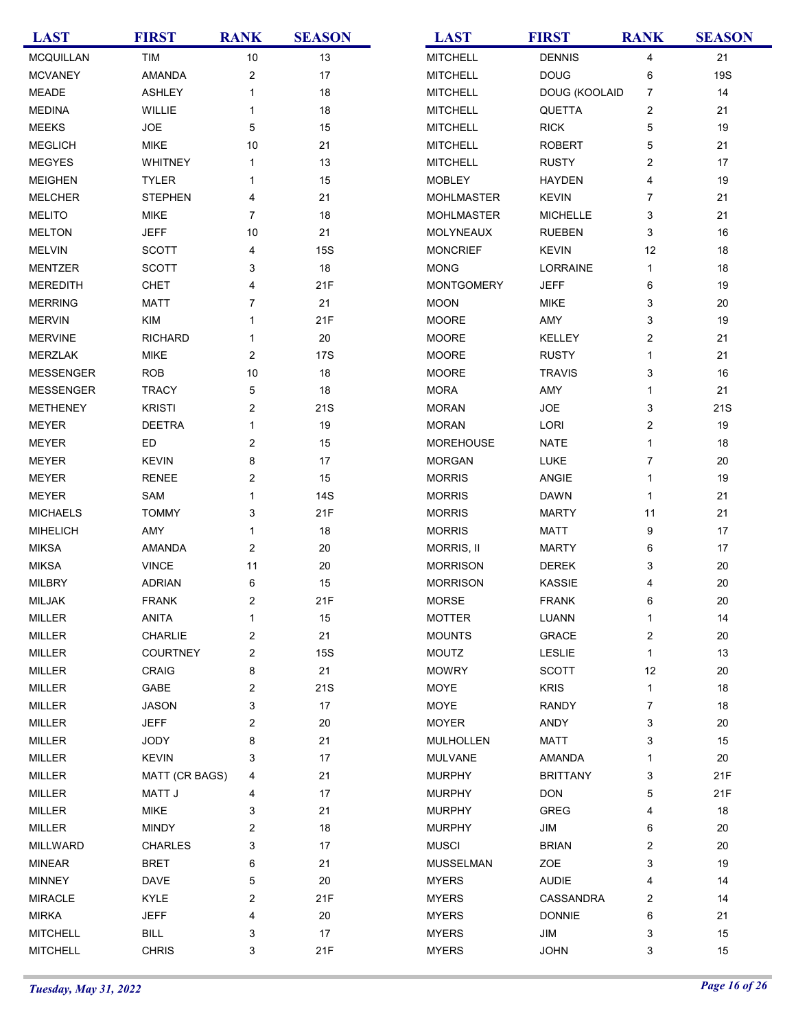| <b>LAST</b>      | <b>FIRST</b>   | <b>RANK</b>    | <b>SEASON</b> | <b>LAST</b>       | <b>FIRST</b>     | <b>RANK</b>    | <b>SEASON</b> |
|------------------|----------------|----------------|---------------|-------------------|------------------|----------------|---------------|
| <b>MCQUILLAN</b> | TIM            | $10$           | 13            | <b>MITCHELL</b>   | <b>DENNIS</b>    | 4              | 21            |
| <b>MCVANEY</b>   | <b>AMANDA</b>  | $\overline{c}$ | 17            | <b>MITCHELL</b>   | <b>DOUG</b>      | 6              | <b>19S</b>    |
| <b>MEADE</b>     | <b>ASHLEY</b>  | 1              | 18            | <b>MITCHELL</b>   | DOUG (KOOLAID    | $\overline{7}$ | 14            |
| <b>MEDINA</b>    | WILLIE         | 1              | 18            | <b>MITCHELL</b>   | QUETTA           | $\overline{c}$ | 21            |
| <b>MEEKS</b>     | <b>JOE</b>     | 5              | 15            | <b>MITCHELL</b>   | <b>RICK</b>      | 5              | 19            |
| <b>MEGLICH</b>   | <b>MIKE</b>    | 10             | 21            | <b>MITCHELL</b>   | <b>ROBERT</b>    | $\mathbf 5$    | 21            |
| <b>MEGYES</b>    | <b>WHITNEY</b> | 1              | 13            | <b>MITCHELL</b>   | <b>RUSTY</b>     | $\overline{c}$ | 17            |
| <b>MEIGHEN</b>   | <b>TYLER</b>   | 1              | 15            | <b>MOBLEY</b>     | <b>HAYDEN</b>    | 4              | 19            |
| <b>MELCHER</b>   | <b>STEPHEN</b> | 4              | 21            | <b>MOHLMASTER</b> | <b>KEVIN</b>     | 7              | 21            |
| <b>MELITO</b>    | <b>MIKE</b>    | 7              | 18            | MOHLMASTER        | <b>MICHELLE</b>  | 3              | 21            |
| <b>MELTON</b>    | <b>JEFF</b>    | 10             | 21            | MOLYNEAUX         | <b>RUEBEN</b>    | 3              | 16            |
| <b>MELVIN</b>    | <b>SCOTT</b>   | 4              | <b>15S</b>    | <b>MONCRIEF</b>   | <b>KEVIN</b>     | 12             | 18            |
| <b>MENTZER</b>   | <b>SCOTT</b>   | 3              | 18            | <b>MONG</b>       | LORRAINE         | $\mathbf{1}$   | 18            |
| <b>MEREDITH</b>  | <b>CHET</b>    | 4              | 21F           | <b>MONTGOMERY</b> | <b>JEFF</b>      | 6              | 19            |
| <b>MERRING</b>   | <b>MATT</b>    | 7              | 21            | <b>MOON</b>       | <b>MIKE</b>      | 3              | 20            |
| <b>MERVIN</b>    | <b>KIM</b>     | 1              | 21F           | <b>MOORE</b>      | AMY              | 3              | 19            |
| <b>MERVINE</b>   | <b>RICHARD</b> | 1              | 20            | <b>MOORE</b>      | KELLEY           | $\overline{c}$ | 21            |
| <b>MERZLAK</b>   | <b>MIKE</b>    | $\overline{2}$ | 17S           | <b>MOORE</b>      | <b>RUSTY</b>     | 1              | 21            |
| MESSENGER        | <b>ROB</b>     | 10             | $18$          | <b>MOORE</b>      | <b>TRAVIS</b>    | 3              | 16            |
| <b>MESSENGER</b> | <b>TRACY</b>   | 5              | 18            | <b>MORA</b>       | AMY              | 1              | 21            |
| <b>METHENEY</b>  | <b>KRISTI</b>  | 2              | 21S           | <b>MORAN</b>      | JOE              | 3              | 21S           |
| <b>MEYER</b>     | <b>DEETRA</b>  | 1              | $19$          | <b>MORAN</b>      | LORI             | 2              | 19            |
| <b>MEYER</b>     | ED             | 2              | 15            | <b>MOREHOUSE</b>  | <b>NATE</b>      | 1              | 18            |
| <b>MEYER</b>     | <b>KEVIN</b>   | 8              | 17            | <b>MORGAN</b>     | <b>LUKE</b>      | 7              | 20            |
| <b>MEYER</b>     | <b>RENEE</b>   | 2              | 15            | <b>MORRIS</b>     | ANGIE            | 1              | 19            |
| MEYER            | SAM            | 1              | 14S           | <b>MORRIS</b>     | <b>DAWN</b>      | $\mathbf 1$    | 21            |
| <b>MICHAELS</b>  | <b>TOMMY</b>   | 3              | 21F           | <b>MORRIS</b>     | <b>MARTY</b>     | 11             | 21            |
| <b>MIHELICH</b>  | AMY            | 1              | $18$          | <b>MORRIS</b>     | <b>MATT</b>      | 9              | 17            |
| <b>MIKSA</b>     | <b>AMANDA</b>  | $\overline{2}$ | $20\,$        | MORRIS, II        | <b>MARTY</b>     | 6              | 17            |
| <b>MIKSA</b>     | <b>VINCE</b>   | 11             | $20\,$        | <b>MORRISON</b>   | <b>DEREK</b>     | 3              | 20            |
| <b>MILBRY</b>    | <b>ADRIAN</b>  | 6              | 15            | <b>MORRISON</b>   | KASSIE           | 4              | 20            |
| MILJAK           | <b>FRANK</b>   | 2              | 21F           | <b>MORSE</b>      | <b>FRANK</b>     | 6              | 20            |
| <b>MILLER</b>    | ANITA          | 1              | 15            | <b>MOTTER</b>     | LUANN            | 1              | 14            |
| <b>MILLER</b>    | CHARLIE        | 2              | 21            | <b>MOUNTS</b>     | GRACE            | 2              | 20            |
| MILLER           | COURTNEY       | 2              | <b>15S</b>    | <b>MOUTZ</b>      | <b>LESLIE</b>    | $\mathbf{1}$   | 13            |
| MILLER           | CRAIG          | 8              | 21            | <b>MOWRY</b>      | <b>SCOTT</b>     | 12             | 20            |
| MILLER           | GABE           | 2              | 21S           | MOYE              | <b>KRIS</b>      | 1              | 18            |
| MILLER           | <b>JASON</b>   | 3              | 17            | MOYE              | <b>RANDY</b>     | $\overline{7}$ | 18            |
| MILLER           | JEFF           | 2              | $20\,$        | <b>MOYER</b>      | ANDY             | 3              | 20            |
| MILLER           | JODY           | 8              | 21            | MULHOLLEN         | <b>MATT</b>      | 3              | 15            |
| MILLER           | <b>KEVIN</b>   | 3              | 17            | <b>MULVANE</b>    | AMANDA           | 1              | 20            |
| <b>MILLER</b>    | MATT (CR BAGS) | 4              | 21            | <b>MURPHY</b>     | <b>BRITTANY</b>  | 3              | 21F           |
| MILLER           | <b>MATT J</b>  | 4              | 17            | <b>MURPHY</b>     | <b>DON</b>       | 5              | 21F           |
| MILLER           | <b>MIKE</b>    | 3              | 21            | <b>MURPHY</b>     | GREG             | 4              | 18            |
| MILLER           | <b>MINDY</b>   | 2              | 18            | <b>MURPHY</b>     | JIM              | 6              | 20            |
| <b>MILLWARD</b>  | <b>CHARLES</b> | 3              | 17            | <b>MUSCI</b>      | <b>BRIAN</b>     | $\overline{c}$ | 20            |
| <b>MINEAR</b>    | <b>BRET</b>    | 6              | 21            | <b>MUSSELMAN</b>  | ZOE              | 3              | 19            |
| MINNEY           | DAVE           | 5              | 20            | <b>MYERS</b>      | <b>AUDIE</b>     | 4              | 14            |
| <b>MIRACLE</b>   | KYLE           | 2              | 21F           | <b>MYERS</b>      | <b>CASSANDRA</b> | $\overline{c}$ | 14            |
| <b>MIRKA</b>     | JEFF           | 4              | 20            | <b>MYERS</b>      | <b>DONNIE</b>    | 6              | 21            |
| <b>MITCHELL</b>  | BILL           | 3              | $17\,$        | <b>MYERS</b>      | JIM              | 3              | 15            |
| <b>MITCHELL</b>  | <b>CHRIS</b>   | 3              | 21F           | <b>MYERS</b>      | <b>JOHN</b>      | 3              | 15            |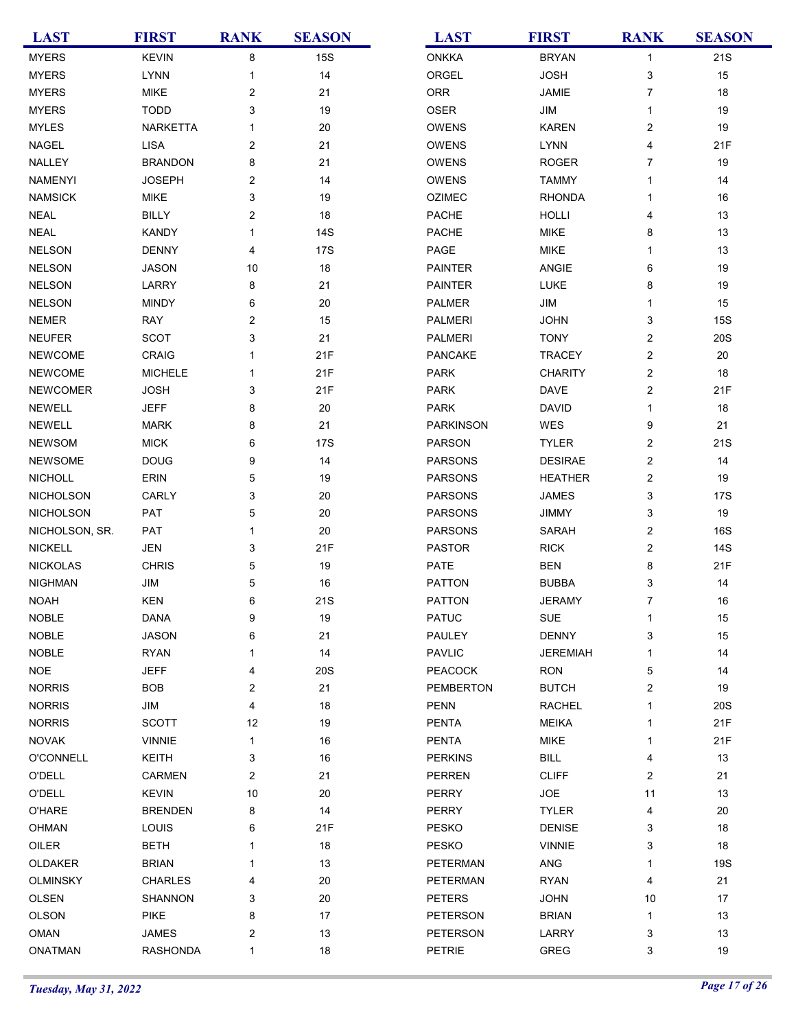| <b>LAST</b>      | <b>FIRST</b>   | <b>RANK</b>    | <b>SEASON</b> | <b>LAST</b>      | <b>FIRST</b>    | <b>RANK</b>             | <b>SEASON</b> |
|------------------|----------------|----------------|---------------|------------------|-----------------|-------------------------|---------------|
| <b>MYERS</b>     | <b>KEVIN</b>   | 8              | <b>15S</b>    | <b>ONKKA</b>     | <b>BRYAN</b>    | 1                       | <b>21S</b>    |
| <b>MYERS</b>     | <b>LYNN</b>    | 1              | 14            | ORGEL            | <b>JOSH</b>     | 3                       | 15            |
| <b>MYERS</b>     | <b>MIKE</b>    | $\overline{c}$ | 21            | ORR              | JAMIE           | $\overline{7}$          | 18            |
| <b>MYERS</b>     | <b>TODD</b>    | 3              | 19            | OSER             | JIM             | $\mathbf{1}$            | 19            |
| <b>MYLES</b>     | NARKETTA       | 1              | 20            | <b>OWENS</b>     | <b>KAREN</b>    | $\overline{\mathbf{c}}$ | 19            |
| <b>NAGEL</b>     | <b>LISA</b>    | 2              | 21            | <b>OWENS</b>     | <b>LYNN</b>     | 4                       | 21F           |
| NALLEY           | <b>BRANDON</b> | 8              | 21            | <b>OWENS</b>     | <b>ROGER</b>    | 7                       | 19            |
| <b>NAMENYI</b>   | <b>JOSEPH</b>  | 2              | 14            | <b>OWENS</b>     | <b>TAMMY</b>    | 1                       | 14            |
| <b>NAMSICK</b>   | <b>MIKE</b>    | 3              | 19            | <b>OZIMEC</b>    | <b>RHONDA</b>   | $\mathbf 1$             | 16            |
| <b>NEAL</b>      | <b>BILLY</b>   | 2              | 18            | <b>PACHE</b>     | <b>HOLLI</b>    | 4                       | 13            |
| <b>NEAL</b>      | <b>KANDY</b>   | 1              | 14S           | PACHE            | <b>MIKE</b>     | 8                       | 13            |
| <b>NELSON</b>    | <b>DENNY</b>   | 4              | 17S           | PAGE             | <b>MIKE</b>     | 1                       | 13            |
| <b>NELSON</b>    | <b>JASON</b>   | 10             | $18$          | <b>PAINTER</b>   | ANGIE           | 6                       | 19            |
| <b>NELSON</b>    | LARRY          | 8              | 21            | <b>PAINTER</b>   | LUKE            | 8                       | 19            |
| <b>NELSON</b>    | <b>MINDY</b>   | 6              | $20\,$        | PALMER           | JIM             | $\mathbf 1$             | 15            |
| <b>NEMER</b>     | <b>RAY</b>     | 2              | 15            | <b>PALMERI</b>   | <b>JOHN</b>     | 3                       | <b>15S</b>    |
| <b>NEUFER</b>    | <b>SCOT</b>    | 3              | 21            | <b>PALMERI</b>   | <b>TONY</b>     | $\overline{c}$          | 20S           |
| <b>NEWCOME</b>   | <b>CRAIG</b>   | 1              | 21F           | <b>PANCAKE</b>   | <b>TRACEY</b>   | $\overline{\mathbf{c}}$ | 20            |
| <b>NEWCOME</b>   | <b>MICHELE</b> | 1              | 21F           | <b>PARK</b>      | <b>CHARITY</b>  | $\boldsymbol{2}$        | 18            |
| <b>NEWCOMER</b>  | <b>JOSH</b>    | 3              | 21F           | <b>PARK</b>      | <b>DAVE</b>     | $\overline{\mathbf{c}}$ | 21F           |
| NEWELL           | <b>JEFF</b>    | 8              | $20\,$        | <b>PARK</b>      | <b>DAVID</b>    | $\mathbf 1$             | 18            |
| <b>NEWELL</b>    | <b>MARK</b>    | 8              | 21            | <b>PARKINSON</b> | WES             | 9                       | 21            |
| <b>NEWSOM</b>    | <b>MICK</b>    | 6              | <b>17S</b>    | <b>PARSON</b>    | <b>TYLER</b>    | $\overline{\mathbf{c}}$ | 21S           |
| <b>NEWSOME</b>   | <b>DOUG</b>    | 9              | 14            | <b>PARSONS</b>   | <b>DESIRAE</b>  | $\overline{\mathbf{c}}$ | 14            |
| <b>NICHOLL</b>   | ERIN           | 5              | $19$          | <b>PARSONS</b>   | <b>HEATHER</b>  | $\overline{c}$          | 19            |
| NICHOLSON        | CARLY          | 3              | $20\,$        | <b>PARSONS</b>   | <b>JAMES</b>    | 3                       | 17S           |
| <b>NICHOLSON</b> | PAT            | 5              | $20\,$        | <b>PARSONS</b>   | JIMMY           | 3                       | 19            |
| NICHOLSON, SR.   | PAT            | 1              | 20            | <b>PARSONS</b>   | SARAH           | 2                       | 16S           |
| <b>NICKELL</b>   | <b>JEN</b>     | 3              | 21F           | <b>PASTOR</b>    | <b>RICK</b>     | $\overline{c}$          | 14S           |
| <b>NICKOLAS</b>  | <b>CHRIS</b>   | 5              | $19$          | PATE             | <b>BEN</b>      | 8                       | 21F           |
| <b>NIGHMAN</b>   | JIM            | 5              | $16\,$        | <b>PATTON</b>    | <b>BUBBA</b>    | 3                       | 14            |
| <b>NOAH</b>      | <b>KEN</b>     | 6              | 21S           | <b>PATTON</b>    | <b>JERAMY</b>   | 7                       | 16            |
| <b>NOBLE</b>     | <b>DANA</b>    | 9              | 19            | <b>PATUC</b>     | <b>SUE</b>      | $\mathbf 1$             | 15            |
| <b>NOBLE</b>     | <b>JASON</b>   | 6              | 21            | PAULEY           | <b>DENNY</b>    | 3                       | 15            |
| <b>NOBLE</b>     | <b>RYAN</b>    | 1              | 14            | <b>PAVLIC</b>    | <b>JEREMIAH</b> | 1                       | 14            |
| <b>NOE</b>       | <b>JEFF</b>    | 4              | <b>20S</b>    | <b>PEACOCK</b>   | <b>RON</b>      | 5                       | 14            |
| <b>NORRIS</b>    | <b>BOB</b>     | 2              | 21            | PEMBERTON        | <b>BUTCH</b>    | $\overline{c}$          | 19            |
| <b>NORRIS</b>    | JIM            | 4              | 18            | <b>PENN</b>      | <b>RACHEL</b>   | 1                       | 20S           |
| <b>NORRIS</b>    | <b>SCOTT</b>   | 12             | 19            | <b>PENTA</b>     | <b>MEIKA</b>    | 1                       | 21F           |
| <b>NOVAK</b>     | <b>VINNIE</b>  | 1              | 16            | <b>PENTA</b>     | <b>MIKE</b>     | 1                       | 21F           |
| <b>O'CONNELL</b> | KEITH          | 3              | $16\,$        | <b>PERKINS</b>   | <b>BILL</b>     | 4                       | 13            |
| O'DELL           | <b>CARMEN</b>  | $\overline{c}$ | 21            | <b>PERREN</b>    | <b>CLIFF</b>    | $\overline{c}$          | 21            |
| O'DELL           | <b>KEVIN</b>   | 10             | 20            | PERRY            | JOE             | 11                      | 13            |
| O'HARE           | <b>BRENDEN</b> | 8              | 14            | PERRY            | <b>TYLER</b>    | 4                       | 20            |
| OHMAN            | LOUIS          | 6              | 21F           | <b>PESKO</b>     | <b>DENISE</b>   | 3                       | 18            |
| OILER            | <b>BETH</b>    | 1              | 18            | PESKO            | <b>VINNIE</b>   | 3                       | 18            |
| OLDAKER          | <b>BRIAN</b>   | 1              | 13            | PETERMAN         | ANG             | 1                       | 19S           |
| <b>OLMINSKY</b>  | <b>CHARLES</b> | 4              | 20            | <b>PETERMAN</b>  | <b>RYAN</b>     | 4                       | 21            |
| OLSEN            | SHANNON        | 3              | $20\,$        | <b>PETERS</b>    | <b>JOHN</b>     | 10                      | 17            |
| <b>OLSON</b>     | <b>PIKE</b>    | 8              | 17            | <b>PETERSON</b>  | <b>BRIAN</b>    | 1                       | 13            |
| OMAN             | JAMES          | 2              | 13            | PETERSON         | LARRY           | 3                       | 13            |
| ONATMAN          | RASHONDA       | 1              | 18            | PETRIE           | GREG            | 3                       | 19            |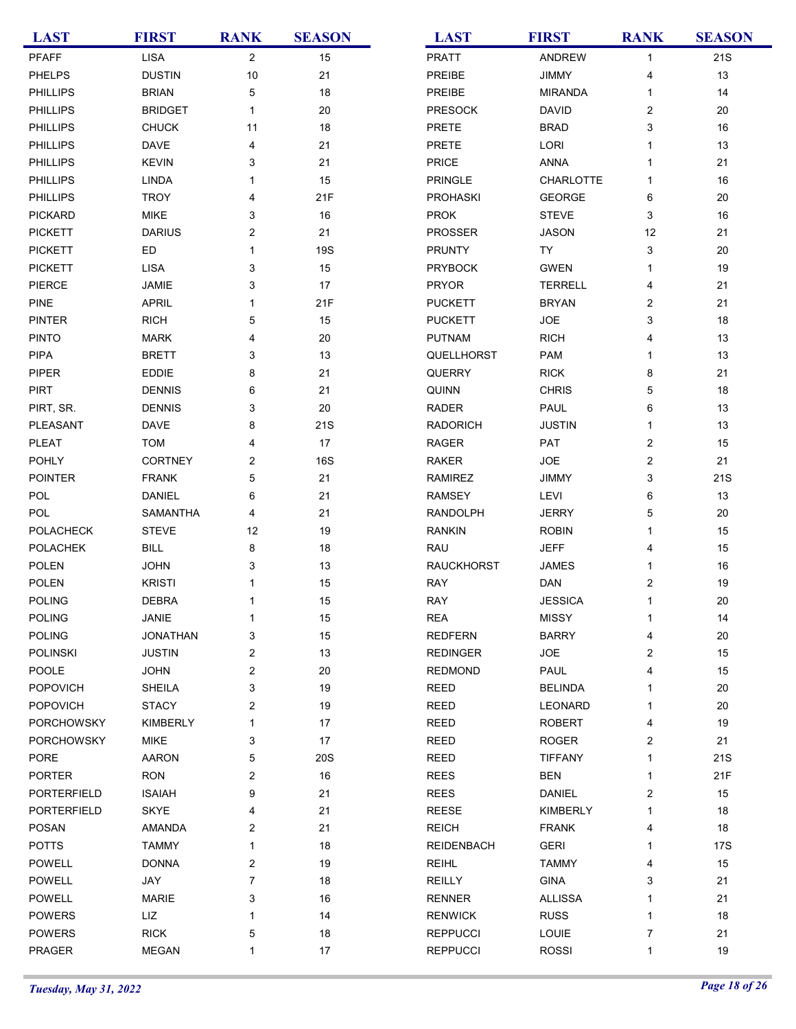| <b>LAST</b>       | <b>FIRST</b>    | <b>RANK</b>    | <b>SEASON</b> | <b>LAST</b>       | <b>FIRST</b>   | <b>RANK</b>             | <b>SEASON</b> |
|-------------------|-----------------|----------------|---------------|-------------------|----------------|-------------------------|---------------|
| <b>PFAFF</b>      | <b>LISA</b>     | $\mathbf{2}$   | 15            | <b>PRATT</b>      | ANDREW         | 1                       | <b>21S</b>    |
| <b>PHELPS</b>     | <b>DUSTIN</b>   | 10             | 21            | PREIBE            | <b>JIMMY</b>   | 4                       | 13            |
| <b>PHILLIPS</b>   | <b>BRIAN</b>    | 5              | 18            | PREIBE            | <b>MIRANDA</b> | $\mathbf 1$             | 14            |
| <b>PHILLIPS</b>   | <b>BRIDGET</b>  | 1              | $20\,$        | <b>PRESOCK</b>    | <b>DAVID</b>   | $\overline{c}$          | 20            |
| <b>PHILLIPS</b>   | <b>CHUCK</b>    | 11             | 18            | PRETE             | <b>BRAD</b>    | 3                       | 16            |
| <b>PHILLIPS</b>   | DAVE            | 4              | 21            | <b>PRETE</b>      | LORI           | 1                       | 13            |
| <b>PHILLIPS</b>   | <b>KEVIN</b>    | 3              | 21            | <b>PRICE</b>      | <b>ANNA</b>    | $\mathbf 1$             | 21            |
| <b>PHILLIPS</b>   | <b>LINDA</b>    | 1              | 15            | PRINGLE           | CHARLOTTE      | $\mathbf 1$             | 16            |
| <b>PHILLIPS</b>   | <b>TROY</b>     | 4              | 21F           | <b>PROHASKI</b>   | GEORGE         | 6                       | 20            |
| <b>PICKARD</b>    | <b>MIKE</b>     | 3              | 16            | <b>PROK</b>       | <b>STEVE</b>   | 3                       | 16            |
| <b>PICKETT</b>    | <b>DARIUS</b>   | 2              | 21            | <b>PROSSER</b>    | <b>JASON</b>   | 12                      | 21            |
| <b>PICKETT</b>    | ED              | 1              | 19S           | <b>PRUNTY</b>     | TY             | 3                       | 20            |
| <b>PICKETT</b>    | <b>LISA</b>     | 3              | 15            | <b>PRYBOCK</b>    | <b>GWEN</b>    | 1                       | 19            |
| PIERCE            | JAMIE           | 3              | 17            | <b>PRYOR</b>      | <b>TERRELL</b> | 4                       | 21            |
| <b>PINE</b>       | <b>APRIL</b>    | 1              | 21F           | <b>PUCKETT</b>    | <b>BRYAN</b>   | $\overline{c}$          | 21            |
| <b>PINTER</b>     | <b>RICH</b>     | 5              | 15            | <b>PUCKETT</b>    | <b>JOE</b>     | 3                       | 18            |
| <b>PINTO</b>      | <b>MARK</b>     | 4              | $20\,$        | <b>PUTNAM</b>     | <b>RICH</b>    | 4                       | 13            |
| <b>PIPA</b>       | <b>BRETT</b>    | 3              | 13            | QUELLHORST        | <b>PAM</b>     | $\mathbf{1}$            | 13            |
| <b>PIPER</b>      | <b>EDDIE</b>    | 8              | 21            | QUERRY            | <b>RICK</b>    | 8                       | 21            |
| <b>PIRT</b>       | <b>DENNIS</b>   | 6              | 21            | QUINN             | <b>CHRIS</b>   | 5                       | 18            |
| PIRT, SR.         | <b>DENNIS</b>   | 3              | 20            | <b>RADER</b>      | PAUL           | 6                       | 13            |
| PLEASANT          | DAVE            | 8              | 21S           | <b>RADORICH</b>   | <b>JUSTIN</b>  | 1                       | 13            |
| <b>PLEAT</b>      | <b>TOM</b>      | 4              | 17            | RAGER             | PAT            | $\overline{c}$          | 15            |
| <b>POHLY</b>      | <b>CORTNEY</b>  | 2              | <b>16S</b>    | RAKER             | <b>JOE</b>     | $\overline{\mathbf{c}}$ | 21            |
| <b>POINTER</b>    | <b>FRANK</b>    | 5              | 21            | RAMIREZ           | <b>JIMMY</b>   | 3                       | 21S           |
| POL               | <b>DANIEL</b>   | 6              | 21            | <b>RAMSEY</b>     | LEVI           | 6                       | 13            |
| POL               | <b>SAMANTHA</b> | 4              | 21            | <b>RANDOLPH</b>   | <b>JERRY</b>   | 5                       | 20            |
| <b>POLACHECK</b>  | <b>STEVE</b>    | 12             | 19            | <b>RANKIN</b>     | <b>ROBIN</b>   | 1                       | 15            |
| POLACHEK          | <b>BILL</b>     | 8              | $18$          | RAU               | <b>JEFF</b>    | 4                       | 15            |
| <b>POLEN</b>      | <b>JOHN</b>     | 3              | 13            | <b>RAUCKHORST</b> | <b>JAMES</b>   | 1                       | 16            |
| POLEN             | <b>KRISTI</b>   | 1              | 15            | RAY               | DAN            | $\overline{c}$          | 19            |
| <b>POLING</b>     | <b>DEBRA</b>    | 1              | 15            | <b>RAY</b>        | <b>JESSICA</b> | 1                       | 20            |
| <b>POLING</b>     | JANIE           | 1              | 15            | REA               | <b>MISSY</b>   | 1                       | 14            |
| <b>POLING</b>     | <b>JONATHAN</b> | 3              | $15\,$        | <b>REDFERN</b>    | <b>BARRY</b>   | 4                       | 20            |
| <b>POLINSKI</b>   | <b>JUSTIN</b>   | 2              | 13            | <b>REDINGER</b>   | JOE            | $\overline{\mathbf{c}}$ | 15            |
| POOLE             | <b>JOHN</b>     | 2              | $20\,$        | <b>REDMOND</b>    | PAUL           | 4                       | 15            |
| <b>POPOVICH</b>   | <b>SHEILA</b>   | 3              | 19            | REED              | <b>BELINDA</b> | 1                       | 20            |
| <b>POPOVICH</b>   | <b>STACY</b>    | 2              | 19            | <b>REED</b>       | <b>LEONARD</b> | 1                       | 20            |
| <b>PORCHOWSKY</b> | <b>KIMBERLY</b> | 1              | 17            | <b>REED</b>       | <b>ROBERT</b>  | 4                       | 19            |
| <b>PORCHOWSKY</b> | <b>MIKE</b>     | 3              | 17            | <b>REED</b>       | ROGER          | $\overline{c}$          | 21            |
| <b>PORE</b>       | <b>AARON</b>    | 5              | <b>20S</b>    | <b>REED</b>       | <b>TIFFANY</b> | 1                       | 21S           |
| <b>PORTER</b>     | <b>RON</b>      | 2              | 16            | <b>REES</b>       | <b>BEN</b>     | 1                       | 21F           |
| PORTERFIELD       | <b>ISAIAH</b>   | 9              | 21            | <b>REES</b>       | <b>DANIEL</b>  | $\overline{c}$          | 15            |
| PORTERFIELD       | <b>SKYE</b>     | 4              | 21            | <b>REESE</b>      | KIMBERLY       | 1                       | 18            |
| <b>POSAN</b>      | <b>AMANDA</b>   | 2              | 21            | <b>REICH</b>      | <b>FRANK</b>   | 4                       | 18            |
| <b>POTTS</b>      | <b>TAMMY</b>    | 1              | 18            | <b>REIDENBACH</b> | <b>GERI</b>    | 1                       | 17S           |
| <b>POWELL</b>     | <b>DONNA</b>    | 2              | 19            | <b>REIHL</b>      | <b>TAMMY</b>   | 4                       | 15            |
| <b>POWELL</b>     | <b>JAY</b>      | $\overline{7}$ | 18            | <b>REILLY</b>     | <b>GINA</b>    | 3                       | 21            |
| <b>POWELL</b>     | <b>MARIE</b>    | 3              | 16            | <b>RENNER</b>     | <b>ALLISSA</b> | 1                       | 21            |
| <b>POWERS</b>     | LIZ             | 1              | 14            | <b>RENWICK</b>    | <b>RUSS</b>    | 1                       | 18            |
| <b>POWERS</b>     | <b>RICK</b>     | 5              | 18            | <b>REPPUCCI</b>   | LOUIE          | $\overline{7}$          | 21            |
| PRAGER            | MEGAN           | 1              | 17            | <b>REPPUCCI</b>   | <b>ROSSI</b>   | 1                       | 19            |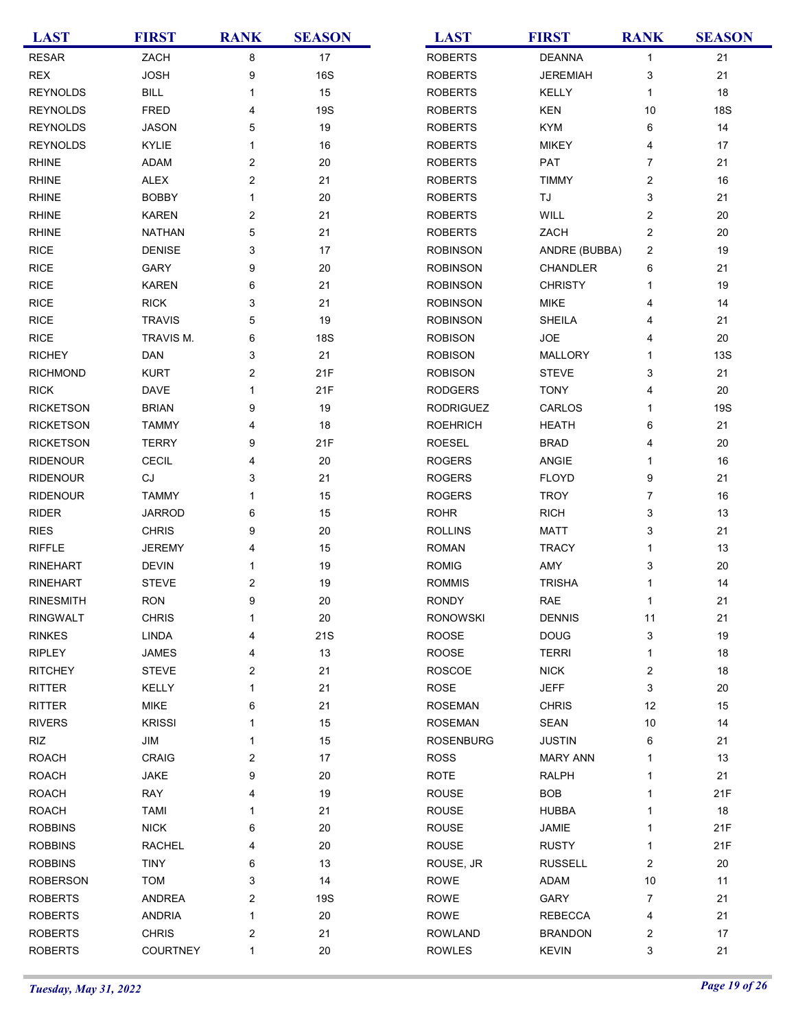| <b>LAST</b>      | <b>FIRST</b>      | <b>RANK</b>    | <b>SEASON</b> | <b>LAST</b>      | <b>FIRST</b>    | <b>RANK</b>             | <b>SEASON</b> |
|------------------|-------------------|----------------|---------------|------------------|-----------------|-------------------------|---------------|
| <b>RESAR</b>     | ZACH              | 8              | 17            | <b>ROBERTS</b>   | <b>DEANNA</b>   | $\mathbf{1}$            | 21            |
| <b>REX</b>       | <b>JOSH</b>       | 9              | 16S           | <b>ROBERTS</b>   | <b>JEREMIAH</b> | 3                       | 21            |
| <b>REYNOLDS</b>  | <b>BILL</b>       | 1              | 15            | <b>ROBERTS</b>   | KELLY           | $\mathbf{1}$            | 18            |
| <b>REYNOLDS</b>  | FRED              | 4              | <b>19S</b>    | <b>ROBERTS</b>   | <b>KEN</b>      | 10                      | <b>18S</b>    |
| <b>REYNOLDS</b>  | <b>JASON</b>      | 5              | 19            | <b>ROBERTS</b>   | <b>KYM</b>      | 6                       | 14            |
| <b>REYNOLDS</b>  | KYLIE             | 1              | 16            | <b>ROBERTS</b>   | <b>MIKEY</b>    | 4                       | 17            |
| <b>RHINE</b>     | ADAM              | 2              | 20            | <b>ROBERTS</b>   | PAT             | $\overline{7}$          | 21            |
| <b>RHINE</b>     | ALEX              | 2              | 21            | <b>ROBERTS</b>   | <b>TIMMY</b>    | $\overline{\mathbf{c}}$ | 16            |
| <b>RHINE</b>     | <b>BOBBY</b>      | $\mathbf{1}$   | 20            | <b>ROBERTS</b>   | TJ              | 3                       | 21            |
| <b>RHINE</b>     | <b>KAREN</b>      | 2              | 21            | <b>ROBERTS</b>   | WILL            | $\overline{\mathbf{c}}$ | 20            |
| <b>RHINE</b>     | <b>NATHAN</b>     | 5              | 21            | <b>ROBERTS</b>   | ZACH            | $\overline{c}$          | 20            |
| <b>RICE</b>      | <b>DENISE</b>     | 3              | 17            | <b>ROBINSON</b>  | ANDRE (BUBBA)   | $\overline{c}$          | 19            |
| <b>RICE</b>      | GARY              | 9              | 20            | <b>ROBINSON</b>  | CHANDLER        | 6                       | 21            |
| <b>RICE</b>      | <b>KAREN</b>      | 6              | 21            | <b>ROBINSON</b>  | <b>CHRISTY</b>  | 1                       | 19            |
| <b>RICE</b>      | <b>RICK</b>       | 3              | 21            | <b>ROBINSON</b>  | <b>MIKE</b>     | 4                       | 14            |
| <b>RICE</b>      | <b>TRAVIS</b>     | 5              | 19            | <b>ROBINSON</b>  | <b>SHEILA</b>   | 4                       | 21            |
| <b>RICE</b>      | TRAVIS M.         | 6              | <b>18S</b>    | <b>ROBISON</b>   | <b>JOE</b>      | 4                       | 20            |
| <b>RICHEY</b>    | <b>DAN</b>        | 3              | 21            | <b>ROBISON</b>   | <b>MALLORY</b>  | 1                       | <b>13S</b>    |
| <b>RICHMOND</b>  | <b>KURT</b>       | 2              | 21F           | <b>ROBISON</b>   | <b>STEVE</b>    | 3                       | 21            |
| <b>RICK</b>      | <b>DAVE</b>       | 1              | 21F           | <b>RODGERS</b>   | <b>TONY</b>     |                         | 20            |
| <b>RICKETSON</b> | <b>BRIAN</b>      | 9              | 19            | <b>RODRIGUEZ</b> | CARLOS          | 4<br>$\mathbf{1}$       | <b>19S</b>    |
| <b>RICKETSON</b> | <b>TAMMY</b>      | 4              | 18            | <b>ROEHRICH</b>  | <b>HEATH</b>    | 6                       | 21            |
|                  |                   |                | 21F           |                  |                 |                         |               |
| <b>RICKETSON</b> | <b>TERRY</b>      | 9              |               | <b>ROESEL</b>    | <b>BRAD</b>     | 4                       | 20            |
| <b>RIDENOUR</b>  | <b>CECIL</b>      | 4              | 20            | <b>ROGERS</b>    | ANGIE           | 1                       | 16            |
| <b>RIDENOUR</b>  | $\mathop{\rm CJ}$ | 3              | 21            | <b>ROGERS</b>    | <b>FLOYD</b>    | 9                       | 21            |
| <b>RIDENOUR</b>  | <b>TAMMY</b>      | 1              | 15            | <b>ROGERS</b>    | <b>TROY</b>     | 7                       | 16            |
| <b>RIDER</b>     | <b>JARROD</b>     | 6              | 15            | <b>ROHR</b>      | <b>RICH</b>     | 3                       | 13            |
| <b>RIES</b>      | <b>CHRIS</b>      | 9              | 20            | <b>ROLLINS</b>   | <b>MATT</b>     | 3                       | 21            |
| <b>RIFFLE</b>    | <b>JEREMY</b>     | 4              | 15            | <b>ROMAN</b>     | <b>TRACY</b>    | 1                       | 13            |
| <b>RINEHART</b>  | <b>DEVIN</b>      | 1              | 19            | <b>ROMIG</b>     | AMY             | 3                       | 20            |
| <b>RINEHART</b>  | <b>STEVE</b>      | 2              | 19            | <b>ROMMIS</b>    | <b>TRISHA</b>   | 1                       | 14            |
| <b>RINESMITH</b> | <b>RON</b>        | 9              | 20            | <b>RONDY</b>     | RAE             | 1                       | 21            |
| <b>RINGWALT</b>  | <b>CHRIS</b>      | 1              | 20            | <b>RONOWSKI</b>  | <b>DENNIS</b>   | 11                      | 21            |
| <b>RINKES</b>    | <b>LINDA</b>      | 4              | 21S           | <b>ROOSE</b>     | <b>DOUG</b>     | 3                       | 19            |
| <b>RIPLEY</b>    | JAMES             | 4              | 13            | <b>ROOSE</b>     | <b>TERRI</b>    | 1                       | 18            |
| <b>RITCHEY</b>   | <b>STEVE</b>      | 2              | 21            | <b>ROSCOE</b>    | <b>NICK</b>     | $\overline{c}$          | 18            |
| <b>RITTER</b>    | <b>KELLY</b>      | 1              | 21            | <b>ROSE</b>      | <b>JEFF</b>     | 3                       | 20            |
| <b>RITTER</b>    | <b>MIKE</b>       | 6              | 21            | <b>ROSEMAN</b>   | <b>CHRIS</b>    | 12                      | 15            |
| <b>RIVERS</b>    | <b>KRISSI</b>     | 1              | 15            | <b>ROSEMAN</b>   | SEAN            | 10                      | 14            |
| <b>RIZ</b>       | JIM               | 1              | 15            | <b>ROSENBURG</b> | <b>JUSTIN</b>   | 6                       | 21            |
| <b>ROACH</b>     | <b>CRAIG</b>      | 2              | 17            | <b>ROSS</b>      | <b>MARY ANN</b> | 1                       | 13            |
| <b>ROACH</b>     | <b>JAKE</b>       | 9              | 20            | <b>ROTE</b>      | <b>RALPH</b>    | 1                       | 21            |
| <b>ROACH</b>     | RAY               | 4              | 19            | <b>ROUSE</b>     | <b>BOB</b>      | 1                       | 21F           |
| <b>ROACH</b>     | <b>TAMI</b>       | 1              | 21            | <b>ROUSE</b>     | <b>HUBBA</b>    | 1                       | 18            |
| <b>ROBBINS</b>   | <b>NICK</b>       | 6              | 20            | <b>ROUSE</b>     | JAMIE           | 1                       | 21F           |
| <b>ROBBINS</b>   | <b>RACHEL</b>     | 4              | 20            | <b>ROUSE</b>     | <b>RUSTY</b>    | $\mathbf{1}$            | 21F           |
| <b>ROBBINS</b>   | <b>TINY</b>       | 6              | 13            | ROUSE, JR        | <b>RUSSELL</b>  | $\overline{c}$          | 20            |
| <b>ROBERSON</b>  | <b>TOM</b>        | 3              | 14            | <b>ROWE</b>      | ADAM            | 10                      | 11            |
| <b>ROBERTS</b>   | <b>ANDREA</b>     | 2              | <b>19S</b>    | <b>ROWE</b>      | GARY            | $\overline{7}$          | 21            |
| <b>ROBERTS</b>   | <b>ANDRIA</b>     | 1              | 20            | <b>ROWE</b>      | <b>REBECCA</b>  | 4                       | 21            |
| <b>ROBERTS</b>   | <b>CHRIS</b>      | $\overline{c}$ | 21            | <b>ROWLAND</b>   | <b>BRANDON</b>  | $\overline{c}$          | 17            |
| <b>ROBERTS</b>   | COURTNEY          | 1              | $20\,$        | <b>ROWLES</b>    | <b>KEVIN</b>    | 3                       | 21            |
|                  |                   |                |               |                  |                 |                         |               |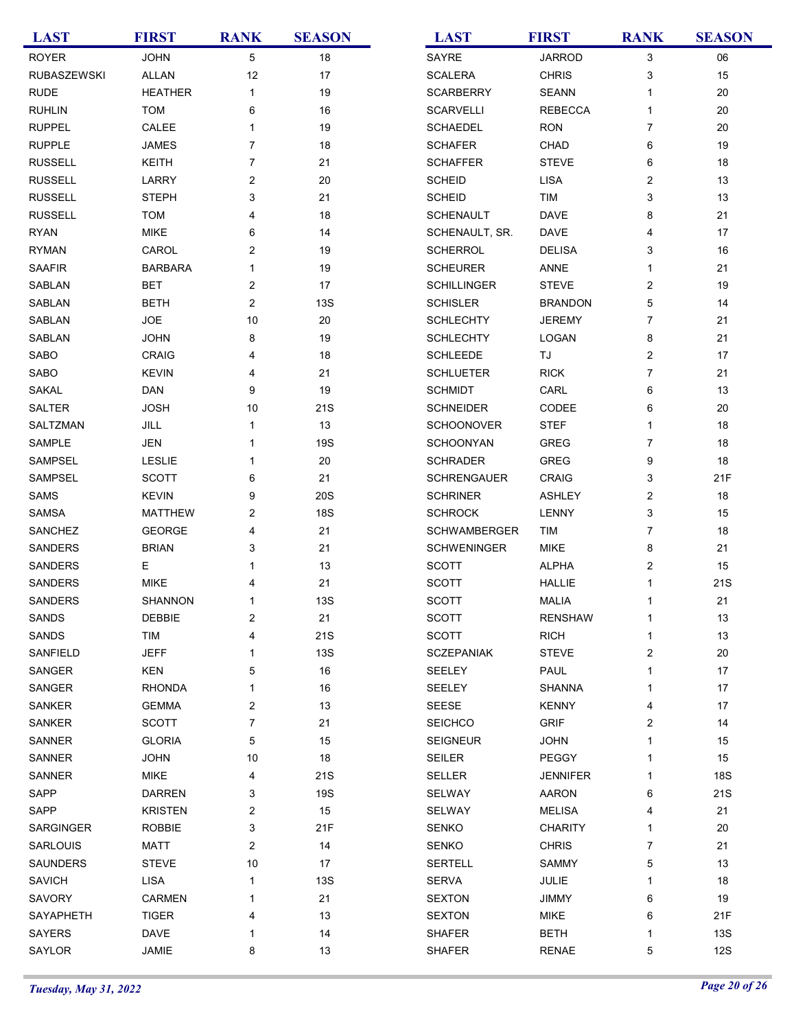| <b>LAST</b>        | <b>FIRST</b>   | <b>RANK</b>    | <b>SEASON</b> | <b>LAST</b>         | <b>FIRST</b>    | <b>RANK</b>             | <b>SEASON</b> |
|--------------------|----------------|----------------|---------------|---------------------|-----------------|-------------------------|---------------|
| <b>ROYER</b>       | <b>JOHN</b>    | 5              | 18            | SAYRE               | <b>JARROD</b>   | 3                       | 06            |
| <b>RUBASZEWSKI</b> | <b>ALLAN</b>   | 12             | 17            | <b>SCALERA</b>      | <b>CHRIS</b>    | 3                       | 15            |
| <b>RUDE</b>        | <b>HEATHER</b> | $\mathbf{1}$   | $19$          | <b>SCARBERRY</b>    | <b>SEANN</b>    | 1                       | 20            |
| <b>RUHLIN</b>      | <b>TOM</b>     | 6              | 16            | <b>SCARVELLI</b>    | <b>REBECCA</b>  | 1                       | 20            |
| <b>RUPPEL</b>      | CALEE          | $\mathbf{1}$   | 19            | <b>SCHAEDEL</b>     | <b>RON</b>      | 7                       | 20            |
| <b>RUPPLE</b>      | <b>JAMES</b>   | $\overline{7}$ | 18            | <b>SCHAFER</b>      | CHAD            | 6                       | 19            |
| <b>RUSSELL</b>     | KEITH          | $\overline{7}$ | 21            | <b>SCHAFFER</b>     | <b>STEVE</b>    | 6                       | 18            |
| <b>RUSSELL</b>     | LARRY          | 2              | 20            | <b>SCHEID</b>       | <b>LISA</b>     | $\overline{c}$          | 13            |
| <b>RUSSELL</b>     | <b>STEPH</b>   | 3              | 21            | <b>SCHEID</b>       | TIM             | 3                       | 13            |
| <b>RUSSELL</b>     | <b>TOM</b>     | 4              | 18            | <b>SCHENAULT</b>    | <b>DAVE</b>     | 8                       | 21            |
| <b>RYAN</b>        | <b>MIKE</b>    | 6              | 14            | SCHENAULT, SR.      | <b>DAVE</b>     | 4                       | 17            |
| <b>RYMAN</b>       | CAROL          | 2              | 19            | <b>SCHERROL</b>     | <b>DELISA</b>   | 3                       | 16            |
| <b>SAAFIR</b>      | <b>BARBARA</b> | $\mathbf{1}$   | 19            | <b>SCHEURER</b>     | ANNE            | 1                       | 21            |
| SABLAN             | <b>BET</b>     | $\overline{c}$ | 17            | <b>SCHILLINGER</b>  | <b>STEVE</b>    | $\overline{c}$          | 19            |
| SABLAN             | <b>BETH</b>    | 2              | <b>13S</b>    | <b>SCHISLER</b>     | <b>BRANDON</b>  | 5                       | 14            |
| SABLAN             | <b>JOE</b>     | 10             | 20            | <b>SCHLECHTY</b>    | <b>JEREMY</b>   | 7                       | 21            |
| SABLAN             | <b>JOHN</b>    | 8              | 19            | <b>SCHLECHTY</b>    | LOGAN           | 8                       | 21            |
| SABO               | CRAIG          | 4              | 18            | <b>SCHLEEDE</b>     | TJ              | $\overline{\mathbf{c}}$ | 17            |
| SABO               | <b>KEVIN</b>   | 4              | 21            | <b>SCHLUETER</b>    | <b>RICK</b>     | 7                       | 21            |
| SAKAL              | DAN            | 9              | 19            | <b>SCHMIDT</b>      | CARL            | 6                       | 13            |
| SALTER             | <b>JOSH</b>    | 10             | 21S           | <b>SCHNEIDER</b>    | CODEE           | 6                       | 20            |
| SALTZMAN           | $\sf JILL$     | 1              | 13            | <b>SCHOONOVER</b>   | <b>STEF</b>     | 1                       | 18            |
| SAMPLE             | JEN            | 1              | <b>19S</b>    | <b>SCHOONYAN</b>    | GREG            | 7                       | 18            |
| SAMPSEL            | <b>LESLIE</b>  | 1              | 20            | <b>SCHRADER</b>     | <b>GREG</b>     | 9                       | 18            |
| SAMPSEL            | <b>SCOTT</b>   | 6              | 21            | <b>SCHRENGAUER</b>  | CRAIG           | 3                       | 21F           |
| <b>SAMS</b>        | <b>KEVIN</b>   | 9              | 20S           | <b>SCHRINER</b>     | <b>ASHLEY</b>   | $\overline{\mathbf{c}}$ | 18            |
| SAMSA              | <b>MATTHEW</b> | 2              | <b>18S</b>    | <b>SCHROCK</b>      | LENNY           | 3                       | 15            |
| SANCHEZ            | <b>GEORGE</b>  | 4              | 21            | <b>SCHWAMBERGER</b> | <b>TIM</b>      | $\overline{7}$          | 18            |
| <b>SANDERS</b>     | <b>BRIAN</b>   | 3              | 21            | <b>SCHWENINGER</b>  | <b>MIKE</b>     | 8                       | 21            |
| <b>SANDERS</b>     | Ε              | 1              | 13            | <b>SCOTT</b>        | <b>ALPHA</b>    | 2                       | 15            |
| SANDERS            | <b>MIKE</b>    | 4              | 21            | <b>SCOTT</b>        | <b>HALLIE</b>   | 1                       | 21S           |
| SANDERS            | SHANNON        | 1              | 13S           | <b>SCOTT</b>        | <b>MALIA</b>    | 1                       | 21            |
| SANDS              | DEBBIE         | 2              | 21            | <b>SCOTT</b>        | <b>RENSHAW</b>  | 1                       | 13            |
| SANDS              | TIM            | 4              | 21S           | <b>SCOTT</b>        | <b>RICH</b>     | 1                       | 13            |
| SANFIELD           | <b>JEFF</b>    | 1              | <b>13S</b>    | <b>SCZEPANIAK</b>   | <b>STEVE</b>    | 2                       | 20            |
| SANGER             | <b>KEN</b>     | 5              | 16            | <b>SEELEY</b>       | PAUL            | 1                       | 17            |
| SANGER             | <b>RHONDA</b>  | 1              | 16            | SEELEY              | <b>SHANNA</b>   | 1                       | 17            |
| SANKER             | <b>GEMMA</b>   | $\overline{c}$ | 13            | <b>SEESE</b>        | <b>KENNY</b>    | 4                       | 17            |
| SANKER             | <b>SCOTT</b>   | 7              | 21            | <b>SEICHCO</b>      | <b>GRIF</b>     | $\overline{c}$          | 14            |
| SANNER             | <b>GLORIA</b>  | 5              | 15            | <b>SEIGNEUR</b>     | <b>JOHN</b>     | 1                       | 15            |
| SANNER             | <b>JOHN</b>    | 10             | 18            | <b>SEILER</b>       | <b>PEGGY</b>    | 1                       | 15            |
| SANNER             | <b>MIKE</b>    | 4              | 21S           | <b>SELLER</b>       | <b>JENNIFER</b> | 1                       | <b>18S</b>    |
| <b>SAPP</b>        | <b>DARREN</b>  | 3              | <b>19S</b>    | SELWAY              | <b>AARON</b>    | 6                       | 21S           |
| <b>SAPP</b>        | <b>KRISTEN</b> | 2              | 15            | SELWAY              | <b>MELISA</b>   | 4                       | 21            |
| <b>SARGINGER</b>   | <b>ROBBIE</b>  | 3              | 21F           | <b>SENKO</b>        | <b>CHARITY</b>  | 1                       | 20            |
| <b>SARLOUIS</b>    | MATT           | $\overline{c}$ | 14            | <b>SENKO</b>        | <b>CHRIS</b>    | 7                       | 21            |
| <b>SAUNDERS</b>    | <b>STEVE</b>   | 10             | 17            | <b>SERTELL</b>      | <b>SAMMY</b>    | 5                       | 13            |
| <b>SAVICH</b>      | <b>LISA</b>    | $\mathbf{1}$   | <b>13S</b>    | <b>SERVA</b>        | JULIE           | 1                       | 18            |
| SAVORY             | <b>CARMEN</b>  | $\mathbf{1}$   | 21            | <b>SEXTON</b>       | <b>JIMMY</b>    | 6                       | 19            |
| SAYAPHETH          | <b>TIGER</b>   | 4              | 13            | <b>SEXTON</b>       | <b>MIKE</b>     | 6                       | 21F           |
| SAYERS             | DAVE           | 1              | 14            | <b>SHAFER</b>       | <b>BETH</b>     | 1                       | 13S           |
| SAYLOR             | JAMIE          | 8              | 13            | <b>SHAFER</b>       | RENAE           | 5                       | <b>12S</b>    |
|                    |                |                |               |                     |                 |                         |               |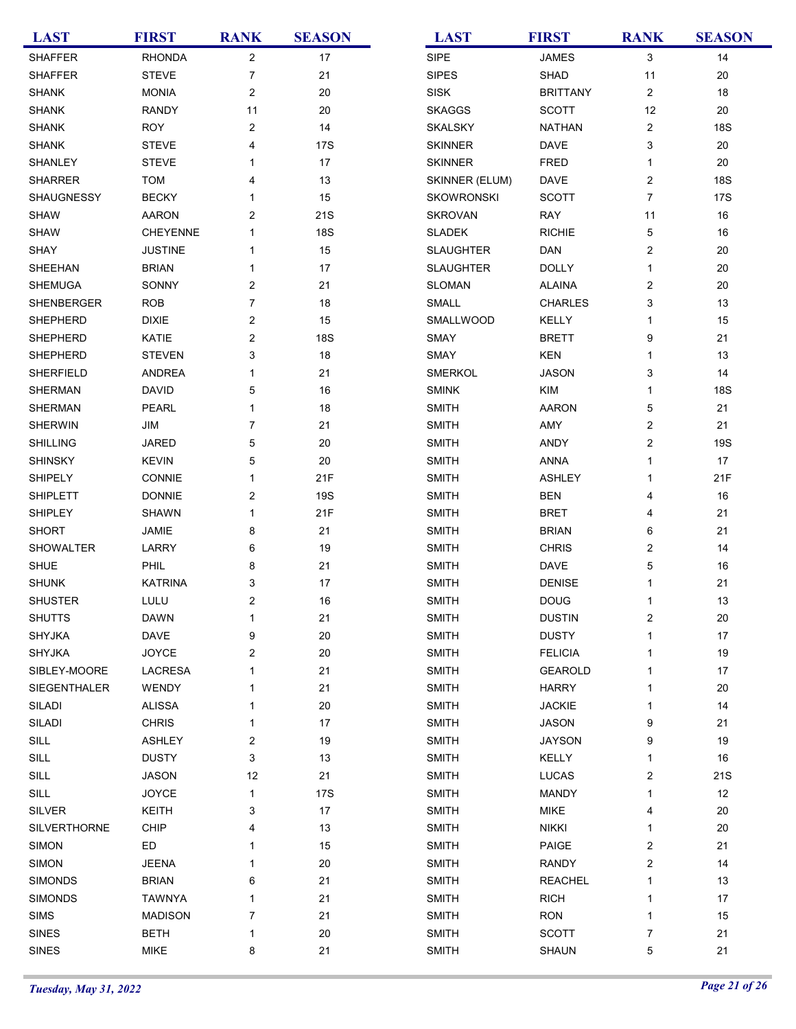| <b>LAST</b>                   | <b>FIRST</b>                    | <b>RANK</b>    | <b>SEASON</b> | <b>LAST</b>                  | <b>FIRST</b>                   | <b>RANK</b>                  | <b>SEASON</b> |
|-------------------------------|---------------------------------|----------------|---------------|------------------------------|--------------------------------|------------------------------|---------------|
| <b>SHAFFER</b>                | <b>RHONDA</b>                   | $\overline{2}$ | 17            | <b>SIPE</b>                  | <b>JAMES</b>                   | 3                            | 14            |
| <b>SHAFFER</b>                | <b>STEVE</b>                    | $\overline{7}$ | 21            | <b>SIPES</b>                 | SHAD                           | 11                           | 20            |
| <b>SHANK</b>                  | <b>MONIA</b>                    | $\overline{c}$ | 20            | <b>SISK</b>                  | <b>BRITTANY</b>                | $\overline{c}$               | 18            |
| <b>SHANK</b>                  | <b>RANDY</b>                    | 11             | 20            | <b>SKAGGS</b>                | <b>SCOTT</b>                   | 12                           | 20            |
| <b>SHANK</b>                  | <b>ROY</b>                      | $\overline{c}$ | 14            | <b>SKALSKY</b>               | <b>NATHAN</b>                  | $\boldsymbol{2}$             | <b>18S</b>    |
| <b>SHANK</b>                  | <b>STEVE</b>                    | 4              | 17S           | <b>SKINNER</b>               | <b>DAVE</b>                    | 3                            | 20            |
| SHANLEY                       | <b>STEVE</b>                    | $\mathbf{1}$   | 17            | <b>SKINNER</b>               | <b>FRED</b>                    | $\mathbf{1}$                 | 20            |
| <b>SHARRER</b>                | <b>TOM</b>                      | 4              | 13            | <b>SKINNER (ELUM)</b>        | <b>DAVE</b>                    | $\overline{c}$               | <b>18S</b>    |
| SHAUGNESSY                    | <b>BECKY</b>                    | $\mathbf{1}$   | 15            | SKOWRONSKI                   | <b>SCOTT</b>                   | $\overline{7}$               | <b>17S</b>    |
| <b>SHAW</b>                   | AARON                           | 2              | 21S           | <b>SKROVAN</b>               | RAY                            | 11                           | 16            |
| <b>SHAW</b>                   | <b>CHEYENNE</b>                 | $\mathbf{1}$   | 18S           | <b>SLADEK</b>                | <b>RICHIE</b>                  | 5                            | 16            |
| <b>SHAY</b>                   | <b>JUSTINE</b>                  | 1              | 15            | <b>SLAUGHTER</b>             | <b>DAN</b>                     | $\overline{c}$               | 20            |
| SHEEHAN                       | <b>BRIAN</b>                    | 1              | 17            | <b>SLAUGHTER</b>             | <b>DOLLY</b>                   | $\mathbf{1}$                 | 20            |
| SHEMUGA                       | SONNY                           | $\overline{c}$ | 21            | <b>SLOMAN</b>                | <b>ALAINA</b>                  | $\overline{c}$               | 20            |
| SHENBERGER                    | <b>ROB</b>                      | $\overline{7}$ | 18            | SMALL                        | <b>CHARLES</b>                 | 3                            | 13            |
| SHEPHERD                      | <b>DIXIE</b>                    | 2              | 15            | SMALLWOOD                    | <b>KELLY</b>                   | 1                            | 15            |
| SHEPHERD                      | KATIE                           | 2              | <b>18S</b>    | SMAY                         | <b>BRETT</b>                   | 9                            | 21            |
| SHEPHERD                      | <b>STEVEN</b>                   | 3              | 18            | SMAY                         | <b>KEN</b>                     | 1                            | 13            |
| <b>SHERFIELD</b>              | <b>ANDREA</b>                   | 1              | 21            | SMERKOL                      | <b>JASON</b>                   | 3                            | 14            |
| SHERMAN                       | <b>DAVID</b>                    | 5              | 16            | <b>SMINK</b>                 | KIM                            | $\mathbf{1}$                 | <b>18S</b>    |
| SHERMAN                       | <b>PEARL</b>                    | $\mathbf{1}$   | 18            | <b>SMITH</b>                 | <b>AARON</b>                   | 5                            | 21            |
| <b>SHERWIN</b>                | JIM                             | 7              | 21            | <b>SMITH</b>                 | AMY                            | $\boldsymbol{2}$             | 21            |
| <b>SHILLING</b>               | <b>JARED</b>                    | 5              | 20            | <b>SMITH</b>                 | ANDY                           | $\overline{c}$               | <b>19S</b>    |
| <b>SHINSKY</b>                | <b>KEVIN</b>                    | 5              | 20            | <b>SMITH</b>                 | <b>ANNA</b>                    | 1                            | 17            |
| <b>SHIPELY</b>                | CONNIE                          | $\mathbf{1}$   | 21F           | <b>SMITH</b>                 | <b>ASHLEY</b>                  | 1                            | 21F           |
| <b>SHIPLETT</b>               | <b>DONNIE</b>                   | $\overline{c}$ | 19S           | <b>SMITH</b>                 | <b>BEN</b>                     | 4                            | 16            |
| <b>SHIPLEY</b>                | <b>SHAWN</b>                    | 1              | 21F           | <b>SMITH</b>                 | <b>BRET</b>                    | 4                            | 21            |
| <b>SHORT</b>                  | JAMIE                           | 8              | 21            | <b>SMITH</b>                 | <b>BRIAN</b>                   | 6                            | 21            |
| <b>SHOWALTER</b>              | LARRY                           | 6              | 19            | <b>SMITH</b>                 | <b>CHRIS</b>                   | $\overline{2}$               | 14            |
| <b>SHUE</b>                   | PHIL                            | 8              | 21            | <b>SMITH</b>                 | <b>DAVE</b>                    | 5                            | 16            |
| <b>SHUNK</b>                  | <b>KATRINA</b>                  | 3              | 17            | <b>SMITH</b>                 | <b>DENISE</b>                  | 1                            | 21            |
| <b>SHUSTER</b>                | LULU                            | 2              | 16            | <b>SMITH</b>                 | <b>DOUG</b>                    | 1                            | 13            |
| <b>SHUTTS</b>                 | <b>DAWN</b>                     | 1              | 21            | <b>SMITH</b>                 | <b>DUSTIN</b>                  | 2                            | $20\,$        |
| <b>SHYJKA</b>                 | <b>DAVE</b>                     | 9              | 20            | <b>SMITH</b>                 | <b>DUSTY</b>                   | 1                            | 17            |
| <b>SHYJKA</b>                 | <b>JOYCE</b>                    | 2              | 20            | <b>SMITH</b>                 | <b>FELICIA</b>                 | 1                            | 19            |
| SIBLEY-MOORE                  | <b>LACRESA</b>                  | 1              | 21            | <b>SMITH</b>                 | <b>GEAROLD</b>                 | 1                            | 17            |
| SIEGENTHALER                  | WENDY                           | 1              | 21            | <b>SMITH</b>                 | <b>HARRY</b>                   | $\mathbf 1$                  | 20            |
| SILADI                        | <b>ALISSA</b>                   | 1              | 20            | <b>SMITH</b>                 | <b>JACKIE</b>                  | 1                            | 14            |
| SILADI                        | <b>CHRIS</b>                    | 1              | 17            | <b>SMITH</b>                 | <b>JASON</b>                   | 9                            | 21            |
| SILL                          | <b>ASHLEY</b>                   | $\overline{c}$ | 19            | <b>SMITH</b>                 | <b>JAYSON</b>                  | 9                            | 19            |
| SILL                          | <b>DUSTY</b>                    | 3              | 13            | <b>SMITH</b>                 | KELLY                          | $\mathbf{1}$                 | 16            |
| SILL                          | <b>JASON</b>                    | 12             | 21            | <b>SMITH</b>                 | <b>LUCAS</b>                   | 2                            | 21S           |
| SILL                          | <b>JOYCE</b>                    | 1              | 17S           | <b>SMITH</b>                 | <b>MANDY</b>                   | 1                            | 12            |
| <b>SILVER</b>                 | <b>KEITH</b>                    | 3              | 17            | <b>SMITH</b>                 | <b>MIKE</b>                    | 4                            | 20            |
| SILVERTHORNE                  | CHIP                            |                | 13            | <b>SMITH</b>                 | <b>NIKKI</b>                   | $\mathbf 1$                  | 20            |
| <b>SIMON</b>                  | ED                              | 4<br>1         | 15            | <b>SMITH</b>                 | PAIGE                          | $\overline{c}$               | 21            |
| <b>SIMON</b>                  | <b>JEENA</b>                    | 1              | 20            | <b>SMITH</b>                 |                                | $\overline{c}$               | 14            |
| <b>SIMONDS</b>                | <b>BRIAN</b>                    |                | 21            | <b>SMITH</b>                 | <b>RANDY</b><br><b>REACHEL</b> | $\mathbf{1}$                 | 13            |
|                               |                                 | 6              |               |                              |                                |                              |               |
| <b>SIMONDS</b><br><b>SIMS</b> | <b>TAWNYA</b><br><b>MADISON</b> | 1<br>7         | 21<br>21      | <b>SMITH</b><br><b>SMITH</b> | <b>RICH</b><br><b>RON</b>      | $\mathbf{1}$<br>$\mathbf{1}$ | 17<br>15      |
| <b>SINES</b>                  | <b>BETH</b>                     |                | 20            | <b>SMITH</b>                 |                                | $\overline{7}$               | 21            |
|                               |                                 | 1              |               |                              | <b>SCOTT</b>                   |                              |               |
| <b>SINES</b>                  | <b>MIKE</b>                     | 8              | 21            | <b>SMITH</b>                 | SHAUN                          | $\mathbf 5$                  | 21            |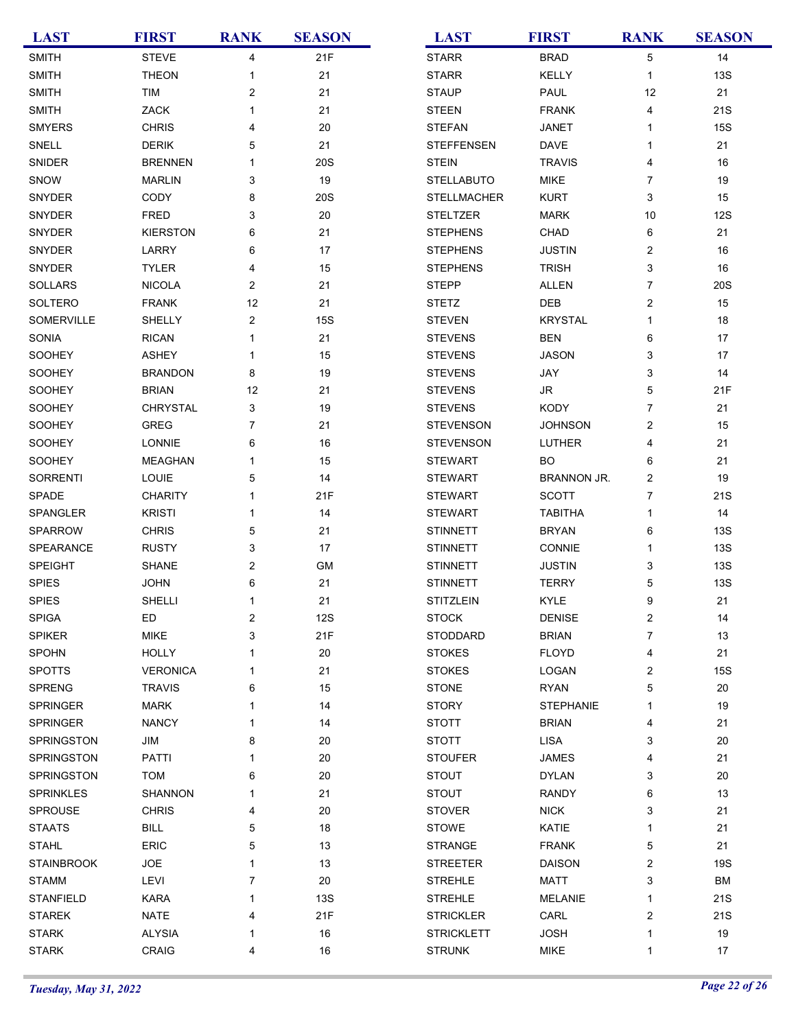| <b>LAST</b>                        | <b>FIRST</b>                     | <b>RANK</b>    | <b>SEASON</b> | <b>LAST</b>                   | <b>FIRST</b>                     | <b>RANK</b>             | <b>SEASON</b>    |
|------------------------------------|----------------------------------|----------------|---------------|-------------------------------|----------------------------------|-------------------------|------------------|
| <b>SMITH</b>                       | <b>STEVE</b>                     | 4              | 21F           | <b>STARR</b>                  | <b>BRAD</b>                      | 5                       | 14               |
| <b>SMITH</b>                       | <b>THEON</b>                     | 1              | 21            | <b>STARR</b>                  | KELLY                            | $\mathbf{1}$            | <b>13S</b>       |
| <b>SMITH</b>                       | TIM                              | $\overline{c}$ | 21            | <b>STAUP</b>                  | PAUL                             | 12                      | 21               |
| <b>SMITH</b>                       | ZACK                             | 1              | 21            | <b>STEEN</b>                  | <b>FRANK</b>                     | 4                       | 21S              |
| <b>SMYERS</b>                      | <b>CHRIS</b>                     | 4              | 20            | <b>STEFAN</b>                 | <b>JANET</b>                     | 1                       | <b>15S</b>       |
| SNELL                              | <b>DERIK</b>                     | 5              | 21            | <b>STEFFENSEN</b>             | <b>DAVE</b>                      | 1                       | 21               |
| SNIDER                             | <b>BRENNEN</b>                   | $\mathbf{1}$   | 20S           | <b>STEIN</b>                  | <b>TRAVIS</b>                    | 4                       | 16               |
| SNOW                               | <b>MARLIN</b>                    | 3              | 19            | <b>STELLABUTO</b>             | <b>MIKE</b>                      | 7                       | 19               |
| SNYDER                             | CODY                             | 8              | <b>20S</b>    | <b>STELLMACHER</b>            | <b>KURT</b>                      | 3                       | 15               |
| SNYDER                             | <b>FRED</b>                      | 3              | 20            | <b>STELTZER</b>               | <b>MARK</b>                      | 10                      | <b>12S</b>       |
| SNYDER                             | KIERSTON                         | 6              | 21            | <b>STEPHENS</b>               | CHAD                             | 6                       | 21               |
| SNYDER                             | LARRY                            | 6              | 17            | <b>STEPHENS</b>               | <b>JUSTIN</b>                    | $\overline{\mathbf{c}}$ | 16               |
| SNYDER                             | <b>TYLER</b>                     | 4              | 15            | <b>STEPHENS</b>               | <b>TRISH</b>                     | 3                       | 16               |
| <b>SOLLARS</b>                     | <b>NICOLA</b>                    | $\overline{c}$ | 21            | <b>STEPP</b>                  | <b>ALLEN</b>                     | $\overline{7}$          | <b>20S</b>       |
| SOLTERO                            | <b>FRANK</b>                     | 12             | 21            | <b>STETZ</b>                  | DEB                              | $\overline{c}$          | 15               |
| SOMERVILLE                         | <b>SHELLY</b>                    | 2              | <b>15S</b>    | <b>STEVEN</b>                 | <b>KRYSTAL</b>                   | $\mathbf{1}$            | 18               |
| SONIA                              | <b>RICAN</b>                     | $\mathbf{1}$   | 21            | <b>STEVENS</b>                | <b>BEN</b>                       | 6                       | 17               |
| SOOHEY                             | <b>ASHEY</b>                     | 1              | 15            | <b>STEVENS</b>                | <b>JASON</b>                     | 3                       | 17               |
| <b>SOOHEY</b>                      | <b>BRANDON</b>                   | 8              | 19            | <b>STEVENS</b>                | JAY                              | 3                       | 14               |
| SOOHEY                             | <b>BRIAN</b>                     | 12             | 21            | <b>STEVENS</b>                | JR.                              | 5                       | 21F              |
| SOOHEY                             | <b>CHRYSTAL</b>                  | 3              | 19            | <b>STEVENS</b>                | <b>KODY</b>                      | $\overline{7}$          | 21               |
| SOOHEY                             | <b>GREG</b>                      | $\overline{7}$ | 21            | <b>STEVENSON</b>              | <b>JOHNSON</b>                   | $\overline{\mathbf{c}}$ | 15               |
| SOOHEY                             | LONNIE                           | 6              | 16            | <b>STEVENSON</b>              | <b>LUTHER</b>                    | 4                       | 21               |
| SOOHEY                             | <b>MEAGHAN</b>                   | $\mathbf{1}$   | 15            | <b>STEWART</b>                | <b>BO</b>                        | 6                       | 21               |
| <b>SORRENTI</b>                    | LOUIE                            | 5              | 14            | <b>STEWART</b>                | BRANNON JR.                      | $\overline{c}$          | 19               |
| SPADE                              | <b>CHARITY</b>                   | 1              | 21F           | <b>STEWART</b>                | <b>SCOTT</b>                     | 7                       | 21S              |
| SPANGLER                           | <b>KRISTI</b>                    | 1              | 14            | <b>STEWART</b>                | <b>TABITHA</b>                   | $\mathbf{1}$            | 14               |
| <b>SPARROW</b>                     | <b>CHRIS</b>                     | 5              | 21            | <b>STINNETT</b>               | <b>BRYAN</b>                     | 6                       | <b>13S</b>       |
| SPEARANCE                          | <b>RUSTY</b>                     | 3              | 17            | <b>STINNETT</b>               | CONNIE                           | $\mathbf{1}$            | <b>13S</b>       |
| <b>SPEIGHT</b>                     | <b>SHANE</b>                     | 2              | GM            | <b>STINNETT</b>               | <b>JUSTIN</b>                    | 3                       | <b>13S</b>       |
| <b>SPIES</b>                       | <b>JOHN</b>                      | 6              | 21            | <b>STINNETT</b>               | <b>TERRY</b>                     | $\mathbf 5$             | <b>13S</b>       |
| <b>SPIES</b>                       | SHELLI                           | 1              | 21            | <b>STITZLEIN</b>              | <b>KYLE</b>                      | 9                       | 21               |
| SPIGA                              | ED                               | 2              | <b>12S</b>    | <b>STOCK</b>                  | <b>DENISE</b>                    | 2                       | 14               |
| <b>SPIKER</b>                      | <b>MIKE</b>                      | 3              | 21F           | <b>STODDARD</b>               | <b>BRIAN</b>                     | 7                       | 13               |
| <b>SPOHN</b>                       | <b>HOLLY</b>                     | 1              | 20            | <b>STOKES</b>                 | <b>FLOYD</b>                     | 4                       | 21               |
|                                    |                                  |                |               |                               |                                  |                         |                  |
| <b>SPOTTS</b><br><b>SPRENG</b>     | <b>VERONICA</b><br><b>TRAVIS</b> | 1<br>6         | 21<br>15      | <b>STOKES</b><br><b>STONE</b> | LOGAN<br><b>RYAN</b>             | $\overline{c}$<br>5     | <b>15S</b><br>20 |
|                                    |                                  |                |               |                               |                                  |                         |                  |
| <b>SPRINGER</b><br><b>SPRINGER</b> | <b>MARK</b><br><b>NANCY</b>      | 1<br>1         | 14<br>14      | <b>STORY</b>                  | <b>STEPHANIE</b><br><b>BRIAN</b> | 1                       | 19<br>21         |
|                                    |                                  |                |               | <b>STOTT</b>                  |                                  | 4                       | 20               |
| <b>SPRINGSTON</b>                  | JIM                              | 8              | 20            | <b>STOTT</b>                  | <b>LISA</b>                      | 3                       |                  |
| <b>SPRINGSTON</b>                  | <b>PATTI</b>                     | 1              | 20            | <b>STOUFER</b>                | <b>JAMES</b>                     | 4                       | 21               |
| <b>SPRINGSTON</b>                  | <b>TOM</b>                       | 6              | 20            | <b>STOUT</b>                  | <b>DYLAN</b>                     | 3                       | 20               |
| <b>SPRINKLES</b>                   | SHANNON                          | 1              | 21            | <b>STOUT</b>                  | <b>RANDY</b>                     | 6                       | 13               |
| <b>SPROUSE</b>                     | <b>CHRIS</b>                     | 4              | 20            | <b>STOVER</b>                 | <b>NICK</b>                      | 3                       | 21               |
| <b>STAATS</b>                      | <b>BILL</b>                      | 5              | 18            | <b>STOWE</b>                  | KATIE                            | $\mathbf 1$             | 21               |
| <b>STAHL</b>                       | ERIC                             | 5              | 13            | <b>STRANGE</b>                | <b>FRANK</b>                     | 5                       | 21               |
| <b>STAINBROOK</b>                  | <b>JOE</b>                       | 1              | 13            | <b>STREETER</b>               | <b>DAISON</b>                    | $\overline{\mathbf{c}}$ | <b>19S</b>       |
| <b>STAMM</b>                       | LEVI                             | $\overline{7}$ | 20            | <b>STREHLE</b>                | <b>MATT</b>                      | 3                       | <b>BM</b>        |
| <b>STANFIELD</b>                   | <b>KARA</b>                      | 1              | 13S           | <b>STREHLE</b>                | <b>MELANIE</b>                   | $\mathbf{1}$            | 21S              |
| <b>STAREK</b>                      | <b>NATE</b>                      | 4              | 21F           | <b>STRICKLER</b>              | CARL                             | $\overline{c}$          | 21S              |
| <b>STARK</b>                       | <b>ALYSIA</b>                    | 1              | 16            | <b>STRICKLETT</b>             | <b>JOSH</b>                      | 1                       | 19               |
| <b>STARK</b>                       | CRAIG                            | 4              | 16            | <b>STRUNK</b>                 | <b>MIKE</b>                      | $\mathbf{1}$            | 17               |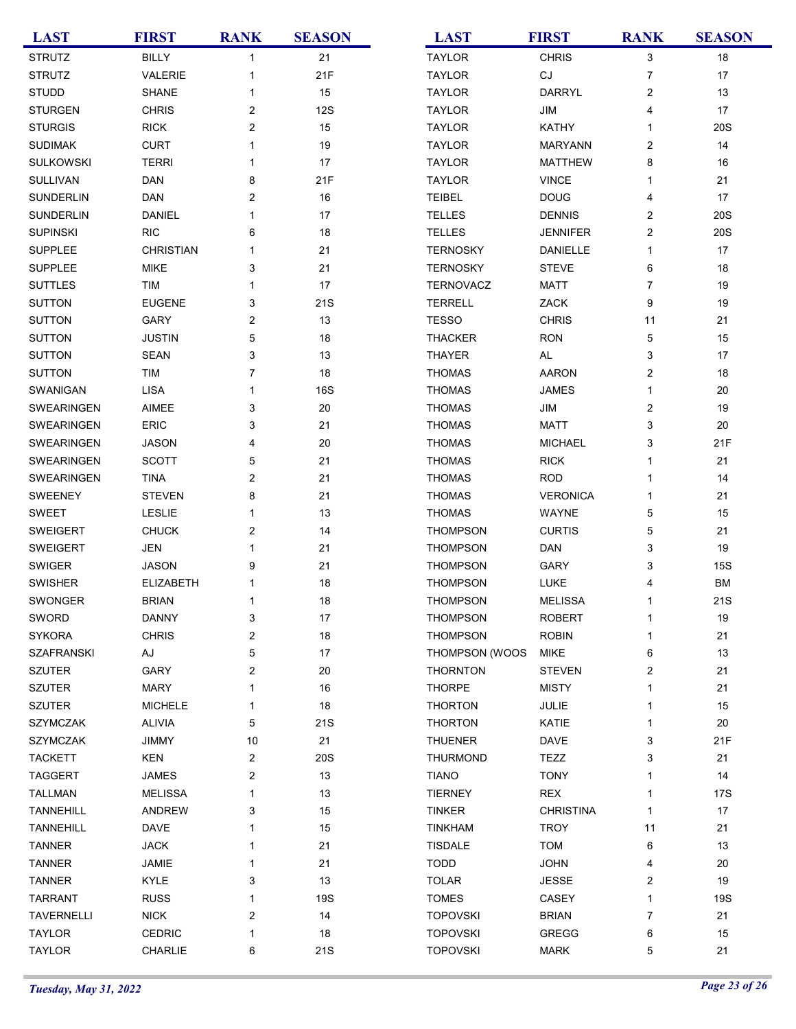| <b>LAST</b>       | <b>FIRST</b>     | <b>RANK</b> | <b>SEASON</b> | <b>LAST</b>     | <b>FIRST</b>      | <b>RANK</b>             | <b>SEASON</b> |
|-------------------|------------------|-------------|---------------|-----------------|-------------------|-------------------------|---------------|
| <b>STRUTZ</b>     | <b>BILLY</b>     | 1           | 21            | <b>TAYLOR</b>   | <b>CHRIS</b>      | 3                       | 18            |
| <b>STRUTZ</b>     | VALERIE          | 1           | 21F           | <b>TAYLOR</b>   | $\mathop{\rm CJ}$ | $\overline{7}$          | 17            |
| <b>STUDD</b>      | <b>SHANE</b>     | 1           | 15            | <b>TAYLOR</b>   | <b>DARRYL</b>     | $\overline{c}$          | 13            |
| <b>STURGEN</b>    | <b>CHRIS</b>     | 2           | <b>12S</b>    | <b>TAYLOR</b>   | JIM               | 4                       | 17            |
| <b>STURGIS</b>    | <b>RICK</b>      | 2           | 15            | <b>TAYLOR</b>   | KATHY             | 1                       | <b>20S</b>    |
| <b>SUDIMAK</b>    | <b>CURT</b>      | 1           | 19            | <b>TAYLOR</b>   | <b>MARYANN</b>    | 2                       | 14            |
| <b>SULKOWSKI</b>  | <b>TERRI</b>     | 1           | 17            | <b>TAYLOR</b>   | <b>MATTHEW</b>    | 8                       | 16            |
| <b>SULLIVAN</b>   | DAN              | 8           | 21F           | <b>TAYLOR</b>   | <b>VINCE</b>      | 1                       | 21            |
| <b>SUNDERLIN</b>  | <b>DAN</b>       | 2           | 16            | <b>TEIBEL</b>   | <b>DOUG</b>       | 4                       | 17            |
| <b>SUNDERLIN</b>  | <b>DANIEL</b>    | 1           | 17            | <b>TELLES</b>   | <b>DENNIS</b>     | $\overline{\mathbf{c}}$ | 20S           |
| <b>SUPINSKI</b>   | <b>RIC</b>       | 6           | $18$          | <b>TELLES</b>   | <b>JENNIFER</b>   | $\overline{\mathbf{c}}$ | 20S           |
| <b>SUPPLEE</b>    | <b>CHRISTIAN</b> | 1           | 21            | <b>TERNOSKY</b> | <b>DANIELLE</b>   | 1                       | 17            |
| <b>SUPPLEE</b>    | <b>MIKE</b>      | 3           | 21            | <b>TERNOSKY</b> | <b>STEVE</b>      | 6                       | 18            |
| <b>SUTTLES</b>    | TIM              | 1           | 17            | TERNOVACZ       | <b>MATT</b>       | 7                       | 19            |
| <b>SUTTON</b>     | <b>EUGENE</b>    | 3           | <b>21S</b>    | <b>TERRELL</b>  | ZACK              | 9                       | 19            |
| <b>SUTTON</b>     | GARY             | 2           | 13            | <b>TESSO</b>    | <b>CHRIS</b>      | 11                      | 21            |
| <b>SUTTON</b>     | <b>JUSTIN</b>    | 5           | 18            | <b>THACKER</b>  | <b>RON</b>        | 5                       | 15            |
| <b>SUTTON</b>     | <b>SEAN</b>      | 3           | 13            | <b>THAYER</b>   | <b>AL</b>         | 3                       | 17            |
| <b>SUTTON</b>     | <b>TIM</b>       | 7           | 18            | <b>THOMAS</b>   | <b>AARON</b>      | $\overline{\mathbf{c}}$ | 18            |
|                   |                  |             |               |                 |                   |                         |               |
| SWANIGAN          | <b>LISA</b>      | 1           | 16S           | <b>THOMAS</b>   | <b>JAMES</b>      | 1                       | 20            |
| <b>SWEARINGEN</b> | AIMEE            | 3           | $20\,$        | <b>THOMAS</b>   | JIM               | $\overline{c}$          | 19            |
| <b>SWEARINGEN</b> | <b>ERIC</b>      | 3           | 21            | <b>THOMAS</b>   | <b>MATT</b>       | 3                       | 20            |
| <b>SWEARINGEN</b> | <b>JASON</b>     | 4           | 20            | <b>THOMAS</b>   | <b>MICHAEL</b>    | 3                       | 21F           |
| SWEARINGEN        | <b>SCOTT</b>     | 5           | 21            | <b>THOMAS</b>   | <b>RICK</b>       | 1                       | 21            |
| SWEARINGEN        | <b>TINA</b>      | 2           | 21            | <b>THOMAS</b>   | <b>ROD</b>        | 1                       | 14            |
| SWEENEY           | <b>STEVEN</b>    | 8           | 21            | <b>THOMAS</b>   | <b>VERONICA</b>   | 1                       | 21            |
| <b>SWEET</b>      | <b>LESLIE</b>    | 1           | 13            | <b>THOMAS</b>   | WAYNE             | 5                       | 15            |
| <b>SWEIGERT</b>   | <b>CHUCK</b>     | 2           | 14            | <b>THOMPSON</b> | <b>CURTIS</b>     | 5                       | 21            |
| <b>SWEIGERT</b>   | JEN              | 1           | 21            | <b>THOMPSON</b> | <b>DAN</b>        | 3                       | 19            |
| SWIGER            | <b>JASON</b>     | 9           | 21            | <b>THOMPSON</b> | <b>GARY</b>       | 3                       | <b>15S</b>    |
| <b>SWISHER</b>    | <b>ELIZABETH</b> | 1           | 18            | <b>THOMPSON</b> | LUKE              | 4                       | BM            |
| SWONGER           | <b>BRIAN</b>     | 1           | 18            | <b>THOMPSON</b> | <b>MELISSA</b>    | 1                       | 21S           |
| SWORD             | <b>DANNY</b>     | 3           | 17            | <b>THOMPSON</b> | <b>ROBERT</b>     | 1                       | 19            |
| <b>SYKORA</b>     | <b>CHRIS</b>     | 2           | $18\,$        | <b>THOMPSON</b> | <b>ROBIN</b>      | 1                       | 21            |
| <b>SZAFRANSKI</b> | AJ               | 5           | 17            | THOMPSON (WOOS  | <b>MIKE</b>       | 6                       | 13            |
| <b>SZUTER</b>     | GARY             | 2           | 20            | <b>THORNTON</b> | <b>STEVEN</b>     | 2                       | 21            |
| <b>SZUTER</b>     | <b>MARY</b>      | 1           | 16            | <b>THORPE</b>   | <b>MISTY</b>      | 1                       | 21            |
| <b>SZUTER</b>     | <b>MICHELE</b>   | 1           | 18            | <b>THORTON</b>  | JULIE             | 1                       | 15            |
| <b>SZYMCZAK</b>   | <b>ALIVIA</b>    | 5           | 21S           | <b>THORTON</b>  | KATIE             | 1                       | 20            |
| <b>SZYMCZAK</b>   | <b>JIMMY</b>     | 10          | 21            | <b>THUENER</b>  | <b>DAVE</b>       | 3                       | 21F           |
| <b>TACKETT</b>    | <b>KEN</b>       | 2           | 20S           | THURMOND        | <b>TEZZ</b>       | 3                       | 21            |
| <b>TAGGERT</b>    | <b>JAMES</b>     | 2           | 13            | <b>TIANO</b>    | <b>TONY</b>       | 1                       | 14            |
| <b>TALLMAN</b>    | <b>MELISSA</b>   | 1           | 13            | <b>TIERNEY</b>  | <b>REX</b>        | 1                       | 17S           |
| <b>TANNEHILL</b>  | <b>ANDREW</b>    | 3           | 15            | <b>TINKER</b>   | <b>CHRISTINA</b>  | $\mathbf 1$             | 17            |
| <b>TANNEHILL</b>  | DAVE             | 1           | 15            | <b>TINKHAM</b>  | <b>TROY</b>       | 11                      | 21            |
| <b>TANNER</b>     | <b>JACK</b>      | 1           | 21            | <b>TISDALE</b>  | <b>TOM</b>        | 6                       | 13            |
| <b>TANNER</b>     | JAMIE            | 1           | 21            | <b>TODD</b>     | <b>JOHN</b>       | 4                       | 20            |
| TANNER            | <b>KYLE</b>      | 3           | 13            | <b>TOLAR</b>    | <b>JESSE</b>      | 2                       | 19            |
| <b>TARRANT</b>    | <b>RUSS</b>      | 1           | 19S           | <b>TOMES</b>    | <b>CASEY</b>      | 1                       | <b>19S</b>    |
| <b>TAVERNELLI</b> | <b>NICK</b>      | 2           | 14            | <b>TOPOVSKI</b> | <b>BRIAN</b>      | $\overline{7}$          | 21            |
| <b>TAYLOR</b>     | <b>CEDRIC</b>    | 1           | $18\,$        | <b>TOPOVSKI</b> | GREGG             | 6                       | 15            |
| <b>TAYLOR</b>     | CHARLIE          | 6           | 21S           | <b>TOPOVSKI</b> | <b>MARK</b>       | 5                       | 21            |
|                   |                  |             |               |                 |                   |                         |               |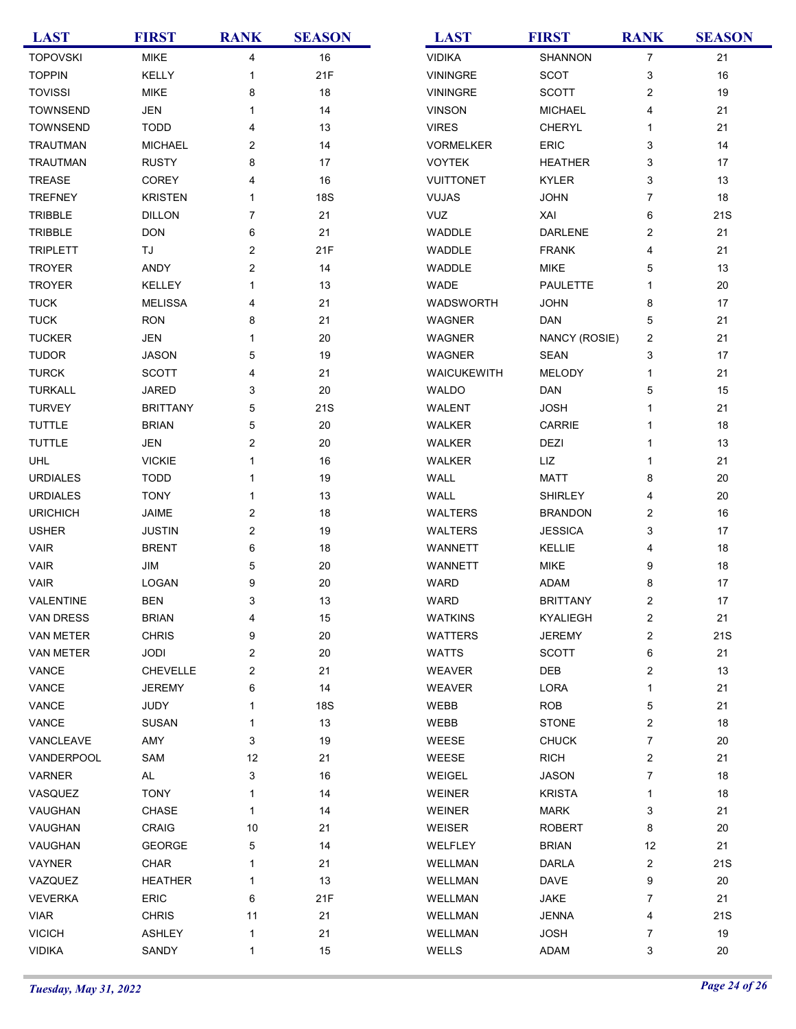| <b>LAST</b>     | <b>FIRST</b>    | <b>RANK</b>  | <b>SEASON</b> | <b>LAST</b>      | <b>FIRST</b>    | <b>RANK</b>             | <b>SEASON</b> |
|-----------------|-----------------|--------------|---------------|------------------|-----------------|-------------------------|---------------|
| <b>TOPOVSKI</b> | <b>MIKE</b>     | 4            | 16            | <b>VIDIKA</b>    | SHANNON         | $\overline{7}$          | 21            |
| <b>TOPPIN</b>   | KELLY           | 1            | 21F           | <b>VININGRE</b>  | <b>SCOT</b>     | 3                       | 16            |
| <b>TOVISSI</b>  | <b>MIKE</b>     | 8            | 18            | <b>VININGRE</b>  | <b>SCOTT</b>    | $\overline{c}$          | 19            |
| <b>TOWNSEND</b> | JEN             | 1            | 14            | <b>VINSON</b>    | <b>MICHAEL</b>  | 4                       | 21            |
| <b>TOWNSEND</b> | <b>TODD</b>     | 4            | 13            | <b>VIRES</b>     | <b>CHERYL</b>   | $\mathbf 1$             | 21            |
| TRAUTMAN        | <b>MICHAEL</b>  | 2            | 14            | <b>VORMELKER</b> | ERIC            | 3                       | 14            |
| TRAUTMAN        | <b>RUSTY</b>    | 8            | 17            | <b>VOYTEK</b>    | <b>HEATHER</b>  | 3                       | 17            |
| TREASE          | COREY           | 4            | 16            | <b>VUITTONET</b> | <b>KYLER</b>    | 3                       | 13            |
| <b>TREFNEY</b>  | <b>KRISTEN</b>  | $\mathbf{1}$ | <b>18S</b>    | <b>VUJAS</b>     | <b>JOHN</b>     | 7                       | 18            |
| <b>TRIBBLE</b>  | <b>DILLON</b>   | 7            | 21            | <b>VUZ</b>       | XAI             | 6                       | 21S           |
| TRIBBLE         | <b>DON</b>      | 6            | 21            | WADDLE           | <b>DARLENE</b>  | $\overline{c}$          | 21            |
| <b>TRIPLETT</b> | TJ              | 2            | 21F           | WADDLE           | <b>FRANK</b>    | 4                       | 21            |
| <b>TROYER</b>   | ANDY            | 2            | 14            | WADDLE           | <b>MIKE</b>     | 5                       | 13            |
| <b>TROYER</b>   | <b>KELLEY</b>   | $\mathbf{1}$ | 13            | WADE             | <b>PAULETTE</b> | 1                       | 20            |
| <b>TUCK</b>     | <b>MELISSA</b>  | 4            | 21            | WADSWORTH        | <b>JOHN</b>     | 8                       | 17            |
| <b>TUCK</b>     | <b>RON</b>      | 8            | 21            | WAGNER           | <b>DAN</b>      | 5                       | 21            |
| <b>TUCKER</b>   | JEN             | 1            | 20            | WAGNER           | NANCY (ROSIE)   | $\overline{c}$          | 21            |
| <b>TUDOR</b>    | <b>JASON</b>    | 5            | 19            | <b>WAGNER</b>    | <b>SEAN</b>     | 3                       | 17            |
| <b>TURCK</b>    | <b>SCOTT</b>    | 4            | 21            | WAICUKEWITH      | MELODY          | $\mathbf{1}$            | 21            |
| <b>TURKALL</b>  | <b>JARED</b>    | 3            | 20            | WALDO            | <b>DAN</b>      | 5                       | 15            |
| <b>TURVEY</b>   | <b>BRITTANY</b> | 5            | 21S           | WALENT           | <b>JOSH</b>     | 1                       | 21            |
| <b>TUTTLE</b>   | <b>BRIAN</b>    | 5            | $20\,$        | WALKER           | CARRIE          | 1                       | 18            |
| <b>TUTTLE</b>   | <b>JEN</b>      | 2            | 20            | WALKER           | <b>DEZI</b>     | 1                       | 13            |
| UHL             | <b>VICKIE</b>   | 1            | 16            | WALKER           | LIZ             | 1                       | 21            |
| <b>URDIALES</b> | <b>TODD</b>     | 1            | 19            | WALL             | <b>MATT</b>     | 8                       | 20            |
| <b>URDIALES</b> | <b>TONY</b>     | 1            | 13            | WALL             | <b>SHIRLEY</b>  | 4                       | 20            |
| <b>URICHICH</b> | JAIME           | 2            | $18\,$        | <b>WALTERS</b>   | <b>BRANDON</b>  | $\overline{\mathbf{c}}$ | 16            |
| <b>USHER</b>    | <b>JUSTIN</b>   | 2            | 19            | WALTERS          | <b>JESSICA</b>  | 3                       | 17            |
| <b>VAIR</b>     | <b>BRENT</b>    | 6            | $18\,$        | WANNETT          | KELLIE          | 4                       | 18            |
| <b>VAIR</b>     | JIM             | 5            | 20            | WANNETT          | <b>MIKE</b>     | 9                       | 18            |
| <b>VAIR</b>     | LOGAN           | 9            | 20            | <b>WARD</b>      | <b>ADAM</b>     | 8                       | 17            |
| VALENTINE       | <b>BEN</b>      | 3            | 13            | WARD             | <b>BRITTANY</b> | 2                       | 17            |
| VAN DRESS       | <b>BRIAN</b>    | 4            | 15            | <b>WATKINS</b>   | KYALIEGH        | 2                       | 21            |
| VAN METER       | <b>CHRIS</b>    | 9            | 20            | WATTERS          | <b>JEREMY</b>   | $\overline{\mathbf{c}}$ | 21S           |
| VAN METER       | JODI            | 2            | 20            | <b>WATTS</b>     | <b>SCOTT</b>    | 6                       | 21            |
| VANCE           | <b>CHEVELLE</b> | 2            | 21            | WEAVER           | DEB             | 2                       | 13            |
| VANCE           | <b>JEREMY</b>   | 6            | 14            | WEAVER           | LORA            | 1                       | 21            |
| VANCE           | JUDY            | 1            | <b>18S</b>    | WEBB             | <b>ROB</b>      | 5                       | 21            |
| VANCE           | <b>SUSAN</b>    | $\mathbf{1}$ | 13            | WEBB             | <b>STONE</b>    | $\overline{\mathbf{c}}$ | 18            |
| VANCLEAVE       | AMY             | 3            | 19            | WEESE            | <b>CHUCK</b>    | $\boldsymbol{7}$        | 20            |
| VANDERPOOL      | SAM             | 12           | 21            | WEESE            | <b>RICH</b>     | $\overline{\mathbf{c}}$ | 21            |
| VARNER          | $\mathsf{AL}$   | 3            | 16            | WEIGEL           | <b>JASON</b>    | $\overline{7}$          | 18            |
| VASQUEZ         | <b>TONY</b>     | $\mathbf{1}$ | 14            | WEINER           | <b>KRISTA</b>   | 1                       | 18            |
| VAUGHAN         | CHASE           | 1            | 14            | WEINER           | <b>MARK</b>     | 3                       | 21            |
| VAUGHAN         | CRAIG           | 10           | 21            | WEISER           | <b>ROBERT</b>   | 8                       | 20            |
| VAUGHAN         | GEORGE          | 5            | 14            | WELFLEY          | <b>BRIAN</b>    | 12                      | 21            |
| VAYNER          | CHAR            | 1            | 21            | WELLMAN          | <b>DARLA</b>    | $\overline{\mathbf{c}}$ | 21S           |
| VAZQUEZ         | <b>HEATHER</b>  | $\mathbf{1}$ | 13            | WELLMAN          | DAVE            | 9                       | 20            |
| <b>VEVERKA</b>  | ERIC            | 6            | 21F           | WELLMAN          | JAKE            | $\overline{7}$          | 21            |
| <b>VIAR</b>     | <b>CHRIS</b>    | 11           | 21            | WELLMAN          | <b>JENNA</b>    | 4                       | 21S           |
| <b>VICICH</b>   | <b>ASHLEY</b>   | 1            | 21            | WELLMAN          | <b>JOSH</b>     | $\overline{7}$          | 19            |
| <b>VIDIKA</b>   | SANDY           | 1            | $15\,$        | WELLS            | ADAM            | 3                       | 20            |
|                 |                 |              |               |                  |                 |                         |               |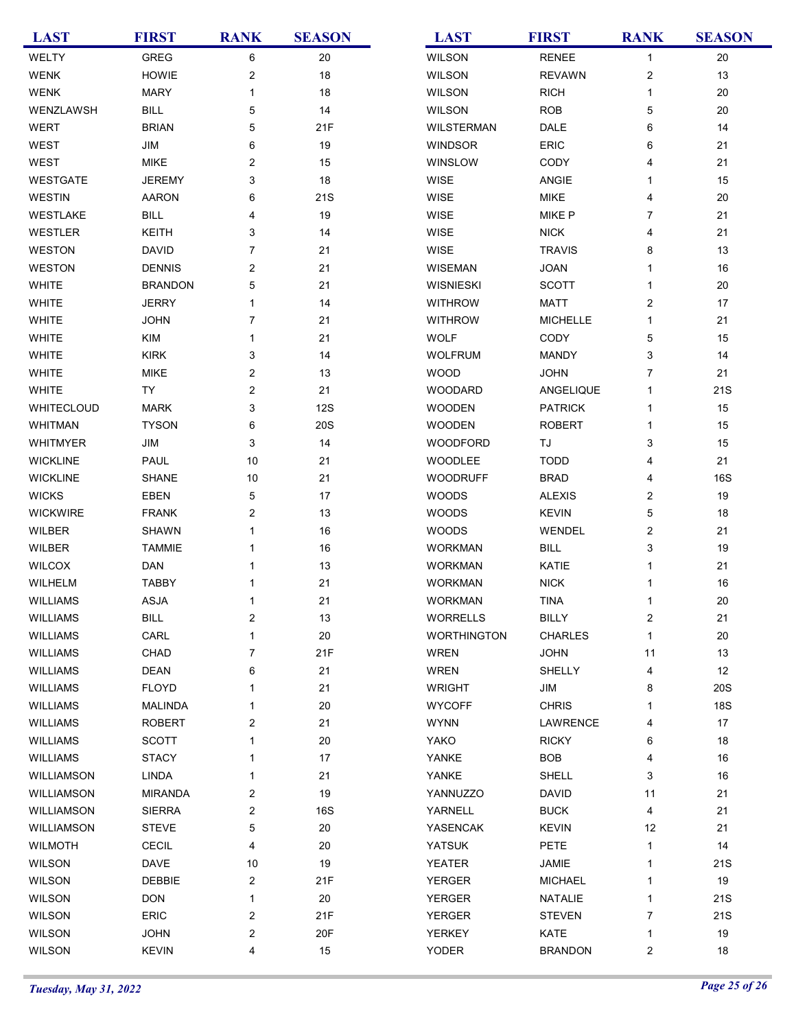| <b>LAST</b>     | <b>FIRST</b>   | <b>RANK</b>    | <b>SEASON</b> | <b>LAST</b>        | <b>FIRST</b>    | <b>RANK</b>             | <b>SEASON</b> |
|-----------------|----------------|----------------|---------------|--------------------|-----------------|-------------------------|---------------|
| WELTY           | <b>GREG</b>    | 6              | $20\,$        | <b>WILSON</b>      | <b>RENEE</b>    | $\mathbf{1}$            | 20            |
| WENK            | HOWIE          | 2              | $18\,$        | WILSON             | <b>REVAWN</b>   | $\boldsymbol{2}$        | 13            |
| <b>WENK</b>     | <b>MARY</b>    | 1              | 18            | WILSON             | <b>RICH</b>     | $\mathbf{1}$            | 20            |
| WENZLAWSH       | <b>BILL</b>    | 5              | 14            | <b>WILSON</b>      | <b>ROB</b>      | 5                       | 20            |
| WERT            | <b>BRIAN</b>   | 5              | 21F           | <b>WILSTERMAN</b>  | DALE            | 6                       | 14            |
| WEST            | JIM            | 6              | 19            | <b>WINDSOR</b>     | ERIC            | 6                       | 21            |
| WEST            | <b>MIKE</b>    | 2              | 15            | WINSLOW            | CODY            | 4                       | 21            |
| <b>WESTGATE</b> | <b>JEREMY</b>  | 3              | 18            | <b>WISE</b>        | ANGIE           | 1                       | 15            |
| <b>WESTIN</b>   | <b>AARON</b>   | 6              | 21S           | <b>WISE</b>        | <b>MIKE</b>     | 4                       | 20            |
| WESTLAKE        | <b>BILL</b>    | 4              | 19            | <b>WISE</b>        | <b>MIKE P</b>   | 7                       | 21            |
| WESTLER         | <b>KEITH</b>   | 3              | 14            | WISE               | <b>NICK</b>     | 4                       | 21            |
| WESTON          | <b>DAVID</b>   | 7              | 21            | <b>WISE</b>        | <b>TRAVIS</b>   | 8                       | 13            |
| <b>WESTON</b>   | <b>DENNIS</b>  | 2              | 21            | WISEMAN            | <b>JOAN</b>     | 1                       | 16            |
| WHITE           | <b>BRANDON</b> | 5              | 21            | WISNIESKI          | <b>SCOTT</b>    | 1                       | 20            |
| WHITE           | <b>JERRY</b>   | 1              | 14            | <b>WITHROW</b>     | <b>MATT</b>     | $\overline{c}$          | 17            |
| <b>WHITE</b>    | <b>JOHN</b>    | 7              | 21            | <b>WITHROW</b>     | <b>MICHELLE</b> | 1                       | 21            |
| WHITE           | KIM            | 1              | 21            | <b>WOLF</b>        | CODY            | 5                       | 15            |
| <b>WHITE</b>    | <b>KIRK</b>    | 3              | 14            | <b>WOLFRUM</b>     | <b>MANDY</b>    | 3                       | 14            |
| WHITE           | <b>MIKE</b>    | 2              | 13            | <b>WOOD</b>        | <b>JOHN</b>     | $\overline{7}$          | 21            |
| <b>WHITE</b>    | TY             | 2              | 21            | <b>WOODARD</b>     | ANGELIQUE       | 1                       | 21S           |
| WHITECLOUD      | <b>MARK</b>    | 3              | <b>12S</b>    | <b>WOODEN</b>      | <b>PATRICK</b>  | 1                       | 15            |
| <b>WHITMAN</b>  | <b>TYSON</b>   | 6              | 20S           | <b>WOODEN</b>      | <b>ROBERT</b>   | $\mathbf{1}$            | 15            |
| WHITMYER        | JIM            | 3              | 14            | WOODFORD           | TJ              | 3                       | 15            |
| <b>WICKLINE</b> | PAUL           | 10             | 21            | WOODLEE            | <b>TODD</b>     | 4                       | 21            |
| <b>WICKLINE</b> | <b>SHANE</b>   | 10             | 21            | <b>WOODRUFF</b>    | <b>BRAD</b>     | 4                       | 16S           |
| <b>WICKS</b>    | EBEN           | 5              | 17            | <b>WOODS</b>       | <b>ALEXIS</b>   | $\overline{\mathbf{c}}$ | 19            |
| <b>WICKWIRE</b> | <b>FRANK</b>   | 2              | 13            | WOODS              | <b>KEVIN</b>    | 5                       | 18            |
| WILBER          | <b>SHAWN</b>   | 1              | $16\,$        | <b>WOODS</b>       | WENDEL          | $\overline{c}$          | 21            |
| WILBER          | <b>TAMMIE</b>  | 1              | $16\,$        | <b>WORKMAN</b>     | <b>BILL</b>     | 3                       | 19            |
| <b>WILCOX</b>   | DAN            | 1              | 13            | <b>WORKMAN</b>     | KATIE           | 1                       | 21            |
| WILHELM         | <b>TABBY</b>   | 1              | 21            | <b>WORKMAN</b>     | <b>NICK</b>     | 1                       | 16            |
| <b>WILLIAMS</b> | ASJA           | 1              | 21            | <b>WORKMAN</b>     | <b>TINA</b>     | 1                       | 20            |
| <b>WILLIAMS</b> | <b>BILL</b>    | 2              | 13            | <b>WORRELLS</b>    | <b>BILLY</b>    | 2                       | 21            |
| <b>WILLIAMS</b> | CARL           | 1              | $20\,$        | <b>WORTHINGTON</b> | <b>CHARLES</b>  | $\mathbf{1}$            | 20            |
| WILLIAMS        | CHAD           | $\overline{7}$ | 21F           | <b>WREN</b>        | <b>JOHN</b>     | 11                      | 13            |
| <b>WILLIAMS</b> | <b>DEAN</b>    | 6              | 21            | <b>WREN</b>        | SHELLY          | 4                       | 12            |
| WILLIAMS        | <b>FLOYD</b>   | 1              | 21            | WRIGHT             | JIM             | 8                       | 20S           |
| <b>WILLIAMS</b> | <b>MALINDA</b> | 1              | 20            | <b>WYCOFF</b>      | <b>CHRIS</b>    | 1                       | <b>18S</b>    |
| WILLIAMS        | <b>ROBERT</b>  | 2              | 21            | <b>WYNN</b>        | LAWRENCE        | 4                       | 17            |
| <b>WILLIAMS</b> | <b>SCOTT</b>   | $\mathbf{1}$   | 20            | YAKO               | <b>RICKY</b>    | 6                       | 18            |
| <b>WILLIAMS</b> | <b>STACY</b>   | $\mathbf{1}$   | 17            | YANKE              | <b>BOB</b>      | 4                       | 16            |
| WILLIAMSON      | <b>LINDA</b>   | $\mathbf{1}$   | 21            | YANKE              | <b>SHELL</b>    | 3                       | 16            |
| WILLIAMSON      | MIRANDA        | 2              | 19            | YANNUZZO           | <b>DAVID</b>    | 11                      | 21            |
| WILLIAMSON      | <b>SIERRA</b>  | 2              | 16S           | YARNELL            | <b>BUCK</b>     | 4                       | 21            |
| WILLIAMSON      | <b>STEVE</b>   | 5              | $20\,$        | YASENCAK           | <b>KEVIN</b>    | 12                      | 21            |
| <b>WILMOTH</b>  | <b>CECIL</b>   | 4              | 20            | YATSUK             | PETE            | $\mathbf{1}$            | 14            |
| <b>WILSON</b>   | DAVE           | 10             | 19            | YEATER             | JAMIE           | 1                       | 21S           |
| <b>WILSON</b>   | <b>DEBBIE</b>  | 2              | 21F           | <b>YERGER</b>      | <b>MICHAEL</b>  | 1                       | 19            |
| <b>WILSON</b>   | <b>DON</b>     | $\mathbf{1}$   | $20\,$        | <b>YERGER</b>      | NATALIE         | $\mathbf{1}$            | 21S           |
| <b>WILSON</b>   | ERIC           | 2              | 21F           | <b>YERGER</b>      | <b>STEVEN</b>   | $\overline{7}$          | 21S           |
| <b>WILSON</b>   | <b>JOHN</b>    | 2              | 20F           | <b>YERKEY</b>      | KATE            | 1                       | 19            |
| WILSON          | <b>KEVIN</b>   | 4              | $15\,$        | YODER              | <b>BRANDON</b>  | 2                       | 18            |